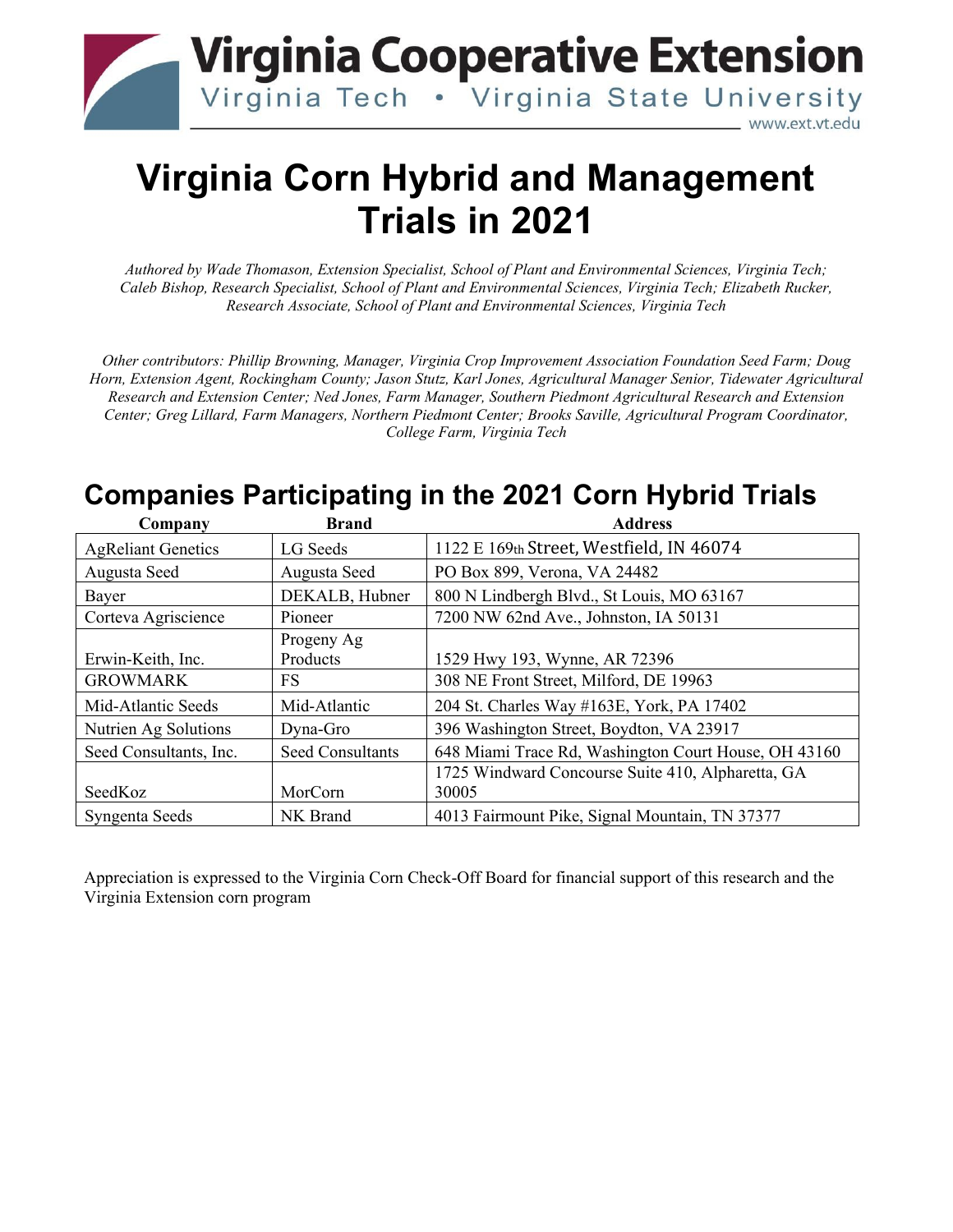

# **Virginia Corn Hybrid and Management Trials in 2021**

*Authored by Wade Thomason, Extension Specialist, School of Plant and Environmental Sciences, Virginia Tech; Caleb Bishop, Research Specialist, School of Plant and Environmental Sciences, Virginia Tech; Elizabeth Rucker, Research Associate, School of Plant and Environmental Sciences, Virginia Tech*

*Other contributors: Phillip Browning, Manager, Virginia Crop Improvement Association Foundation Seed Farm; Doug Horn, Extension Agent, Rockingham County; Jason Stutz, Karl Jones, Agricultural Manager Senior, Tidewater Agricultural Research and Extension Center; Ned Jones, Farm Manager, Southern Piedmont Agricultural Research and Extension Center; Greg Lillard, Farm Managers, Northern Piedmont Center; Brooks Saville, Agricultural Program Coordinator, College Farm, Virginia Tech*

### **Companies Participating in the 2021 Corn Hybrid Trials**

| Company                   | <b>Brand</b>            | <b>Address</b>                                       |
|---------------------------|-------------------------|------------------------------------------------------|
| <b>AgReliant Genetics</b> | LG Seeds                | 1122 E 169th Street, Westfield, IN 46074             |
| Augusta Seed              | Augusta Seed            | PO Box 899, Verona, VA 24482                         |
| Bayer                     | DEKALB, Hubner          | 800 N Lindbergh Blvd., St Louis, MO 63167            |
| Corteva Agriscience       | Pioneer                 | 7200 NW 62nd Ave., Johnston, IA 50131                |
|                           | Progeny Ag              |                                                      |
| Erwin-Keith, Inc.         | Products                | 1529 Hwy 193, Wynne, AR 72396                        |
| <b>GROWMARK</b>           | FS                      | 308 NE Front Street, Milford, DE 19963               |
| Mid-Atlantic Seeds        | Mid-Atlantic            | 204 St. Charles Way #163E, York, PA 17402            |
| Nutrien Ag Solutions      | Dyna-Gro                | 396 Washington Street, Boydton, VA 23917             |
| Seed Consultants, Inc.    | <b>Seed Consultants</b> | 648 Miami Trace Rd, Washington Court House, OH 43160 |
|                           |                         | 1725 Windward Concourse Suite 410, Alpharetta, GA    |
| SeedKoz                   | MorCorn                 | 30005                                                |
| Syngenta Seeds            | NK Brand                | 4013 Fairmount Pike, Signal Mountain, TN 37377       |

Appreciation is expressed to the Virginia Corn Check-Off Board for financial support of this research and the Virginia Extension corn program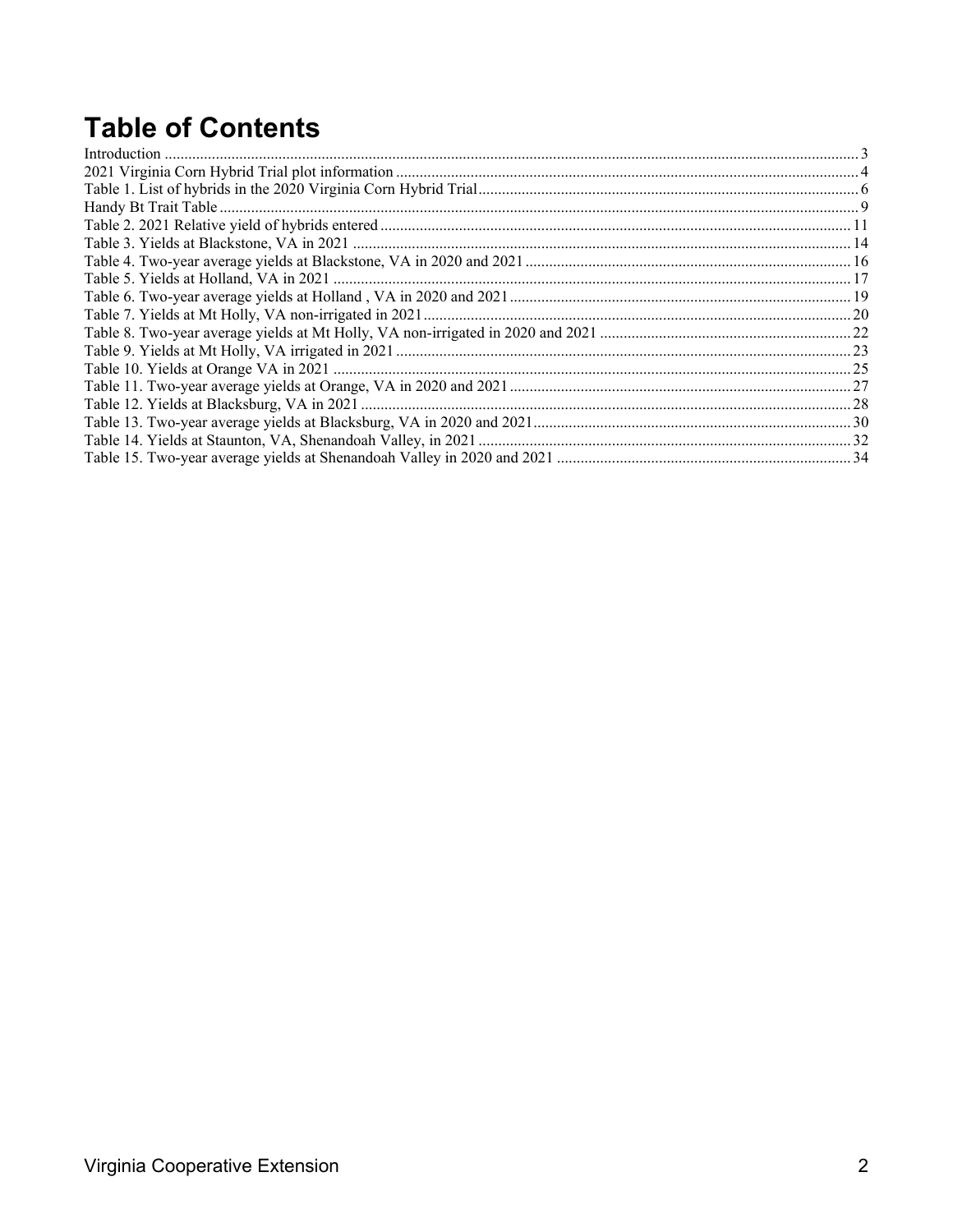# **Table of Contents**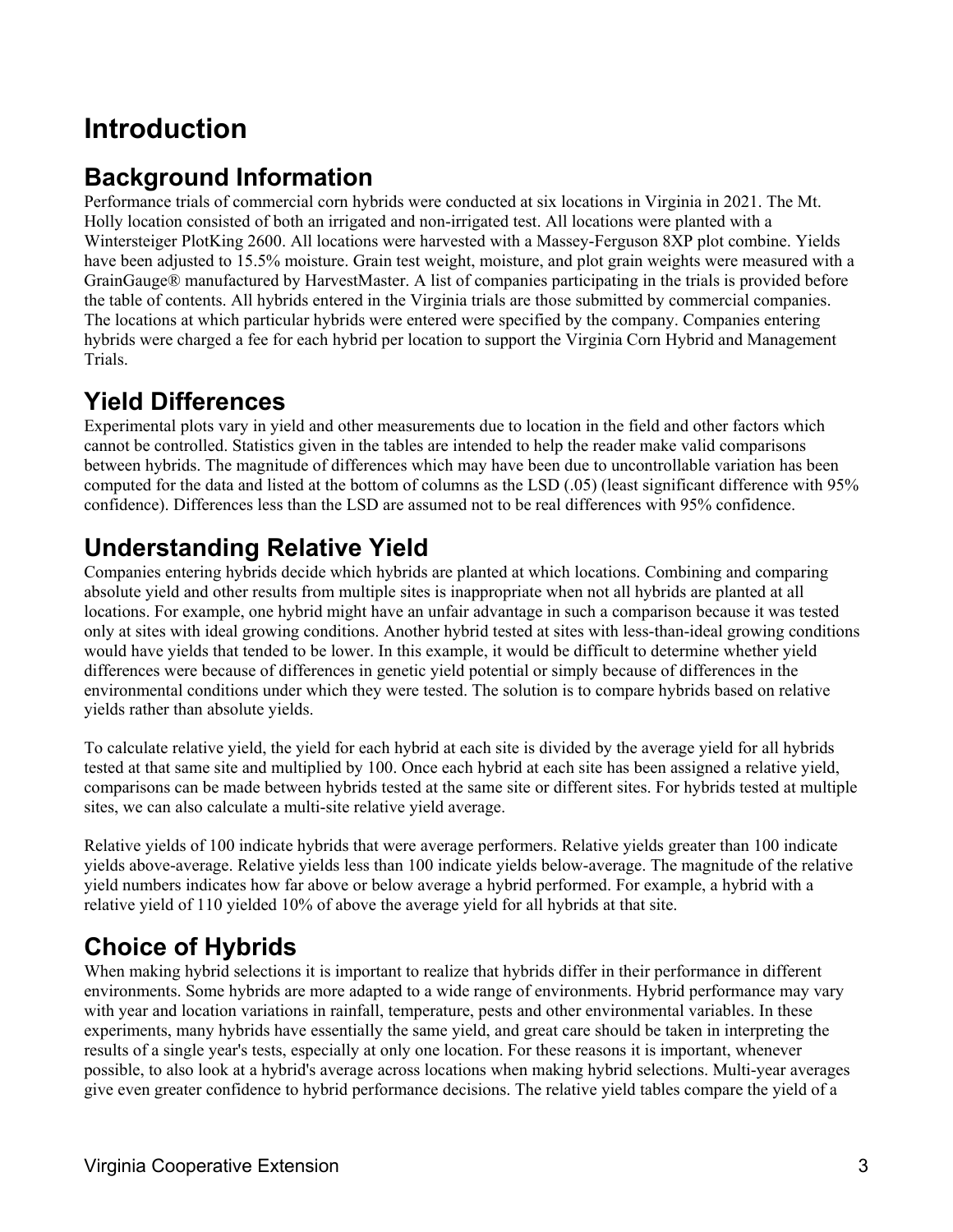# **Introduction**

### **Background Information**

Performance trials of commercial corn hybrids were conducted at six locations in Virginia in 2021. The Mt. Holly location consisted of both an irrigated and non-irrigated test. All locations were planted with a Wintersteiger PlotKing 2600. All locations were harvested with a Massey-Ferguson 8XP plot combine. Yields have been adjusted to 15.5% moisture. Grain test weight, moisture, and plot grain weights were measured with a GrainGauge® manufactured by HarvestMaster. A list of companies participating in the trials is provided before the table of contents. All hybrids entered in the Virginia trials are those submitted by commercial companies. The locations at which particular hybrids were entered were specified by the company. Companies entering hybrids were charged a fee for each hybrid per location to support the Virginia Corn Hybrid and Management Trials.

### **Yield Differences**

Experimental plots vary in yield and other measurements due to location in the field and other factors which cannot be controlled. Statistics given in the tables are intended to help the reader make valid comparisons between hybrids. The magnitude of differences which may have been due to uncontrollable variation has been computed for the data and listed at the bottom of columns as the LSD (.05) (least significant difference with 95% confidence). Differences less than the LSD are assumed not to be real differences with 95% confidence.

### **Understanding Relative Yield**

Companies entering hybrids decide which hybrids are planted at which locations. Combining and comparing absolute yield and other results from multiple sites is inappropriate when not all hybrids are planted at all locations. For example, one hybrid might have an unfair advantage in such a comparison because it was tested only at sites with ideal growing conditions. Another hybrid tested at sites with less-than-ideal growing conditions would have yields that tended to be lower. In this example, it would be difficult to determine whether yield differences were because of differences in genetic yield potential or simply because of differences in the environmental conditions under which they were tested. The solution is to compare hybrids based on relative yields rather than absolute yields.

To calculate relative yield, the yield for each hybrid at each site is divided by the average yield for all hybrids tested at that same site and multiplied by 100. Once each hybrid at each site has been assigned a relative yield, comparisons can be made between hybrids tested at the same site or different sites. For hybrids tested at multiple sites, we can also calculate a multi-site relative yield average.

Relative yields of 100 indicate hybrids that were average performers. Relative yields greater than 100 indicate yields above-average. Relative yields less than 100 indicate yields below-average. The magnitude of the relative yield numbers indicates how far above or below average a hybrid performed. For example, a hybrid with a relative yield of 110 yielded 10% of above the average yield for all hybrids at that site.

# **Choice of Hybrids**

When making hybrid selections it is important to realize that hybrids differ in their performance in different environments. Some hybrids are more adapted to a wide range of environments. Hybrid performance may vary with year and location variations in rainfall, temperature, pests and other environmental variables. In these experiments, many hybrids have essentially the same yield, and great care should be taken in interpreting the results of a single year's tests, especially at only one location. For these reasons it is important, whenever possible, to also look at a hybrid's average across locations when making hybrid selections. Multi-year averages give even greater confidence to hybrid performance decisions. The relative yield tables compare the yield of a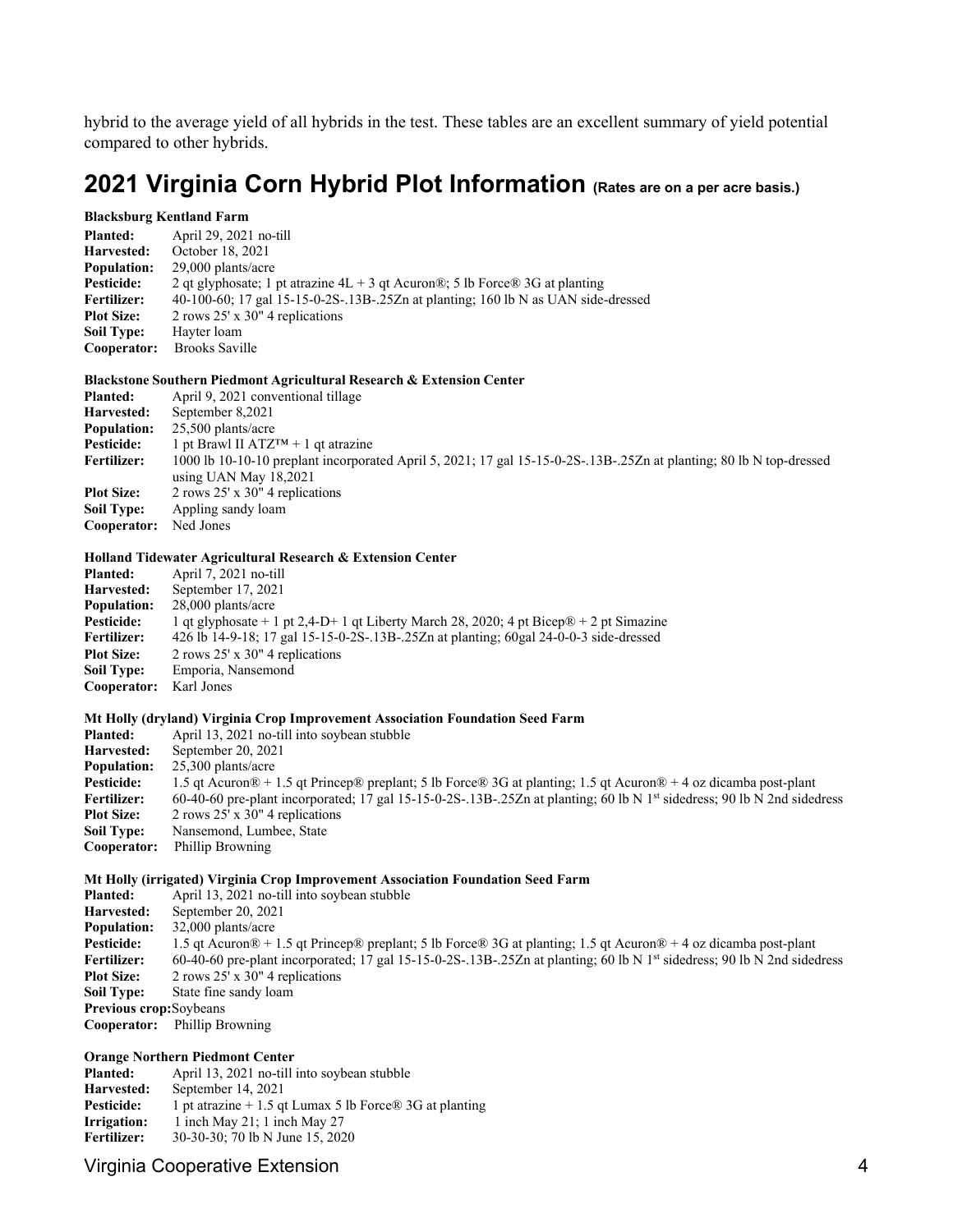hybrid to the average yield of all hybrids in the test. These tables are an excellent summary of yield potential compared to other hybrids.

### **2021 Virginia Corn Hybrid Plot Information (Rates are on a per acre basis.)**

#### **Blacksburg Kentland Farm**

| <b>Planted:</b>    | April 29, 2021 no-till                                                            |
|--------------------|-----------------------------------------------------------------------------------|
| Harvested:         | October 18, 2021                                                                  |
| <b>Population:</b> | $29,000$ plants/acre                                                              |
| Pesticide:         | 2 qt glyphosate; 1 pt atrazine $4L + 3$ qt Acuron®; 5 lb Force® 3G at planting    |
| <b>Fertilizer:</b> | 40-100-60; 17 gal 15-15-0-2S-.13B-.25Zn at planting; 160 lb N as UAN side-dressed |
| <b>Plot Size:</b>  | 2 rows $25' \times 30''$ 4 replications                                           |
| <b>Soil Type:</b>  | Hayter loam                                                                       |
| Cooperator:        | <b>Brooks Saville</b>                                                             |

#### **Blackstone Southern Piedmont Agricultural Research & Extension Center**

| <b>Planted:</b>    | April 9, 2021 conventional tillage                                                                                  |
|--------------------|---------------------------------------------------------------------------------------------------------------------|
| Harvested:         | September 8,2021                                                                                                    |
| <b>Population:</b> | $25,500$ plants/acre                                                                                                |
| Pesticide:         | 1 pt Brawl II ATZ <sup>TM</sup> + 1 qt atrazine                                                                     |
| <b>Fertilizer:</b> | 1000 lb 10-10-10 preplant incorporated April 5, 2021; 17 gal 15-15-0-2S-.13B-.25Zn at planting; 80 lb N top-dressed |
|                    | using UAN May 18,2021                                                                                               |
| <b>Plot Size:</b>  | 2 rows $25'$ x $30''$ 4 replications                                                                                |
| <b>Soil Type:</b>  | Appling sandy loam                                                                                                  |
| Cooperator:        | Ned Jones                                                                                                           |

#### **Holland Tidewater Agricultural Research & Extension Center**

| <b>Planted:</b>    | April 7, 2021 no-till                                                                              |
|--------------------|----------------------------------------------------------------------------------------------------|
| Harvested:         | September 17, 2021                                                                                 |
| <b>Population:</b> | $28,000$ plants/acre                                                                               |
| <b>Pesticide:</b>  | 1 qt glyphosate + 1 pt 2,4-D+ 1 qt Liberty March 28, 2020; 4 pt Bicep $\mathbb{R}$ + 2 pt Simazine |
| <b>Fertilizer:</b> | 426 lb 14-9-18; 17 gal 15-15-0-2S-.13B-.25Zn at planting; 60gal 24-0-0-3 side-dressed              |
| <b>Plot Size:</b>  | 2 rows 25' x 30" 4 replications                                                                    |
| <b>Soil Type:</b>  | Emporia, Nansemond                                                                                 |
| Cooperator:        | Karl Jones                                                                                         |
|                    |                                                                                                    |

#### **Mt Holly (dryland) Virginia Crop Improvement Association Foundation Seed Farm**

| <b>Planted:</b>    | April 13, 2021 no-till into soybean stubble                                                                                                                    |
|--------------------|----------------------------------------------------------------------------------------------------------------------------------------------------------------|
| Harvested:         | September 20, 2021                                                                                                                                             |
| <b>Population:</b> | $25,300$ plants/acre                                                                                                                                           |
| Pesticide:         | 1.5 qt Acuron $\mathbb{R}$ + 1.5 qt Prince $\mathbb{R}$ preplant; 5 lb Force $\mathbb{R}$ 3G at planting; 1.5 qt Acuron $\mathbb{R}$ + 4 oz dicamba post-plant |
| <b>Fertilizer:</b> | 60-40-60 pre-plant incorporated; 17 gal 15-15-0-2S-.13B-.25Zn at planting; 60 lb N 1 <sup>st</sup> sidedress; 90 lb N 2nd sidedress                            |
| <b>Plot Size:</b>  | 2 rows $25'$ x $30''$ 4 replications                                                                                                                           |
| <b>Soil Type:</b>  | Nansemond, Lumbee, State                                                                                                                                       |
| Cooperator:        | Phillip Browning                                                                                                                                               |
|                    |                                                                                                                                                                |

#### **Mt Holly (irrigated) Virginia Crop Improvement Association Foundation Seed Farm**

| <b>Planted:</b>                | April 13, 2021 no-till into soybean stubble                                                                                                                    |
|--------------------------------|----------------------------------------------------------------------------------------------------------------------------------------------------------------|
| Harvested:                     | September 20, 2021                                                                                                                                             |
| <b>Population:</b>             | 32,000 plants/acre                                                                                                                                             |
| <b>Pesticide:</b>              | 1.5 qt Acuron $\mathbb{R}$ + 1.5 qt Prince $\mathbb{R}$ preplant; 5 lb Force $\mathbb{R}$ 3G at planting; 1.5 qt Acuron $\mathbb{R}$ + 4 oz dicamba post-plant |
| <b>Fertilizer:</b>             | 60-40-60 pre-plant incorporated; 17 gal 15-15-0-2S-.13B-.25Zn at planting; 60 lb N 1 <sup>st</sup> sidedress; 90 lb N 2nd sidedress                            |
| <b>Plot Size:</b>              | 2 rows $25' \times 30''$ 4 replications                                                                                                                        |
| <b>Soil Type:</b>              | State fine sandy loam                                                                                                                                          |
| <b>Previous crop:</b> Soybeans |                                                                                                                                                                |
| Cooperator:                    | Phillip Browning                                                                                                                                               |
|                                |                                                                                                                                                                |

### **Orange Northern Piedmont Center<br>Planted:** April 13, 2021 no-till i

**Planted:** April 13, 2021 no-till into soybean stubble<br> **Harvested:** September 14, 2021 **Harvested:** September 14, 2021<br>**Pesticide:** 1 pt atrazine + 1.5 qt **Pesticide:** 1 pt atrazine + 1.5 qt Lumax 5 lb Force® 3G at planting **Irrigation:** 1 inch May 21; 1 inch May 27 **Irrigation:** 1 inch May 21; 1 inch May 27<br>**Fertilizer:** 30-30-30; 70 lb N June 15, 202 **Fertilizer:** 30-30-30; 70 lb N June 15, 2020

#### Virginia Cooperative Extension 4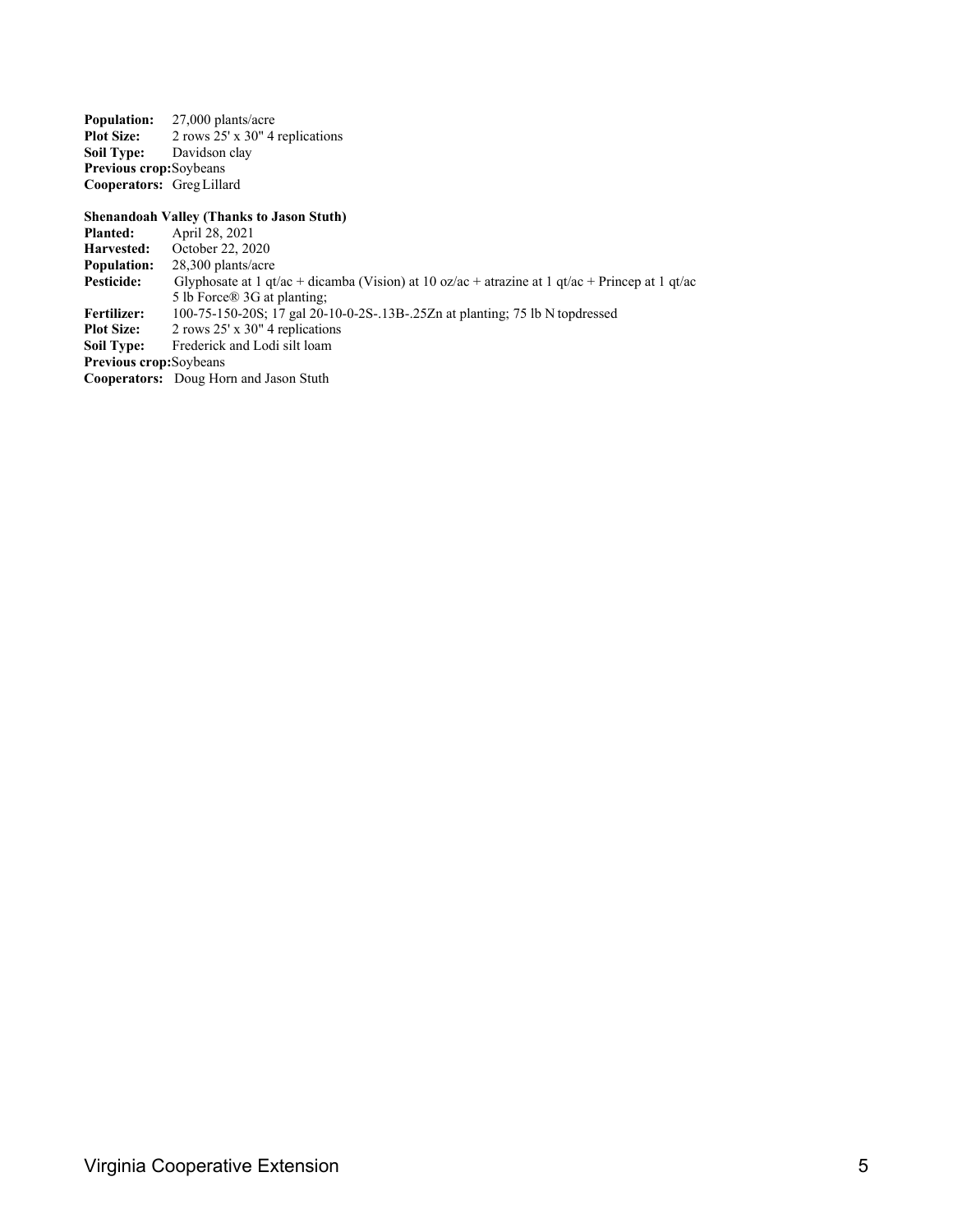**Population:** 27,000 plants/acre<br>**Plot Size:** 2 rows 25' x 30" 4 **Plot Size:** 2 rows 25' x 30" 4 replications<br>**Soil Type:** Davidson clay **Davidson** clay **Previous crop:**Soybeans **Cooperators:** GregLillard

### **Shenandoah Valley (Thanks to Jason Stuth)**<br>**Planted:** April 28, 2021

**Planted:** April 28, 2021<br>**Harvested:** October 22, 20 **Harvested:** October 22, 2020 **Population:** 28,300 plants/acre<br>**Pesticide:** Glyphosate at 1 qt. **Pesticide:** Glyphosate at 1 qt/ac + dicamba (Vision) at 10 oz/ac + atrazine at 1 qt/ac + Princep at 1 qt/ac 5 lb Force® 3G at planting; **Fertilizer:** 100-75-150-20S; 17 gal 20-10-0-2S-.13B-.25Zn at planting; 75 lb N topdressed **Plot Size:** 2 rows 25' x 30" 4 replications **Plot Size:** 2 rows 25' x 30" 4 replications<br>**Soil Type:** Frederick and Lodi silt loam Frederick and Lodi silt loam **Previous crop:**Soybeans **Cooperators:** Doug Horn and Jason Stuth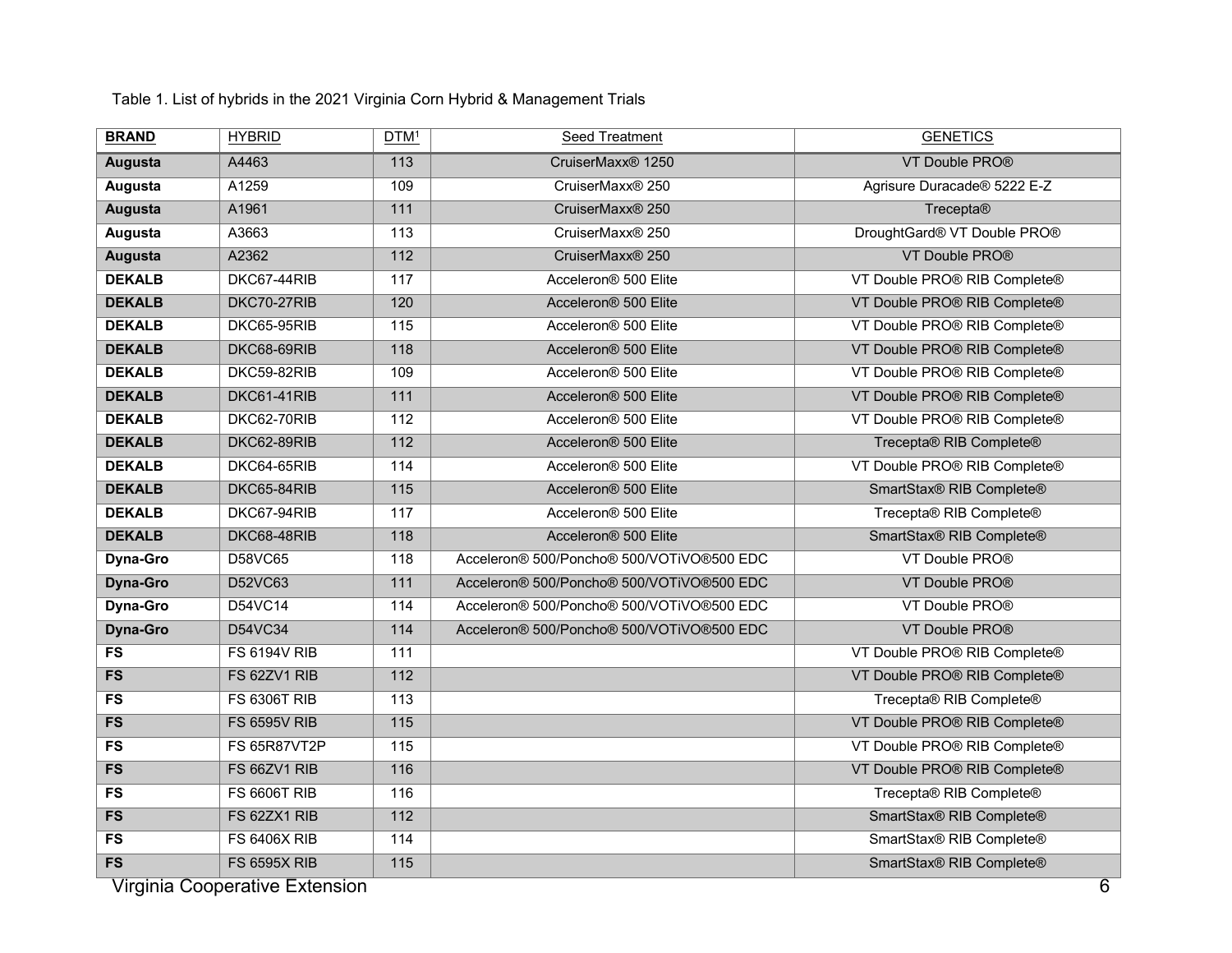| <b>BRAND</b>    | <b>HYBRID</b>                  | DTM <sup>1</sup> | Seed Treatment                            | <b>GENETICS</b>              |
|-----------------|--------------------------------|------------------|-------------------------------------------|------------------------------|
| <b>Augusta</b>  | A4463                          | 113              | CruiserMaxx <sup>®</sup> 1250             | VT Double PRO®               |
| Augusta         | A1259                          | 109              | CruiserMaxx® 250                          | Agrisure Duracade® 5222 E-Z  |
| <b>Augusta</b>  | A1961                          | $\overline{111}$ | CruiserMaxx <sup>®</sup> 250              | Trecepta®                    |
| Augusta         | A3663                          | 113              | CruiserMaxx® 250                          | DroughtGard® VT Double PRO®  |
| <b>Augusta</b>  | A2362                          | $\overline{112}$ | CruiserMaxx® 250                          | VT Double PRO®               |
| <b>DEKALB</b>   | DKC67-44RIB                    | 117              | Acceleron® 500 Elite                      | VT Double PRO® RIB Complete® |
| <b>DEKALB</b>   | DKC70-27RIB                    | 120              | Acceleron <sup>®</sup> 500 Elite          | VT Double PRO® RIB Complete® |
| <b>DEKALB</b>   | DKC65-95RIB                    | 115              | Acceleron <sup>®</sup> 500 Elite          | VT Double PRO® RIB Complete® |
| <b>DEKALB</b>   | DKC68-69RIB                    | 118              | Acceleron <sup>®</sup> 500 Elite          | VT Double PRO® RIB Complete® |
| <b>DEKALB</b>   | DKC59-82RIB                    | 109              | Acceleron® 500 Elite                      | VT Double PRO® RIB Complete® |
| <b>DEKALB</b>   | DKC61-41RIB                    | $\overline{111}$ | Acceleron® 500 Elite                      | VT Double PRO® RIB Complete® |
| <b>DEKALB</b>   | DKC62-70RIB                    | 112              | Acceleron® 500 Elite                      | VT Double PRO® RIB Complete® |
| <b>DEKALB</b>   | DKC62-89RIB                    | 112              | Acceleron <sup>®</sup> 500 Elite          | Trecepta® RIB Complete®      |
| <b>DEKALB</b>   | DKC64-65RIB                    | 114              | Acceleron® 500 Elite                      | VT Double PRO® RIB Complete® |
| <b>DEKALB</b>   | DKC65-84RIB                    | $\overline{115}$ | Acceleron <sup>®</sup> 500 Elite          | SmartStax® RIB Complete®     |
| <b>DEKALB</b>   | DKC67-94RIB                    | 117              | Acceleron® 500 Elite                      | Trecepta® RIB Complete®      |
| <b>DEKALB</b>   | DKC68-48RIB                    | 118              | Acceleron® 500 Elite                      | SmartStax® RIB Complete®     |
| Dyna-Gro        | D58VC65                        | 118              | Acceleron® 500/Poncho® 500/VOTiVO®500 EDC | VT Double PRO®               |
| <b>Dyna-Gro</b> | D52VC63                        | 111              | Acceleron® 500/Poncho® 500/VOTiVO®500 EDC | VT Double PRO®               |
| Dyna-Gro        | D54VC14                        | 114              | Acceleron® 500/Poncho® 500/VOTiVO®500 EDC | VT Double PRO®               |
| <b>Dyna-Gro</b> | D54VC34                        | 114              | Acceleron® 500/Poncho® 500/VOTiVO®500 EDC | VT Double PRO®               |
| FS              | <b>FS 6194V RIB</b>            | 111              |                                           | VT Double PRO® RIB Complete® |
| FS              | FS 62ZV1 RIB                   | $\overline{112}$ |                                           | VT Double PRO® RIB Complete® |
| $\overline{FS}$ | <b>FS 6306T RIB</b>            | 113              |                                           | Trecepta® RIB Complete®      |
| FS              | <b>FS 6595V RIB</b>            | $\overline{115}$ |                                           | VT Double PRO® RIB Complete® |
| FS              | FS 65R87VT2P                   | 115              |                                           | VT Double PRO® RIB Complete® |
| FS              | FS 66ZV1 RIB                   | 116              |                                           | VT Double PRO® RIB Complete® |
| FS              | <b>FS 6606T RIB</b>            | 116              |                                           | Trecepta® RIB Complete®      |
| FS              | FS 62ZX1 RIB                   | $\overline{112}$ |                                           | SmartStax® RIB Complete®     |
| FS              | <b>FS 6406X RIB</b>            | 114              |                                           | SmartStax® RIB Complete®     |
| FS              | <b>FS 6595X RIB</b>            | $\overline{115}$ |                                           | SmartStax® RIB Complete®     |
|                 | Virginia Cooperative Extension |                  |                                           | $\overline{6}$               |

Table 1. List of hybrids in the 2021 Virginia Corn Hybrid & Management Trials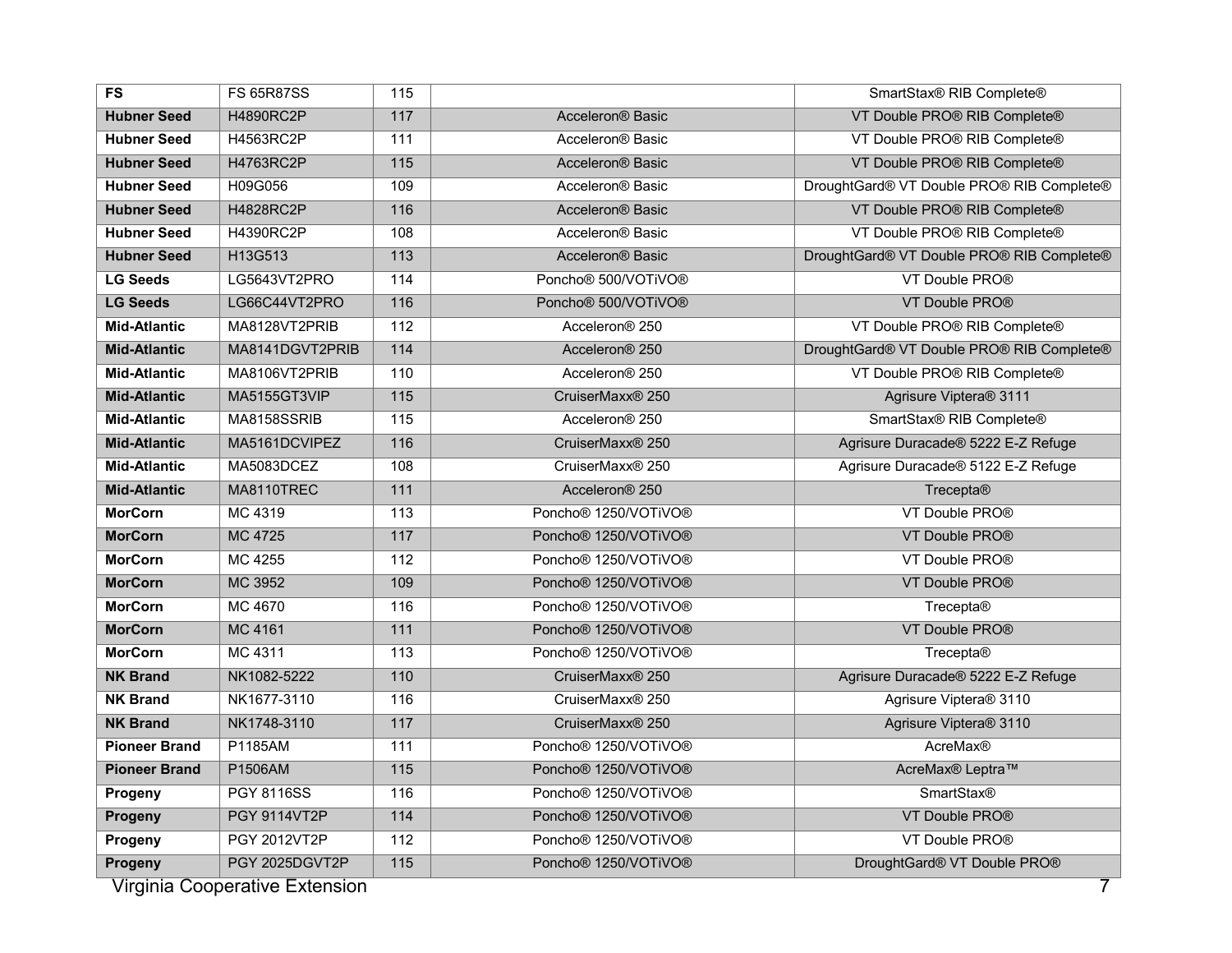| <b>FS</b>            | <b>FS 65R87SS</b>                                                                                                 | 115              |                                              | SmartStax® RIB Complete®                  |  |  |  |  |  |  |
|----------------------|-------------------------------------------------------------------------------------------------------------------|------------------|----------------------------------------------|-------------------------------------------|--|--|--|--|--|--|
| <b>Hubner Seed</b>   | <b>H4890RC2P</b>                                                                                                  | $\overline{117}$ | Acceleron <sup>®</sup> Basic                 | VT Double PRO® RIB Complete®              |  |  |  |  |  |  |
| <b>Hubner Seed</b>   | H4563RC2P                                                                                                         | 111              | Acceleron® Basic                             | VT Double PRO® RIB Complete®              |  |  |  |  |  |  |
| <b>Hubner Seed</b>   | H4763RC2P                                                                                                         | $\overline{115}$ | Acceleron <sup>®</sup> Basic                 | VT Double PRO® RIB Complete®              |  |  |  |  |  |  |
| <b>Hubner Seed</b>   | H09G056                                                                                                           | 109              | Acceleron® Basic                             | DroughtGard® VT Double PRO® RIB Complete® |  |  |  |  |  |  |
| <b>Hubner Seed</b>   | <b>H4828RC2P</b>                                                                                                  | 116              | Acceleron <sup>®</sup> Basic                 | VT Double PRO® RIB Complete®              |  |  |  |  |  |  |
| <b>Hubner Seed</b>   | <b>H4390RC2P</b>                                                                                                  | 108              | Acceleron <sup>®</sup> Basic                 | VT Double PRO® RIB Complete®              |  |  |  |  |  |  |
| <b>Hubner Seed</b>   | H13G513                                                                                                           | 113              | Acceleron <sup>®</sup> Basic                 | DroughtGard® VT Double PRO® RIB Complete® |  |  |  |  |  |  |
| <b>LG Seeds</b>      | LG5643VT2PRO                                                                                                      | 114              | Poncho <sup>®</sup> 500/VOTiVO <sup>®</sup>  | VT Double PRO®                            |  |  |  |  |  |  |
| <b>LG Seeds</b>      | LG66C44VT2PRO                                                                                                     | 116              | Poncho <sup>®</sup> 500/VOTiVO <sup>®</sup>  | VT Double PRO®                            |  |  |  |  |  |  |
| <b>Mid-Atlantic</b>  | MA8128VT2PRIB                                                                                                     | 112              | Acceleron <sup>®</sup> 250                   | VT Double PRO® RIB Complete®              |  |  |  |  |  |  |
| <b>Mid-Atlantic</b>  | MA8141DGVT2PRIB                                                                                                   | $114$            | Acceleron <sup>®</sup> 250                   | DroughtGard® VT Double PRO® RIB Complete® |  |  |  |  |  |  |
| <b>Mid-Atlantic</b>  | MA8106VT2PRIB                                                                                                     | 110              | Acceleron <sup>®</sup> 250                   | VT Double PRO® RIB Complete®              |  |  |  |  |  |  |
| <b>Mid-Atlantic</b>  | MA5155GT3VIP                                                                                                      | $\overline{115}$ | CruiserMaxx <sup>®</sup> 250                 | Agrisure Viptera® 3111                    |  |  |  |  |  |  |
| <b>Mid-Atlantic</b>  | MA8158SSRIB                                                                                                       | 115              | Acceleron <sup>®</sup> 250                   | SmartStax® RIB Complete®                  |  |  |  |  |  |  |
| <b>Mid-Atlantic</b>  | MA5161DCVIPEZ                                                                                                     | 116              | CruiserMaxx® 250                             | Agrisure Duracade® 5222 E-Z Refuge        |  |  |  |  |  |  |
| <b>Mid-Atlantic</b>  | MA5083DCEZ                                                                                                        | 108              | CruiserMaxx® 250                             | Agrisure Duracade® 5122 E-Z Refuge        |  |  |  |  |  |  |
| <b>Mid-Atlantic</b>  | MA8110TREC                                                                                                        | 111              | Acceleron <sup>®</sup> 250                   | Trecepta®                                 |  |  |  |  |  |  |
| <b>MorCorn</b>       | MC 4319                                                                                                           | 113              | Poncho <sup>®</sup> 1250/VOTiVO <sup>®</sup> | VT Double PRO®                            |  |  |  |  |  |  |
| <b>MorCorn</b>       | <b>MC 4725</b>                                                                                                    | 117              | Poncho <sup>®</sup> 1250/VOTiVO <sup>®</sup> | VT Double PRO <sup>®</sup>                |  |  |  |  |  |  |
| <b>MorCorn</b>       | MC 4255                                                                                                           | 112              | Poncho <sup>®</sup> 1250/VOTiVO <sup>®</sup> | VT Double PRO®                            |  |  |  |  |  |  |
| <b>MorCorn</b>       | MC 3952                                                                                                           | 109              | Poncho <sup>®</sup> 1250/VOTiVO <sup>®</sup> | VT Double PRO®                            |  |  |  |  |  |  |
| <b>MorCorn</b>       | MC 4670                                                                                                           | 116              | Poncho <sup>®</sup> 1250/VOTiVO <sup>®</sup> | Trecepta®                                 |  |  |  |  |  |  |
| <b>MorCorn</b>       | MC 4161                                                                                                           | $\overline{111}$ | Poncho <sup>®</sup> 1250/VOTiVO <sup>®</sup> | VT Double PRO®                            |  |  |  |  |  |  |
| <b>MorCorn</b>       | MC 4311                                                                                                           | 113              | Poncho <sup>®</sup> 1250/VOTiVO <sup>®</sup> | <b>Trecepta®</b>                          |  |  |  |  |  |  |
| <b>NK Brand</b>      | NK1082-5222                                                                                                       | 110              | CruiserMaxx® 250                             | Agrisure Duracade® 5222 E-Z Refuge        |  |  |  |  |  |  |
| <b>NK Brand</b>      | NK1677-3110                                                                                                       | 116              | CruiserMaxx® 250                             | Agrisure Viptera® 3110                    |  |  |  |  |  |  |
| <b>NK Brand</b>      | NK1748-3110                                                                                                       | 117              | CruiserMaxx® 250                             | Agrisure Viptera® 3110                    |  |  |  |  |  |  |
| <b>Pioneer Brand</b> | P1185AM                                                                                                           | 111              | Poncho <sup>®</sup> 1250/VOTiVO <sup>®</sup> | <b>AcreMax®</b>                           |  |  |  |  |  |  |
| <b>Pioneer Brand</b> | P1506AM                                                                                                           | 115              | Poncho <sup>®</sup> 1250/VOTiVO <sup>®</sup> | AcreMax <sup>®</sup> Leptra™              |  |  |  |  |  |  |
| Progeny              | <b>PGY 8116SS</b>                                                                                                 | 116              | Poncho <sup>®</sup> 1250/VOTiVO <sup>®</sup> | <b>SmartStax®</b>                         |  |  |  |  |  |  |
| Progeny              | PGY 9114VT2P                                                                                                      | 114              | Poncho <sup>®</sup> 1250/VOTiVO <sup>®</sup> | VT Double PRO®                            |  |  |  |  |  |  |
| Progeny              | PGY 2012VT2P                                                                                                      | 112              | Poncho <sup>®</sup> 1250/VOTiVO <sup>®</sup> | VT Double PRO®                            |  |  |  |  |  |  |
| Progeny              | PGY 2025DGVT2P<br>$\overline{115}$<br>DroughtGard® VT Double PRO®<br>Poncho <sup>®</sup> 1250/VOTiVO <sup>®</sup> |                  |                                              |                                           |  |  |  |  |  |  |
|                      | Virginia Cooperative Extension                                                                                    |                  |                                              | 7                                         |  |  |  |  |  |  |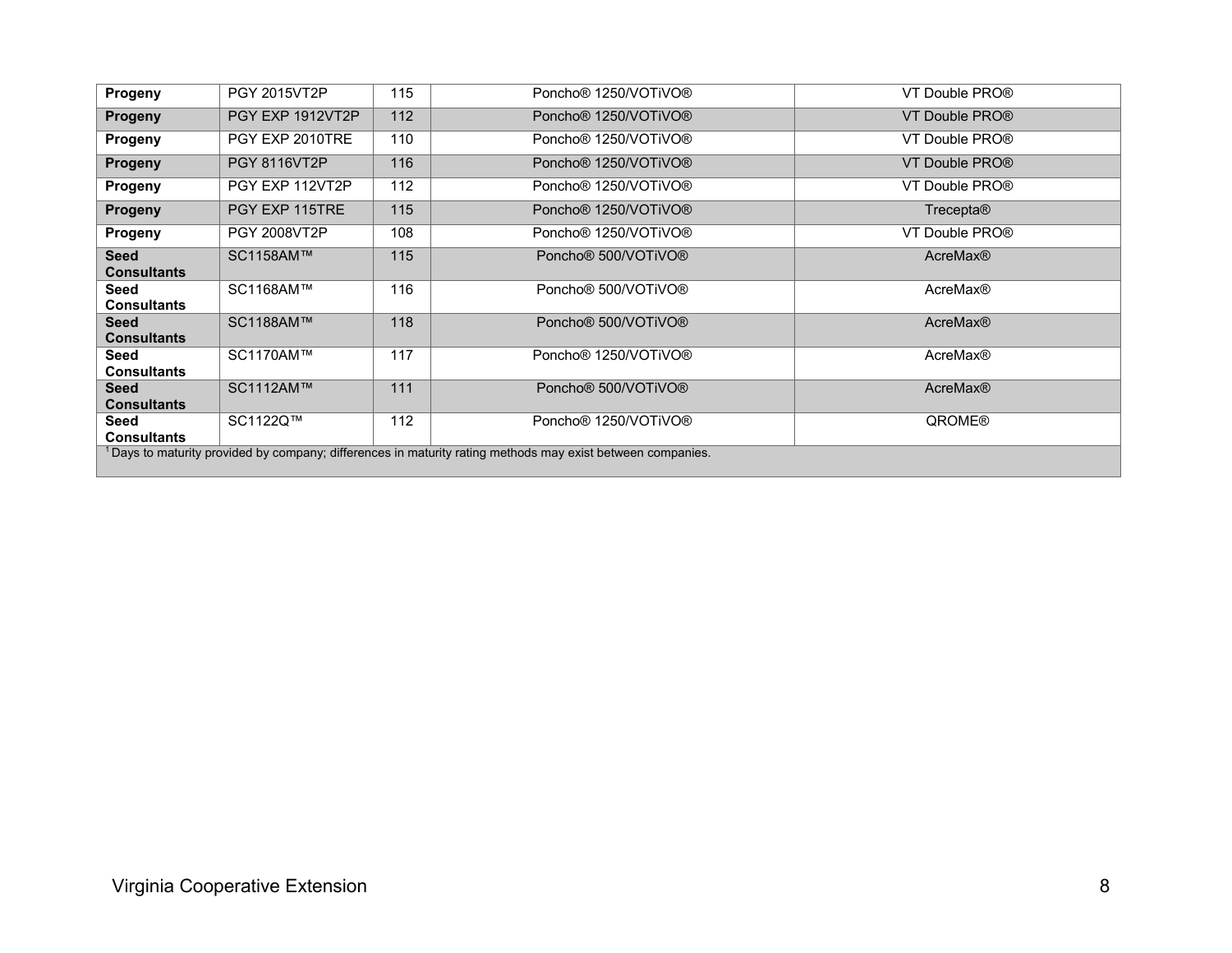| Progeny                                                                                                       | <b>PGY 2015VT2P</b> | 115 | Poncho <sup>®</sup> 1250/VOTiVO <sup>®</sup> | VT Double PRO®     |  |  |  |  |  |  |
|---------------------------------------------------------------------------------------------------------------|---------------------|-----|----------------------------------------------|--------------------|--|--|--|--|--|--|
| <b>Progeny</b>                                                                                                | PGY EXP 1912VT2P    | 112 | Poncho <sup>®</sup> 1250/VOTiVO <sup>®</sup> | VT Double PRO®     |  |  |  |  |  |  |
| Progeny                                                                                                       | PGY EXP 2010TRE     | 110 | Poncho <sup>®</sup> 1250/VOTiVO <sup>®</sup> | VT Double PRO®     |  |  |  |  |  |  |
| <b>Progeny</b>                                                                                                | <b>PGY 8116VT2P</b> | 116 | Poncho <sup>®</sup> 1250/VOTiVO <sup>®</sup> | VT Double PRO®     |  |  |  |  |  |  |
| Progeny                                                                                                       | PGY EXP 112VT2P     | 112 | Poncho <sup>®</sup> 1250/VOTiVO <sup>®</sup> | VT Double PRO®     |  |  |  |  |  |  |
| <b>Progeny</b>                                                                                                | PGY EXP 115TRE      | 115 | Poncho <sup>®</sup> 1250/VOTiVO <sup>®</sup> | Trecepta®          |  |  |  |  |  |  |
| Progeny                                                                                                       | <b>PGY 2008VT2P</b> | 108 | Poncho <sup>®</sup> 1250/VOTiVO <sup>®</sup> | VT Double PRO®     |  |  |  |  |  |  |
| <b>Seed</b><br><b>Consultants</b>                                                                             | SC1158AM™           | 115 | Poncho <sup>®</sup> 500/VOTiVO <sup>®</sup>  | <b>AcreMax®</b>    |  |  |  |  |  |  |
| Seed<br><b>Consultants</b>                                                                                    | SC1168AM™           | 116 | Poncho <sup>®</sup> 500/VOTiVO <sup>®</sup>  | AcreMax®           |  |  |  |  |  |  |
| <b>Seed</b><br><b>Consultants</b>                                                                             | SC1188AM™           | 118 | Poncho <sup>®</sup> 500/VOTiVO <sup>®</sup>  | <b>AcreMax®</b>    |  |  |  |  |  |  |
| Seed<br><b>Consultants</b>                                                                                    | SC1170AM™           | 117 | Poncho <sup>®</sup> 1250/VOTiVO <sup>®</sup> | <b>AcreMax®</b>    |  |  |  |  |  |  |
| <b>Seed</b><br><b>Consultants</b>                                                                             | SC1112AM™           | 111 | Poncho <sup>®</sup> 500/VOTiVO <sup>®</sup>  | <b>AcreMax®</b>    |  |  |  |  |  |  |
| Seed<br><b>Consultants</b>                                                                                    | SC1122Q™            | 112 | Poncho <sup>®</sup> 1250/VOTiVO <sup>®</sup> | QROME <sup>®</sup> |  |  |  |  |  |  |
| $1$ Days to maturity provided by company; differences in maturity rating methods may exist between companies. |                     |     |                                              |                    |  |  |  |  |  |  |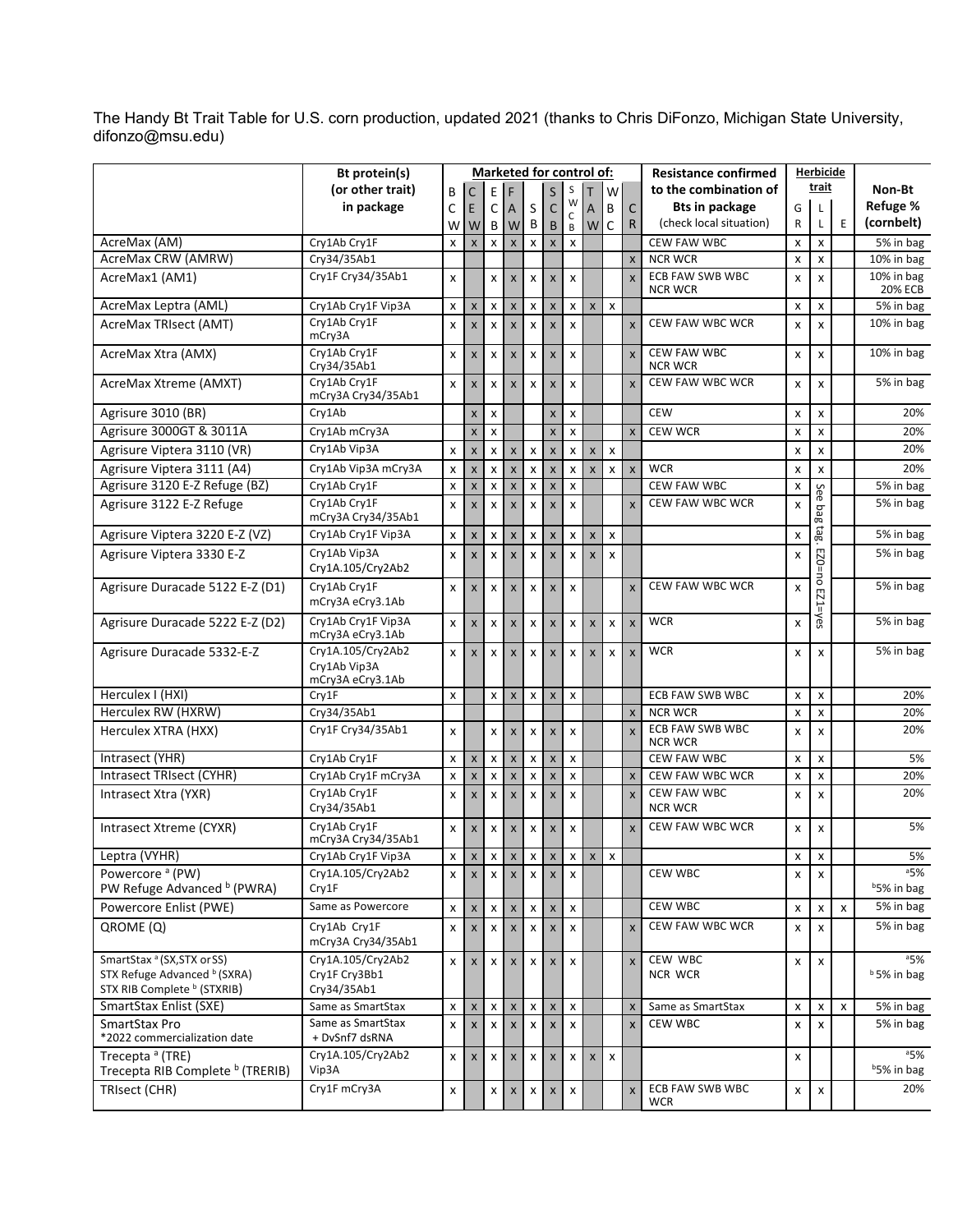The Handy Bt Trait Table for U.S. corn production, updated 2021 (thanks to Chris DiFonzo, Michigan State University, [difonzo@msu.edu\)](mailto:difonzo@msu.edu)

|                                                                                                                  | Bt protein(s)                                         |              |                           |                           |                           |                           |                           | Marketed for control of:  |                |                           |                         | <b>Resistance confirmed</b>          | Herbicide    |                           |                |                               |
|------------------------------------------------------------------------------------------------------------------|-------------------------------------------------------|--------------|---------------------------|---------------------------|---------------------------|---------------------------|---------------------------|---------------------------|----------------|---------------------------|-------------------------|--------------------------------------|--------------|---------------------------|----------------|-------------------------------|
|                                                                                                                  | (or other trait)                                      | В            | С                         | Ε                         | F                         |                           | S                         | S                         |                | W                         |                         | to the combination of                |              | trait                     |                | Non-Bt                        |
|                                                                                                                  | in package                                            | C            | E                         | C                         | A                         | S                         | $\mathsf{C}$              | W                         | A              | B                         | $\mathsf{C}$            | <b>Bts in package</b>                | G            | L                         |                | Refuge %                      |
|                                                                                                                  |                                                       | W            | W                         | В                         | W                         | В                         | B                         | $\mathsf C$<br>В          | W              | C                         | R                       | (check local situation)              | R            | Г                         | E              | (cornbelt)                    |
| AcreMax (AM)                                                                                                     | Cry1Ab Cry1F                                          | x            | $\boldsymbol{\mathsf{X}}$ | $\boldsymbol{\mathsf{x}}$ |                           | X                         | X                         | $\pmb{\times}$            |                |                           |                         | <b>CEW FAW WBC</b>                   | x            | X                         |                | 5% in bag                     |
| AcreMax CRW (AMRW)                                                                                               | Cry34/35Ab1                                           |              |                           |                           |                           |                           |                           |                           |                |                           | $\mathsf{x}$            | <b>NCR WCR</b>                       | x            | $\pmb{\chi}$              |                | 10% in bag                    |
| AcreMax1 (AM1)                                                                                                   | Cry1F Cry34/35Ab1                                     | x            |                           | $\boldsymbol{\mathsf{x}}$ | $\mathsf{x}$              | $\boldsymbol{\mathsf{x}}$ | $\pmb{\times}$            | X                         |                |                           | $\mathsf{x}$            | ECB FAW SWB WBC<br><b>NCR WCR</b>    | x            | $\mathsf{x}$              |                | 10% in bag<br><b>20% ECB</b>  |
| AcreMax Leptra (AML)                                                                                             | Cry1Ab Cry1F Vip3A                                    | x            | $\mathsf{x}$              | $\pmb{\times}$            | $\boldsymbol{\mathsf{x}}$ | $\pmb{\times}$            | $\pmb{\mathsf{x}}$        | $\pmb{\mathsf{x}}$        | $\mathsf{X}$   | $\pmb{\chi}$              |                         |                                      | X            | X                         |                | 5% in bag                     |
| AcreMax TRIsect (AMT)                                                                                            | Cry1Ab Cry1F<br>mCry3A                                | X            | $\mathsf{x}$              | $\mathsf{x}$              | $\overline{\mathsf{x}}$   | $\boldsymbol{\mathsf{x}}$ | $\pmb{\times}$            | $\mathsf{x}$              |                |                           | $\mathsf{x}$            | CEW FAW WBC WCR                      | X            | $\mathsf{x}$              |                | 10% in bag                    |
| AcreMax Xtra (AMX)                                                                                               | Cry1Ab Cry1F<br>Cry34/35Ab1                           | X            | X                         | X                         | $\boldsymbol{\mathsf{X}}$ | $\pmb{\times}$            | $\mathsf{x}$              | X                         |                |                           | $\overline{\mathsf{x}}$ | <b>CEW FAW WBC</b><br><b>NCR WCR</b> | x            | X                         |                | 10% in bag                    |
| AcreMax Xtreme (AMXT)                                                                                            | Crv1Ab Crv1F<br>mCry3A Cry34/35Ab1                    | X            | $\boldsymbol{\mathsf{X}}$ | $\boldsymbol{\mathsf{x}}$ | $\mathsf{x}$              | $\boldsymbol{\mathsf{x}}$ | $\boldsymbol{\mathsf{X}}$ | X                         |                |                           | X                       | CEW FAW WBC WCR                      | X            | X                         |                | 5% in bag                     |
| Agrisure 3010 (BR)                                                                                               | Cry1Ab                                                |              | $\boldsymbol{\mathsf{x}}$ | X                         |                           |                           | X                         | x                         |                |                           |                         | <b>CEW</b>                           | x            | x                         |                | 20%                           |
| Agrisure 3000GT & 3011A                                                                                          | Cry1Ab mCry3A                                         |              | $\pmb{\times}$            | $\boldsymbol{\mathsf{x}}$ |                           |                           | $\pmb{\mathsf{x}}$        | x                         |                |                           | $\mathsf{x}$            | <b>CEW WCR</b>                       | x            | X                         |                | 20%                           |
| Agrisure Viptera 3110 (VR)                                                                                       | Cry1Ab Vip3A                                          | x            | $\boldsymbol{\mathsf{x}}$ | X                         | $\pmb{\times}$            | $\pmb{\times}$            | $\pmb{\times}$            | x                         | X              | X                         |                         |                                      | x            | x                         |                | 20%                           |
| Agrisure Viptera 3111 (A4)                                                                                       | Cry1Ab Vip3A mCry3A                                   | x            | $\pmb{\mathsf{X}}$        | X                         | $\pmb{\times}$            | X                         | $\pmb{\mathsf{X}}$        | X                         | $\pmb{\times}$ | X                         | $\pmb{\mathsf{X}}$      | <b>WCR</b>                           | x            | $\pmb{\times}$            |                | 20%                           |
| Agrisure 3120 E-Z Refuge (BZ)                                                                                    | Cry1Ab Cry1F                                          | x            | $\pmb{\times}$            | X                         | $\pmb{\times}$            | X                         | $\pmb{\times}$            | $\pmb{\times}$            |                |                           |                         | CEW FAW WBC                          | X            | See                       |                | 5% in bag                     |
| Agrisure 3122 E-Z Refuge                                                                                         | Cry1Ab Cry1F<br>mCry3A Cry34/35Ab1                    | x            | $\boldsymbol{\mathsf{x}}$ | $\boldsymbol{\mathsf{x}}$ | $\boldsymbol{\mathsf{x}}$ | $\boldsymbol{\mathsf{x}}$ | $\pmb{\times}$            | X                         |                |                           | $\mathsf{x}$            | <b>CEW FAW WBC WCR</b>               | X            | pag                       |                | 5% in bag                     |
| Agrisure Viptera 3220 E-Z (VZ)                                                                                   | Cry1Ab Cry1F Vip3A                                    | X            | X                         | X                         | $\pmb{\times}$            | $\pmb{\times}$            | $\pmb{\mathsf{X}}$        | x                         | X              | X                         |                         |                                      | x            | tag.                      |                | 5% in bag                     |
| Agrisure Viptera 3330 E-Z                                                                                        | Cry1Ab Vip3A<br>Cry1A.105/Cry2Ab2                     | X            | $\mathsf{x}$              | $\boldsymbol{\mathsf{x}}$ | $\boldsymbol{\mathsf{x}}$ | $\boldsymbol{\mathsf{x}}$ | $\pmb{\times}$            | X                         | $\mathsf{x}$   | X                         |                         |                                      | x            | ezo=no                    |                | 5% in bag                     |
| Agrisure Duracade 5122 E-Z (D1)                                                                                  | Crv1Ab Crv1F<br>mCry3A eCry3.1Ab                      | x            | $\overline{\mathsf{x}}$   | $\boldsymbol{\mathsf{x}}$ | $\mathsf{x}$              | $\mathsf{x}$              | $\mathsf{x}$              | $\boldsymbol{\mathsf{x}}$ |                |                           | $\overline{\mathsf{x}}$ | CEW FAW WBC WCR                      | x            | EZ1=yes                   |                | 5% in bag                     |
| Agrisure Duracade 5222 E-Z (D2)                                                                                  | Cry1Ab Cry1F Vip3A<br>mCry3A eCry3.1Ab                | x            | $\mathbf{x}$              | $\mathsf{x}$              | $\boldsymbol{\mathsf{x}}$ | $\mathsf{x}$              | $\pmb{\times}$            | x                         | $\pmb{\times}$ | $\pmb{\chi}$              | $\pmb{\times}$          | <b>WCR</b>                           | x            |                           |                | 5% in bag                     |
| Agrisure Duracade 5332-E-Z                                                                                       | Cry1A.105/Cry2Ab2<br>Cry1Ab Vip3A<br>mCry3A eCry3.1Ab | $\mathsf{x}$ | $\mathsf{x}$              | $\boldsymbol{\mathsf{x}}$ | $\mathsf{x}$              | $\boldsymbol{\mathsf{x}}$ | $\mathsf{x}$              | X                         | $\mathsf{x}$   | $\boldsymbol{\mathsf{x}}$ | $\mathsf{x}$            | <b>WCR</b>                           | x            | $\boldsymbol{\mathsf{x}}$ |                | $5%$ in bag                   |
| Herculex I (HXI)                                                                                                 | Cry1F                                                 | x            |                           | X                         | $\pmb{\times}$            | $\pmb{\times}$            | $\pmb{\times}$            | x                         |                |                           |                         | ECB FAW SWB WBC                      | X            | X                         |                | 20%                           |
| Herculex RW (HXRW)                                                                                               | Cry34/35Ab1                                           |              |                           |                           |                           |                           |                           |                           |                |                           | X                       | <b>NCR WCR</b>                       | x            | x                         |                | 20%                           |
| Herculex XTRA (HXX)                                                                                              | Cry1F Cry34/35Ab1                                     | x            |                           | X                         | $\mathsf{x}$              | $\boldsymbol{\mathsf{x}}$ | $\boldsymbol{\mathsf{x}}$ | X                         |                |                           | $\overline{\mathsf{x}}$ | ECB FAW SWB WBC<br><b>NCR WCR</b>    | X            | X                         |                | 20%                           |
| Intrasect (YHR)                                                                                                  | Cry1Ab Cry1F                                          | X            | $\boldsymbol{\mathsf{x}}$ | X                         | $\pmb{\times}$            | $\pmb{\chi}$              | $\pmb{\mathsf{X}}$        | $\pmb{\times}$            |                |                           |                         | <b>CEW FAW WBC</b>                   | X            | x                         |                | 5%                            |
| Intrasect TRIsect (CYHR)                                                                                         | Cry1Ab Cry1F mCry3A                                   | x            | $\pmb{\mathsf{X}}$        | X                         | $\boldsymbol{\mathsf{x}}$ | $\pmb{\times}$            | $\pmb{\times}$            | x                         |                |                           | X                       | <b>CEW FAW WBC WCR</b>               | x            | x                         |                | 20%                           |
| Intrasect Xtra (YXR)                                                                                             | Cry1Ab Cry1F<br>Cry34/35Ab1                           | X            | $\boldsymbol{\mathsf{x}}$ | X                         | $\mathsf{x}$              | $\boldsymbol{\mathsf{x}}$ | $\pmb{\mathsf{X}}$        | X                         |                |                           | X                       | <b>CEW FAW WBC</b><br><b>NCR WCR</b> | X            | $\boldsymbol{\mathsf{x}}$ |                | 20%                           |
| Intrasect Xtreme (CYXR)                                                                                          | Cry1Ab Cry1F<br>mCry3A Cry34/35Ab1                    | x            | $\mathsf{x}$              | $\mathsf{x}$              | $\pmb{\times}$            | $\mathsf{x}$              | $\pmb{\mathsf{X}}$        | $\mathsf{x}$              |                |                           | $\mathsf{x}$            | CEW FAW WBC WCR                      | X            | X                         |                | 5%                            |
| Leptra (VYHR)                                                                                                    | Cry1Ab Cry1F Vip3A                                    | $\mathsf{x}$ | $\mathsf X$               |                           | $x \mid x$                |                           | $X$ $X$                   |                           | $x \mid x$     | $\mathsf X$               |                         |                                      | x            | $\pmb{\chi}$              |                | 5%                            |
| Powercore <sup>a</sup> (PW)<br>PW Refuge Advanced <sup>b</sup> (PWRA)                                            | Cry1A.105/Cry2Ab2<br>Cry1F                            | x            | $\mathsf{X}$              | X                         | $\mathsf{x}$              | X                         | $\mathsf{x}$              | $\boldsymbol{\mathsf{x}}$ |                |                           |                         | CEW WBC                              | x            | X                         |                | 35%<br>b <sub>5%</sub> in bag |
| Powercore Enlist (PWE)                                                                                           | Same as Powercore                                     | x            | $\mathsf X$               | X                         | $\pmb{\mathsf{X}}$        | X                         | $\mathsf X$               | X                         |                |                           |                         | CEW WBC                              | X            | $\pmb{\times}$            | x              | 5% in bag                     |
| QROME (Q)                                                                                                        | Cry1Ab Cry1F<br>mCry3A Cry34/35Ab1                    | x            | $\mathsf{x}$              | $\pmb{\chi}$              | $\boldsymbol{\mathsf{X}}$ | X                         | $\mathsf{x}$              | X                         |                |                           | $\overline{\mathsf{x}}$ | CEW FAW WBC WCR                      | x            | $\mathsf{x}$              |                | 5% in bag                     |
| SmartStax <sup>a</sup> (SX, STX or SS)<br>STX Refuge Advanced b (SXRA)<br>STX RIB Complete <sup>b</sup> (STXRIB) | Cry1A.105/Cry2Ab2<br>Cry1F Cry3Bb1<br>Cry34/35Ab1     | X            | $\mathsf{x}$              | X                         | $\boldsymbol{\mathsf{x}}$ | X                         | $\pmb{\times}$            | X                         |                |                           | $\mathsf{x}$            | CEW WBC<br><b>NCR WCR</b>            | x            | X                         |                | a5%<br><sup>b</sup> 5% in bag |
| SmartStax Enlist (SXE)                                                                                           | Same as SmartStax                                     | x            | $\mathsf{x}$              | $\pmb{\chi}$              | $\pmb{\mathsf{X}}$        | $\pmb{\mathsf{X}}$        | $\mathsf X$               | $\pmb{\mathsf{x}}$        |                |                           | X                       | Same as SmartStax                    | x            | $\pmb{\mathsf{x}}$        | $\pmb{\times}$ | 5% in bag                     |
| SmartStax Pro<br>*2022 commercialization date                                                                    | Same as SmartStax<br>+ DvSnf7 dsRNA                   | x            | $\mathsf X$               | X                         | $\boldsymbol{\mathsf{x}}$ | $\boldsymbol{\mathsf{x}}$ | $\mathsf{x}$              | X                         |                |                           | $\mathsf{x}$            | CEW WBC                              | $\mathsf{x}$ | $\mathsf{x}$              |                | 5% in bag                     |
| Trecepta <sup>a</sup> (TRE)<br>Trecepta RIB Complete <sup>b</sup> (TRERIB)                                       | Cry1A.105/Cry2Ab2<br>Vip3A                            | x            | $\mathsf{x}$              | x                         | $\mathsf{x}$              | X                         | $\pmb{\times}$            | x                         | X              | X                         |                         |                                      | x            |                           |                | 35%<br>b <sub>5%</sub> in bag |
| TRIsect (CHR)                                                                                                    | Cry1F mCry3A                                          | X            |                           | $\times$                  | $\pmb{\mathsf{X}}$        | $\pmb{\mathsf{X}}$        | $\mathsf{x}$              | $\pmb{\times}$            |                |                           | $\mathsf{x}$            | ECB FAW SWB WBC<br><b>WCR</b>        | x            | $\pmb{\mathsf{X}}$        |                | 20%                           |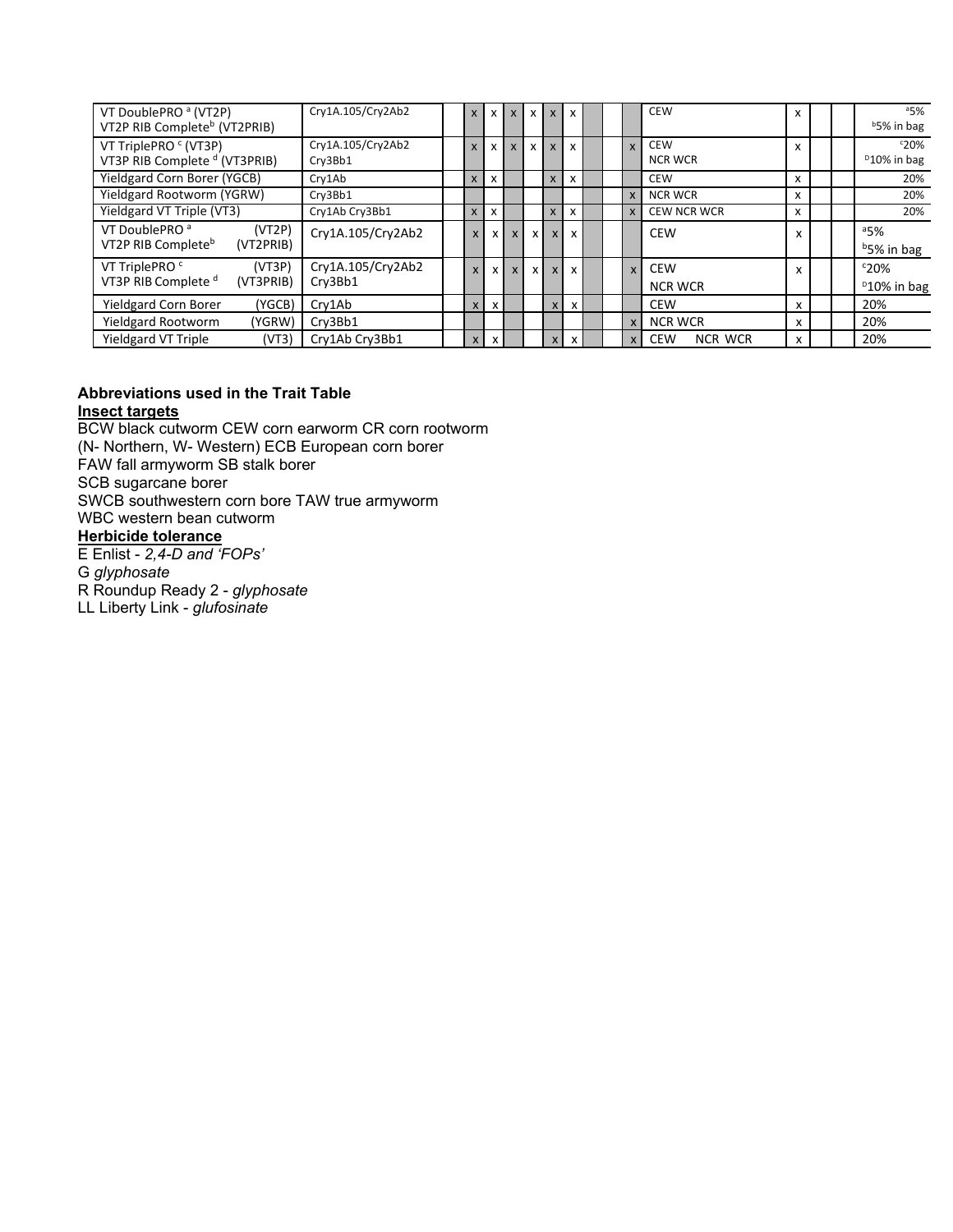| VT DoublePRO <sup>a</sup> (VT2P)<br>VT2P RIB Complete <sup>b</sup> (VT2PRIB)       | Cry1A.105/Cry2Ab2            | X            | $\mathsf{x}$              |                           | x        | $\mathsf{x}$ | $\mathsf{x}$              |  |              | <b>CEW</b>                   | x |  | a5%<br>b <sub>5%</sub> in bag         |
|------------------------------------------------------------------------------------|------------------------------|--------------|---------------------------|---------------------------|----------|--------------|---------------------------|--|--------------|------------------------------|---|--|---------------------------------------|
| VT TriplePRO <sup>c</sup> (VT3P)<br>VT3P RIB Complete <sup>d</sup> (VT3PRIB)       | Cry1A.105/Cry2Ab2<br>Cry3Bb1 | $\mathsf{x}$ | x                         | $\boldsymbol{\mathsf{x}}$ | X        | $\mathsf{x}$ | $\mathsf{x}$              |  | $\mathbf{x}$ | <b>CEW</b><br><b>NCR WCR</b> | X |  | c20%<br><sup>D</sup> 10% in bag       |
| Yieldgard Corn Borer (YGCB)                                                        | Cry1Ab                       | X            | $\boldsymbol{\mathsf{x}}$ |                           |          | $\mathsf{X}$ | X                         |  |              | <b>CEW</b>                   | x |  | 20%                                   |
| Yieldgard Rootworm (YGRW)                                                          | Cry3Bb1                      |              |                           |                           |          |              |                           |  | $\mathsf{x}$ | <b>NCR WCR</b>               | x |  | 20%                                   |
| Yieldgard VT Triple (VT3)                                                          | Cry1Ab Cry3Bb1               | $\mathsf{x}$ | X                         |                           |          | X            | x                         |  | $\mathsf{x}$ | <b>CEW NCR WCR</b>           | X |  | 20%                                   |
| VT DoublePRO <sup>a</sup><br>(VT2P)<br>VT2P RIB Complete <sup>b</sup><br>(VT2PRIB) | Cry1A.105/Cry2Ab2            | X            | $\times$                  | $\mathsf{x}$              | X        | $\mathsf{x}$ | $\boldsymbol{\mathsf{x}}$ |  |              | <b>CEW</b>                   |   |  | 35%<br><sup>b</sup> 5% in bag         |
| VT TriplePRO <sup>c</sup><br>(VT3P)<br>VT3P RIB Complete <sup>d</sup><br>(VT3PRIB) | Cry1A.105/Cry2Ab2<br>Cry3Bb1 | $\mathsf{x}$ | x I                       | $\mathsf{x}$              | $\times$ | $\mathsf{x}$ | $\mathsf{x}$              |  | $\mathsf{x}$ | <b>CEW</b><br><b>NCR WCR</b> |   |  | $c_{20\%}$<br><sup>D</sup> 10% in bag |
| <b>Yieldgard Corn Borer</b><br>(YGCB)                                              | Cry1Ab                       | $\mathsf{x}$ | X                         |                           |          | $\mathsf{x}$ | $\mathsf{x}$              |  |              | <b>CEW</b>                   | x |  | 20%                                   |
| <b>Yieldgard Rootworm</b><br>(YGRW)                                                | Cry3Bb1                      |              |                           |                           |          |              |                           |  | $\mathsf{x}$ | <b>NCR WCR</b>               | x |  | 20%                                   |
| <b>Yieldgard VT Triple</b><br>(VT3)                                                | Cry1Ab Cry3Bb1               | $\mathsf{x}$ | $\mathsf{x}$              |                           |          | $\mathsf{x}$ | $\mathbf{x}$              |  | $\mathsf{x}$ | CEW<br><b>NCR WCR</b>        | x |  | 20%                                   |

#### **Abbreviations used in the Trait Table Insect targets**

BCW black cutworm CEW corn earworm CR corn rootworm (N- Northern, W- Western) ECB European corn borer FAW fall armyworm SB stalk borer SCB sugarcane borer SWCB southwestern corn bore TAW true armyworm WBC western bean cutworm **Herbicide tolerance**  E Enlist - *2,4-D and 'FOPs'*

G *glyphosate*

R Roundup Ready 2 - *glyphosate*

LL Liberty Link - *glufosinate*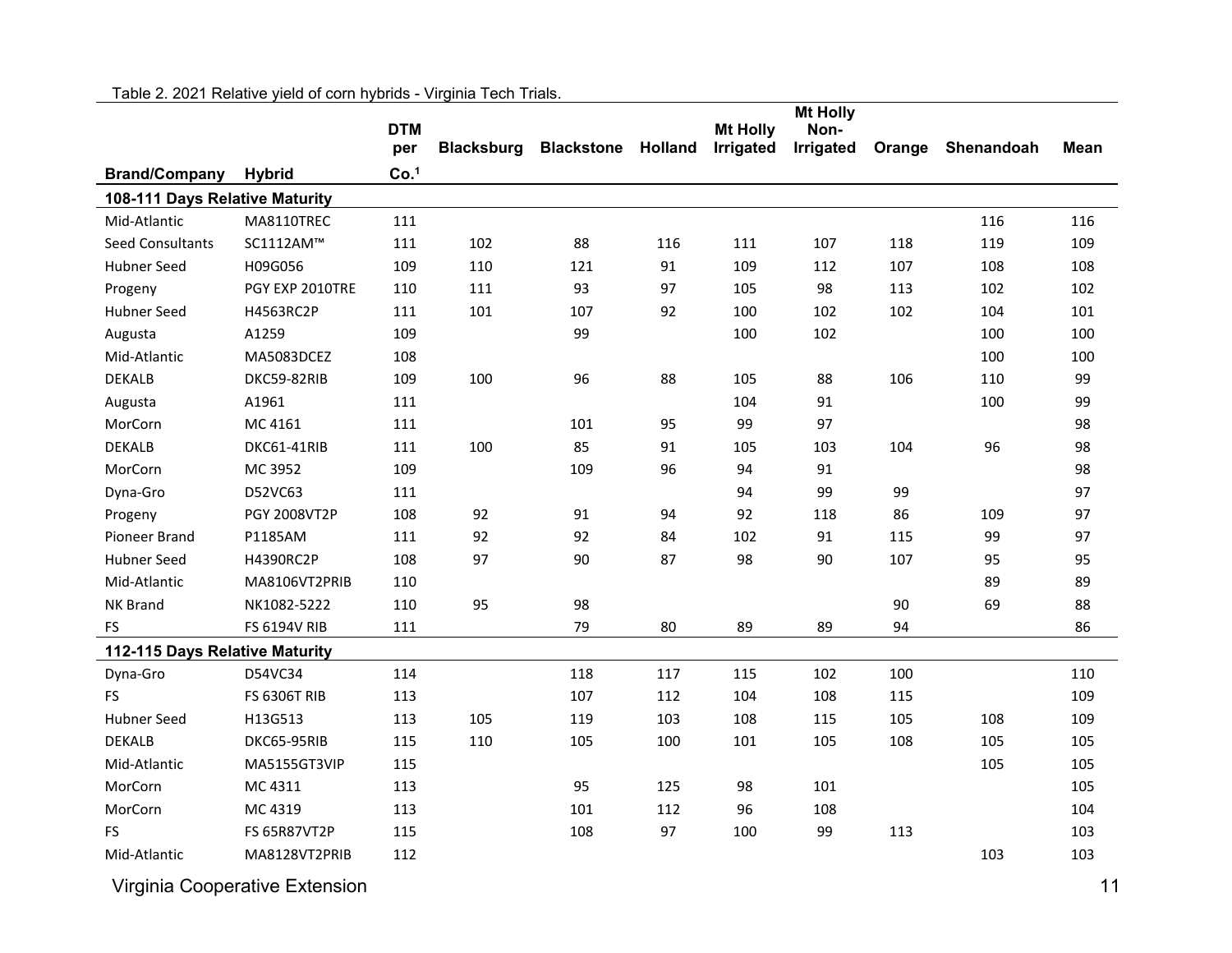|                                |                     |                  |                   |                   |                |                 | <b>Mt Holly</b> |        |            |      |
|--------------------------------|---------------------|------------------|-------------------|-------------------|----------------|-----------------|-----------------|--------|------------|------|
|                                |                     | <b>DTM</b>       |                   |                   |                | <b>Mt Holly</b> | Non-            |        |            |      |
|                                |                     | per              | <b>Blacksburg</b> | <b>Blackstone</b> | <b>Holland</b> | Irrigated       | Irrigated       | Orange | Shenandoah | Mean |
| <b>Brand/Company</b>           | <b>Hybrid</b>       | Co. <sup>1</sup> |                   |                   |                |                 |                 |        |            |      |
| 108-111 Days Relative Maturity |                     |                  |                   |                   |                |                 |                 |        |            |      |
| Mid-Atlantic                   | MA8110TREC          | 111              |                   |                   |                |                 |                 |        | 116        | 116  |
| Seed Consultants               | SC1112AM™           | 111              | 102               | 88                | 116            | 111             | 107             | 118    | 119        | 109  |
| Hubner Seed                    | H09G056             | 109              | 110               | 121               | 91             | 109             | 112             | 107    | 108        | 108  |
| Progeny                        | PGY EXP 2010TRE     | 110              | 111               | 93                | 97             | 105             | 98              | 113    | 102        | 102  |
| <b>Hubner Seed</b>             | H4563RC2P           | 111              | 101               | 107               | 92             | 100             | 102             | 102    | 104        | 101  |
| Augusta                        | A1259               | 109              |                   | 99                |                | 100             | 102             |        | 100        | 100  |
| Mid-Atlantic                   | MA5083DCEZ          | 108              |                   |                   |                |                 |                 |        | 100        | 100  |
| <b>DEKALB</b>                  | DKC59-82RIB         | 109              | 100               | 96                | 88             | 105             | 88              | 106    | 110        | 99   |
| Augusta                        | A1961               | 111              |                   |                   |                | 104             | 91              |        | 100        | 99   |
| MorCorn                        | MC 4161             | 111              |                   | 101               | 95             | 99              | 97              |        |            | 98   |
| <b>DEKALB</b>                  | DKC61-41RIB         | 111              | 100               | 85                | 91             | 105             | 103             | 104    | 96         | 98   |
| MorCorn                        | MC 3952             | 109              |                   | 109               | 96             | 94              | 91              |        |            | 98   |
| Dyna-Gro                       | D52VC63             | 111              |                   |                   |                | 94              | 99              | 99     |            | 97   |
| Progeny                        | PGY 2008VT2P        | 108              | 92                | 91                | 94             | 92              | 118             | 86     | 109        | 97   |
| Pioneer Brand                  | P1185AM             | 111              | 92                | 92                | 84             | 102             | 91              | 115    | 99         | 97   |
| Hubner Seed                    | H4390RC2P           | 108              | 97                | 90                | 87             | 98              | 90              | 107    | 95         | 95   |
| Mid-Atlantic                   | MA8106VT2PRIB       | 110              |                   |                   |                |                 |                 |        | 89         | 89   |
| <b>NK Brand</b>                | NK1082-5222         | 110              | 95                | 98                |                |                 |                 | 90     | 69         | 88   |
| FS                             | <b>FS 6194V RIB</b> | 111              |                   | 79                | 80             | 89              | 89              | 94     |            | 86   |
| 112-115 Days Relative Maturity |                     |                  |                   |                   |                |                 |                 |        |            |      |
| Dyna-Gro                       | D54VC34             | 114              |                   | 118               | 117            | 115             | 102             | 100    |            | 110  |
| <b>FS</b>                      | <b>FS 6306T RIB</b> | 113              |                   | 107               | 112            | 104             | 108             | 115    |            | 109  |
| <b>Hubner Seed</b>             | H13G513             | 113              | 105               | 119               | 103            | 108             | 115             | 105    | 108        | 109  |
| <b>DEKALB</b>                  | DKC65-95RIB         | 115              | 110               | 105               | 100            | 101             | 105             | 108    | 105        | 105  |
| Mid-Atlantic                   | MA5155GT3VIP        | 115              |                   |                   |                |                 |                 |        | 105        | 105  |
| MorCorn                        | MC 4311             | 113              |                   | 95                | 125            | 98              | 101             |        |            | 105  |
| MorCorn                        | MC 4319             | 113              |                   | 101               | 112            | 96              | 108             |        |            | 104  |
| FS.                            | <b>FS 65R87VT2P</b> | 115              |                   | 108               | 97             | 100             | 99              | 113    |            | 103  |
| Mid-Atlantic                   | MA8128VT2PRIB       | 112              |                   |                   |                |                 |                 |        | 103        | 103  |
|                                |                     |                  |                   |                   |                |                 |                 |        |            |      |

Table 2. 2021 Relative yield of corn hybrids - Virginia Tech Trials.

Virginia Cooperative Extension 11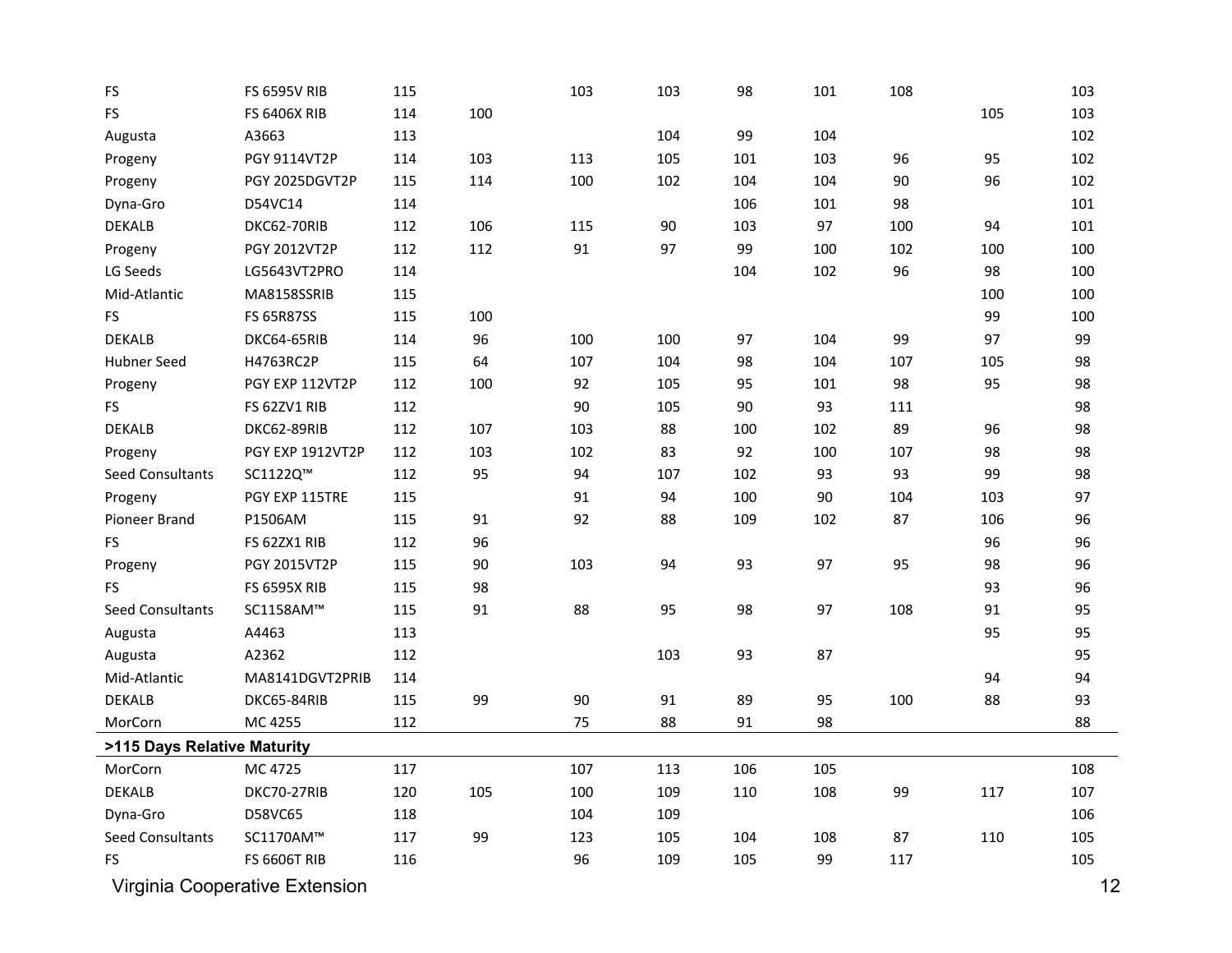| FS                          | <b>FS 6595V RIB</b>            | 115 |     | 103 | 103 | 98  | 101 | 108 |     | 103 |
|-----------------------------|--------------------------------|-----|-----|-----|-----|-----|-----|-----|-----|-----|
| <b>FS</b>                   | <b>FS 6406X RIB</b>            | 114 | 100 |     |     |     |     |     | 105 | 103 |
| Augusta                     | A3663                          | 113 |     |     | 104 | 99  | 104 |     |     | 102 |
| Progeny                     | PGY 9114VT2P                   | 114 | 103 | 113 | 105 | 101 | 103 | 96  | 95  | 102 |
| Progeny                     | PGY 2025DGVT2P                 | 115 | 114 | 100 | 102 | 104 | 104 | 90  | 96  | 102 |
| Dyna-Gro                    | D54VC14                        | 114 |     |     |     | 106 | 101 | 98  |     | 101 |
| <b>DEKALB</b>               | DKC62-70RIB                    | 112 | 106 | 115 | 90  | 103 | 97  | 100 | 94  | 101 |
| Progeny                     | PGY 2012VT2P                   | 112 | 112 | 91  | 97  | 99  | 100 | 102 | 100 | 100 |
| LG Seeds                    | LG5643VT2PRO                   | 114 |     |     |     | 104 | 102 | 96  | 98  | 100 |
| Mid-Atlantic                | MA8158SSRIB                    | 115 |     |     |     |     |     |     | 100 | 100 |
| <b>FS</b>                   | <b>FS 65R87SS</b>              | 115 | 100 |     |     |     |     |     | 99  | 100 |
| <b>DEKALB</b>               | DKC64-65RIB                    | 114 | 96  | 100 | 100 | 97  | 104 | 99  | 97  | 99  |
| <b>Hubner Seed</b>          | H4763RC2P                      | 115 | 64  | 107 | 104 | 98  | 104 | 107 | 105 | 98  |
| Progeny                     | PGY EXP 112VT2P                | 112 | 100 | 92  | 105 | 95  | 101 | 98  | 95  | 98  |
| FS                          | FS 62ZV1 RIB                   | 112 |     | 90  | 105 | 90  | 93  | 111 |     | 98  |
| <b>DEKALB</b>               | DKC62-89RIB                    | 112 | 107 | 103 | 88  | 100 | 102 | 89  | 96  | 98  |
| Progeny                     | PGY EXP 1912VT2P               | 112 | 103 | 102 | 83  | 92  | 100 | 107 | 98  | 98  |
| Seed Consultants            | SC1122Q™                       | 112 | 95  | 94  | 107 | 102 | 93  | 93  | 99  | 98  |
| Progeny                     | PGY EXP 115TRE                 | 115 |     | 91  | 94  | 100 | 90  | 104 | 103 | 97  |
| Pioneer Brand               | P1506AM                        | 115 | 91  | 92  | 88  | 109 | 102 | 87  | 106 | 96  |
| <b>FS</b>                   | FS 62ZX1 RIB                   | 112 | 96  |     |     |     |     |     | 96  | 96  |
| Progeny                     | PGY 2015VT2P                   | 115 | 90  | 103 | 94  | 93  | 97  | 95  | 98  | 96  |
| <b>FS</b>                   | <b>FS 6595X RIB</b>            | 115 | 98  |     |     |     |     |     | 93  | 96  |
| Seed Consultants            | SC1158AM™                      | 115 | 91  | 88  | 95  | 98  | 97  | 108 | 91  | 95  |
| Augusta                     | A4463                          | 113 |     |     |     |     |     |     | 95  | 95  |
| Augusta                     | A2362                          | 112 |     |     | 103 | 93  | 87  |     |     | 95  |
| Mid-Atlantic                | MA8141DGVT2PRIB                | 114 |     |     |     |     |     |     | 94  | 94  |
| <b>DEKALB</b>               | DKC65-84RIB                    | 115 | 99  | 90  | 91  | 89  | 95  | 100 | 88  | 93  |
| MorCorn                     | MC 4255                        | 112 |     | 75  | 88  | 91  | 98  |     |     | 88  |
| >115 Days Relative Maturity |                                |     |     |     |     |     |     |     |     |     |
| MorCorn                     | MC 4725                        | 117 |     | 107 | 113 | 106 | 105 |     |     | 108 |
| <b>DEKALB</b>               | DKC70-27RIB                    | 120 | 105 | 100 | 109 | 110 | 108 | 99  | 117 | 107 |
| Dyna-Gro                    | D58VC65                        | 118 |     | 104 | 109 |     |     |     |     | 106 |
| Seed Consultants            | SC1170AM™                      | 117 | 99  | 123 | 105 | 104 | 108 | 87  | 110 | 105 |
| FS                          | <b>FS 6606T RIB</b>            | 116 |     | 96  | 109 | 105 | 99  | 117 |     | 105 |
|                             | Virginia Cooperative Extension |     |     |     |     |     |     |     |     | 12  |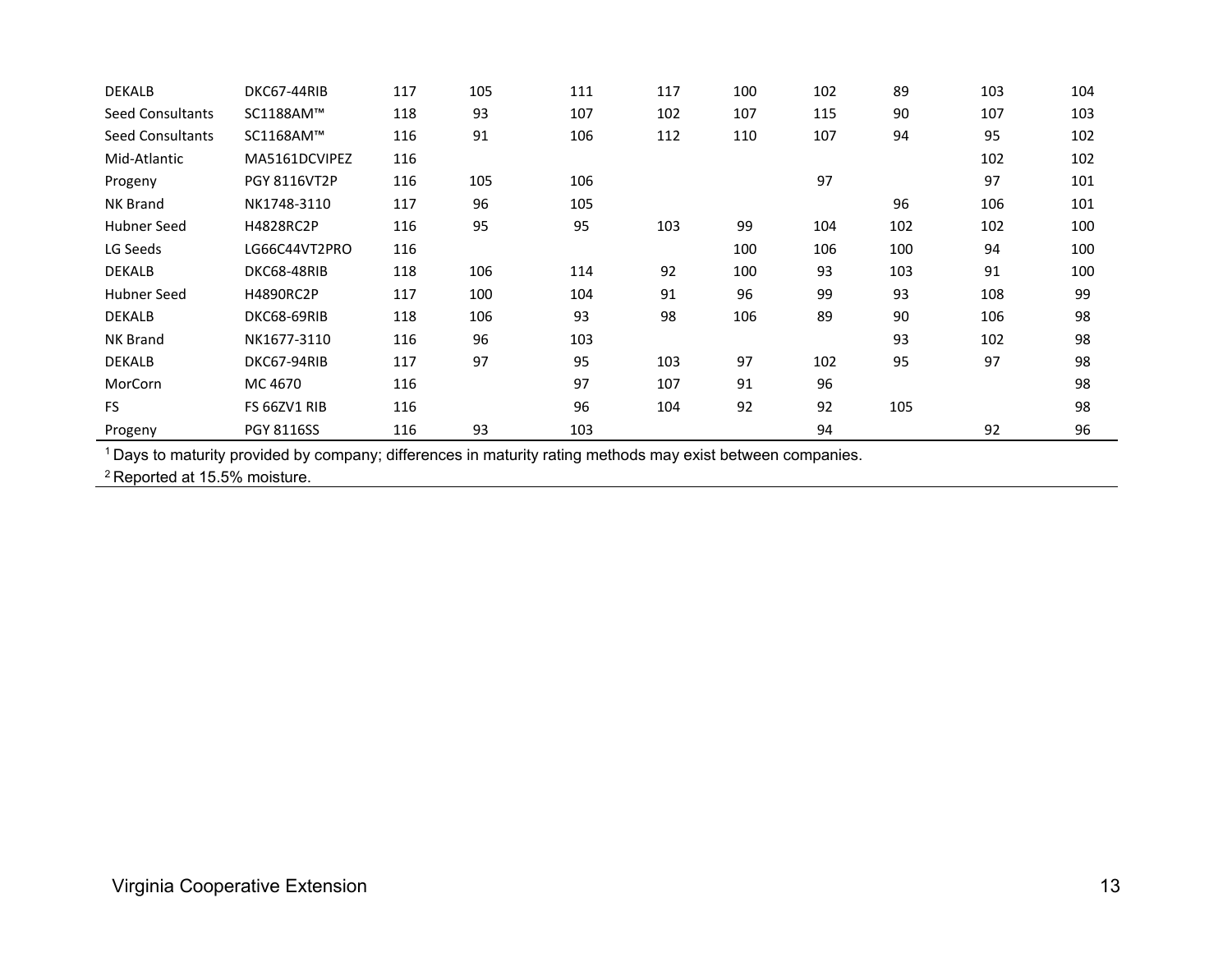| <b>DEKALB</b>           | DKC67-44RIB         | 117 | 105 | 111 | 117 | 100 | 102 | 89  | 103 | 104 |
|-------------------------|---------------------|-----|-----|-----|-----|-----|-----|-----|-----|-----|
| <b>Seed Consultants</b> | SC1188AM™           | 118 | 93  | 107 | 102 | 107 | 115 | 90  | 107 | 103 |
| <b>Seed Consultants</b> | SC1168AM™           | 116 | 91  | 106 | 112 | 110 | 107 | 94  | 95  | 102 |
| Mid-Atlantic            | MA5161DCVIPEZ       | 116 |     |     |     |     |     |     | 102 | 102 |
| Progeny                 | <b>PGY 8116VT2P</b> | 116 | 105 | 106 |     |     | 97  |     | 97  | 101 |
| <b>NK Brand</b>         | NK1748-3110         | 117 | 96  | 105 |     |     |     | 96  | 106 | 101 |
| Hubner Seed             | <b>H4828RC2P</b>    | 116 | 95  | 95  | 103 | 99  | 104 | 102 | 102 | 100 |
| LG Seeds                | LG66C44VT2PRO       | 116 |     |     |     | 100 | 106 | 100 | 94  | 100 |
| <b>DEKALB</b>           | DKC68-48RIB         | 118 | 106 | 114 | 92  | 100 | 93  | 103 | 91  | 100 |
| Hubner Seed             | <b>H4890RC2P</b>    | 117 | 100 | 104 | 91  | 96  | 99  | 93  | 108 | 99  |
| <b>DEKALB</b>           | DKC68-69RIB         | 118 | 106 | 93  | 98  | 106 | 89  | 90  | 106 | 98  |
| <b>NK Brand</b>         | NK1677-3110         | 116 | 96  | 103 |     |     |     | 93  | 102 | 98  |
| <b>DEKALB</b>           | DKC67-94RIB         | 117 | 97  | 95  | 103 | 97  | 102 | 95  | 97  | 98  |
| MorCorn                 | MC 4670             | 116 |     | 97  | 107 | 91  | 96  |     |     | 98  |
| FS.                     | FS 66ZV1 RIB        | 116 |     | 96  | 104 | 92  | 92  | 105 |     | 98  |
| Progeny                 | <b>PGY 8116SS</b>   | 116 | 93  | 103 |     |     | 94  |     | 92  | 96  |

1 Days to maturity provided by company; differences in maturity rating methods may exist between companies.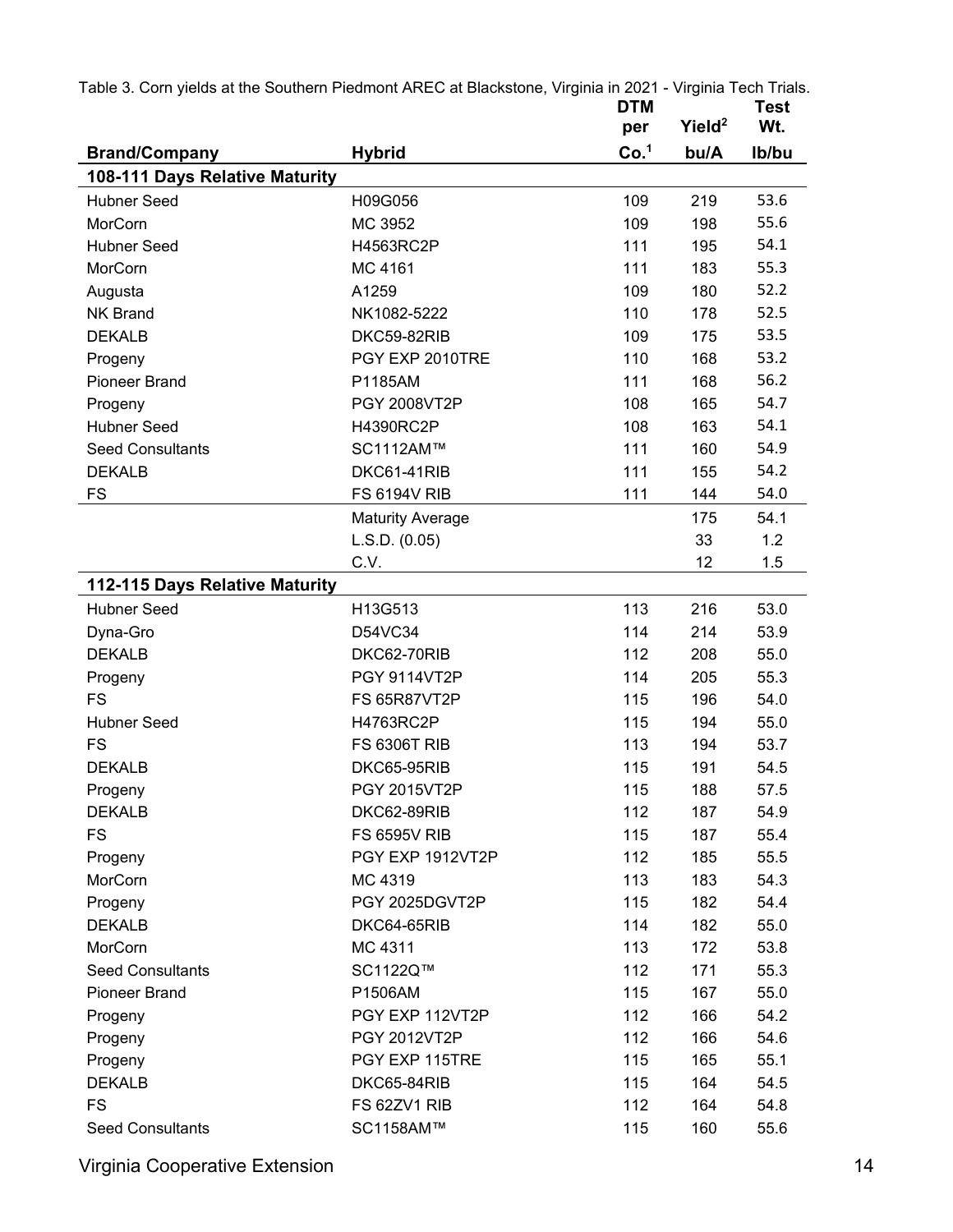| Table 3. Corn yields at the Southern Piedmont AREC at Blackstone, Virginia in 2021 - Virginia Tech Trials. |                         | <b>DTM</b><br>per | Yield <sup>2</sup> | Test<br>Wt.  |
|------------------------------------------------------------------------------------------------------------|-------------------------|-------------------|--------------------|--------------|
|                                                                                                            |                         | Co. <sup>1</sup>  | bu/A               | Ib/bu        |
| <b>Brand/Company</b>                                                                                       | <b>Hybrid</b>           |                   |                    |              |
| 108-111 Days Relative Maturity                                                                             |                         |                   |                    |              |
| <b>Hubner Seed</b>                                                                                         | H09G056                 | 109               | 219                | 53.6         |
| MorCorn                                                                                                    | MC 3952                 | 109               | 198                | 55.6<br>54.1 |
| <b>Hubner Seed</b>                                                                                         | H4563RC2P               | 111               | 195                |              |
| MorCorn                                                                                                    | MC 4161                 | 111               | 183                | 55.3         |
| Augusta                                                                                                    | A1259                   | 109               | 180                | 52.2         |
| <b>NK Brand</b>                                                                                            | NK1082-5222             | 110               | 178                | 52.5         |
| <b>DEKALB</b>                                                                                              | DKC59-82RIB             | 109               | 175                | 53.5         |
| Progeny                                                                                                    | PGY EXP 2010TRE         | 110               | 168                | 53.2         |
| <b>Pioneer Brand</b>                                                                                       | P1185AM                 | 111               | 168                | 56.2         |
| Progeny                                                                                                    | PGY 2008VT2P            | 108               | 165                | 54.7         |
| <b>Hubner Seed</b>                                                                                         | H4390RC2P               | 108               | 163                | 54.1         |
| <b>Seed Consultants</b>                                                                                    | SC1112AM™               | 111               | 160                | 54.9         |
| <b>DEKALB</b>                                                                                              | DKC61-41RIB             | 111               | 155                | 54.2         |
| <b>FS</b>                                                                                                  | <b>FS 6194V RIB</b>     | 111               | 144                | 54.0         |
|                                                                                                            | <b>Maturity Average</b> |                   | 175                | 54.1         |
|                                                                                                            | L.S.D. (0.05)           |                   | 33                 | 1.2          |
|                                                                                                            | C.V.                    |                   | 12                 | 1.5          |
| 112-115 Days Relative Maturity                                                                             |                         |                   |                    |              |
| <b>Hubner Seed</b>                                                                                         | H13G513                 | 113               | 216                | 53.0         |
| Dyna-Gro                                                                                                   | D54VC34                 | 114               | 214                | 53.9         |
| <b>DEKALB</b>                                                                                              | DKC62-70RIB             | 112               | 208                | 55.0         |
| Progeny                                                                                                    | PGY 9114VT2P            | 114               | 205                | 55.3         |
| <b>FS</b>                                                                                                  | <b>FS 65R87VT2P</b>     | 115               | 196                | 54.0         |
| <b>Hubner Seed</b>                                                                                         | H4763RC2P               | 115               | 194                | 55.0         |
| <b>FS</b>                                                                                                  | <b>FS 6306T RIB</b>     | 113               | 194                | 53.7         |
| <b>DEKALB</b>                                                                                              | DKC65-95RIB             | 115               | 191                | 54.5         |
| Progeny                                                                                                    | <b>PGY 2015VT2P</b>     | 115               | 188                | 57.5         |
| <b>DEKALB</b>                                                                                              | DKC62-89RIB             | 112               | 187                | 54.9         |
| <b>FS</b>                                                                                                  | <b>FS 6595V RIB</b>     | 115               | 187                | 55.4         |
| Progeny                                                                                                    | PGY EXP 1912VT2P        | 112               | 185                | 55.5         |
| MorCorn                                                                                                    | MC 4319                 | 113               | 183                | 54.3         |
| Progeny                                                                                                    | PGY 2025DGVT2P          | 115               | 182                | 54.4         |
| <b>DEKALB</b>                                                                                              | DKC64-65RIB             | 114               | 182                | 55.0         |
| MorCorn                                                                                                    | MC 4311                 | 113               | 172                | 53.8         |
| <b>Seed Consultants</b>                                                                                    | SC1122Q™                | 112               | 171                | 55.3         |
| <b>Pioneer Brand</b>                                                                                       | P1506AM                 | 115               | 167                | 55.0         |
| Progeny                                                                                                    | PGY EXP 112VT2P         | 112               | 166                | 54.2         |
| Progeny                                                                                                    | PGY 2012VT2P            | 112               | 166                | 54.6         |
| Progeny                                                                                                    | PGY EXP 115TRE          | 115               | 165                | 55.1         |
| <b>DEKALB</b>                                                                                              | DKC65-84RIB             | 115               | 164                | 54.5         |
| <b>FS</b>                                                                                                  | FS 62ZV1 RIB            | 112               | 164                |              |
|                                                                                                            |                         |                   |                    | 54.8         |
| <b>Seed Consultants</b>                                                                                    | SC1158AM™               | 115               | 160                | 55.6         |

Virginia Cooperative Extension **14**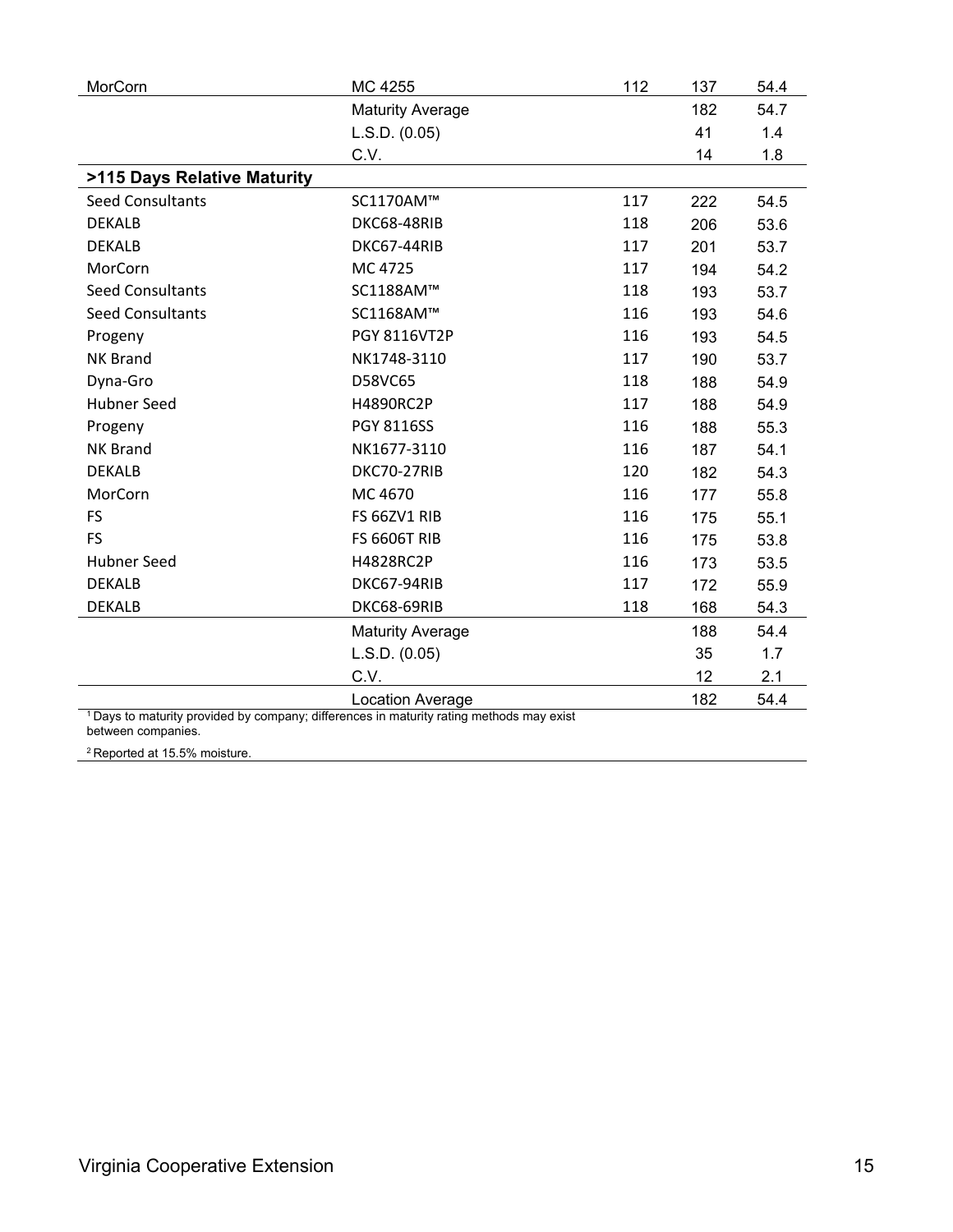| MorCorn                                  | MC 4255                                                                         | 112 | 137 | 54.4 |
|------------------------------------------|---------------------------------------------------------------------------------|-----|-----|------|
|                                          | <b>Maturity Average</b>                                                         |     | 182 | 54.7 |
|                                          | L.S.D. (0.05)                                                                   |     | 41  | 1.4  |
|                                          | C.V.                                                                            |     | 14  | 1.8  |
| >115 Days Relative Maturity              |                                                                                 |     |     |      |
| <b>Seed Consultants</b>                  | SC1170AM™                                                                       | 117 | 222 | 54.5 |
| <b>DEKALB</b>                            | DKC68-48RIB                                                                     | 118 | 206 | 53.6 |
| <b>DEKALB</b>                            | DKC67-44RIB                                                                     | 117 | 201 | 53.7 |
| MorCorn                                  | MC 4725                                                                         | 117 | 194 | 54.2 |
| <b>Seed Consultants</b>                  | SC1188AM™                                                                       | 118 | 193 | 53.7 |
| <b>Seed Consultants</b>                  | SC1168AM™                                                                       | 116 | 193 | 54.6 |
| Progeny                                  | PGY 8116VT2P                                                                    | 116 | 193 | 54.5 |
| <b>NK Brand</b>                          | NK1748-3110                                                                     | 117 | 190 | 53.7 |
| Dyna-Gro                                 | D58VC65                                                                         | 118 | 188 | 54.9 |
| <b>Hubner Seed</b>                       | H4890RC2P                                                                       | 117 | 188 | 54.9 |
| Progeny                                  | PGY 8116SS                                                                      | 116 | 188 | 55.3 |
| <b>NK Brand</b>                          | NK1677-3110                                                                     | 116 | 187 | 54.1 |
| <b>DEKALB</b>                            | DKC70-27RIB                                                                     | 120 | 182 | 54.3 |
| MorCorn                                  | MC 4670                                                                         | 116 | 177 | 55.8 |
| <b>FS</b>                                | FS 66ZV1 RIB                                                                    | 116 | 175 | 55.1 |
| <b>FS</b>                                | <b>FS 6606T RIB</b>                                                             | 116 | 175 | 53.8 |
| <b>Hubner Seed</b>                       | H4828RC2P                                                                       | 116 | 173 | 53.5 |
| <b>DEKALB</b>                            | DKC67-94RIB                                                                     | 117 | 172 | 55.9 |
| <b>DEKALB</b>                            | DKC68-69RIB                                                                     | 118 | 168 | 54.3 |
|                                          | <b>Maturity Average</b>                                                         |     | 188 | 54.4 |
|                                          | L.S.D. (0.05)                                                                   |     | 35  | 1.7  |
|                                          | C.V.                                                                            |     | 12  | 2.1  |
| $1 \text{D}$ ava ta maturitu nxavidad hu | <b>Location Average</b><br>nu differences in moturity roting mothodo move oviet |     | 182 | 54.4 |

 $1$  Days to maturity provided by company; differences in maturity rating methods may exist between companies.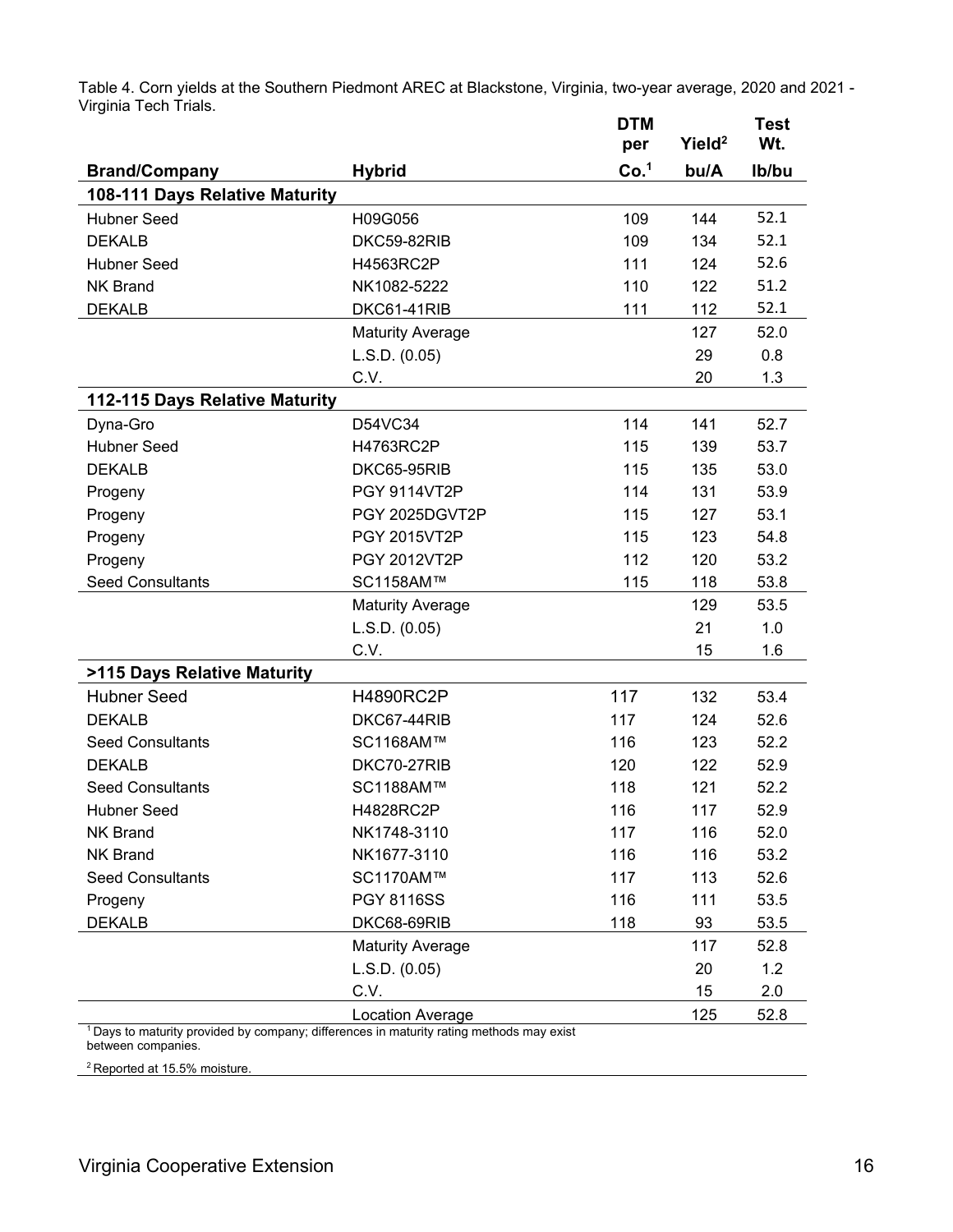Table 4. Corn yields at the Southern Piedmont AREC at Blackstone, Virginia, two-year average, 2020 and 2021 - Virginia Tech Trials. **DTM Test** 

|                                                                                            |                         | ואו ש<br>per     | Yield <sup>2</sup> | i est<br>Wt. |
|--------------------------------------------------------------------------------------------|-------------------------|------------------|--------------------|--------------|
| <b>Brand/Company</b>                                                                       | <b>Hybrid</b>           | Co. <sup>1</sup> | bu/A               | Ib/bu        |
| 108-111 Days Relative Maturity                                                             |                         |                  |                    |              |
| <b>Hubner Seed</b>                                                                         | H09G056                 | 109              | 144                | 52.1         |
| <b>DEKALB</b>                                                                              | DKC59-82RIB             | 109              | 134                | 52.1         |
| <b>Hubner Seed</b>                                                                         | H4563RC2P               | 111              | 124                | 52.6         |
| <b>NK Brand</b>                                                                            | NK1082-5222             | 110              | 122                | 51.2         |
| <b>DEKALB</b>                                                                              | DKC61-41RIB             | 111              | 112                | 52.1         |
|                                                                                            | <b>Maturity Average</b> |                  | 127                | 52.0         |
|                                                                                            | L.S.D. (0.05)           |                  | 29                 | 0.8          |
|                                                                                            | C.V.                    |                  | 20                 | 1.3          |
| 112-115 Days Relative Maturity                                                             |                         |                  |                    |              |
| Dyna-Gro                                                                                   | D54VC34                 | 114              | 141                | 52.7         |
| <b>Hubner Seed</b>                                                                         | H4763RC2P               | 115              | 139                | 53.7         |
| <b>DEKALB</b>                                                                              | DKC65-95RIB             | 115              | 135                | 53.0         |
| Progeny                                                                                    | <b>PGY 9114VT2P</b>     | 114              | 131                | 53.9         |
| Progeny                                                                                    | PGY 2025DGVT2P          | 115              | 127                | 53.1         |
| Progeny                                                                                    | <b>PGY 2015VT2P</b>     | 115              | 123                | 54.8         |
| Progeny                                                                                    | <b>PGY 2012VT2P</b>     | 112              | 120                | 53.2         |
| <b>Seed Consultants</b>                                                                    | SC1158AM™               | 115              | 118                | 53.8         |
|                                                                                            | <b>Maturity Average</b> |                  | 129                | 53.5         |
|                                                                                            | L.S.D. (0.05)           |                  | 21                 | 1.0          |
|                                                                                            | C.V.                    |                  | 15                 | 1.6          |
| >115 Days Relative Maturity                                                                |                         |                  |                    |              |
| <b>Hubner Seed</b>                                                                         | <b>H4890RC2P</b>        | 117              | 132                | 53.4         |
| <b>DEKALB</b>                                                                              | DKC67-44RIB             | 117              | 124                | 52.6         |
| <b>Seed Consultants</b>                                                                    | SC1168AM™               | 116              | 123                | 52.2         |
| <b>DEKALB</b>                                                                              | DKC70-27RIB             | 120              | 122                | 52.9         |
| <b>Seed Consultants</b>                                                                    | SC1188AM™               | 118              | 121                | 52.2         |
| <b>Hubner Seed</b>                                                                         | H4828RC2P               | 116              | 117                | 52.9         |
| <b>NK Brand</b>                                                                            | NK1748-3110             | 117              | 116                | 52.0         |
| <b>NK Brand</b>                                                                            | NK1677-3110             | 116              | 116                | 53.2         |
| <b>Seed Consultants</b>                                                                    | SC1170AM™               | 117              | 113                | 52.6         |
| Progeny                                                                                    | <b>PGY 8116SS</b>       | 116              | 111                | 53.5         |
| <b>DEKALB</b>                                                                              | DKC68-69RIB             | 118              | 93                 | 53.5         |
|                                                                                            | <b>Maturity Average</b> |                  | 117                | 52.8         |
|                                                                                            | L.S.D. (0.05)           |                  | 20                 | 1.2          |
|                                                                                            | C.V.                    |                  | 15                 | 2.0          |
| $1$ Davs to maturity provided by company, differences in maturity rating methods may exist | Location Average        |                  | 125                | 52.8         |

1 Days to maturity provided by company; differences in maturity rating methods may exist between companies.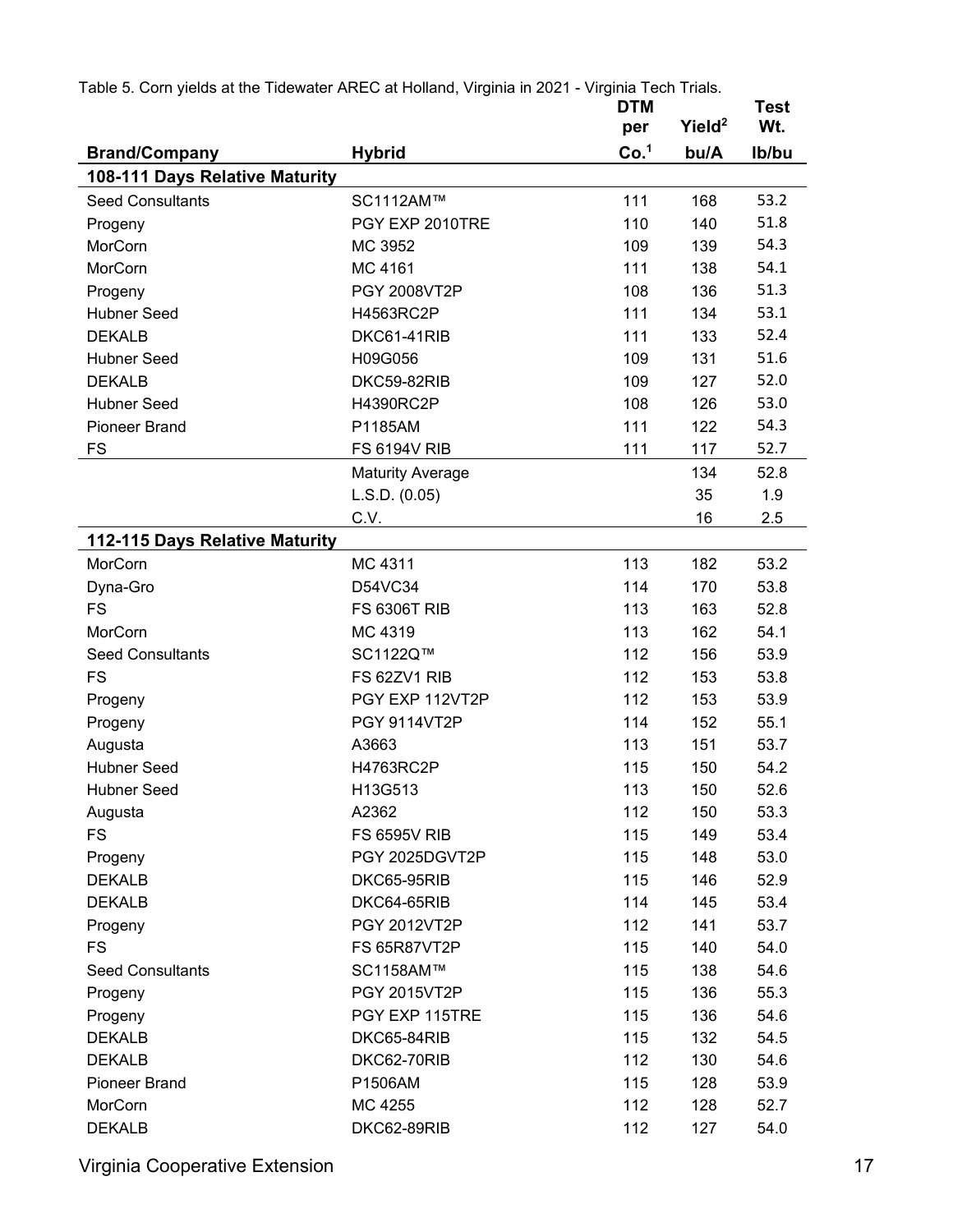| Table 5. Corn yields at the Tidewater AREC at Holland, Virginia in 2021 - Virginia Tech Trials. |                         |                  |                    |                    |
|-------------------------------------------------------------------------------------------------|-------------------------|------------------|--------------------|--------------------|
|                                                                                                 |                         | <b>DTM</b>       | Yield <sup>2</sup> | <b>Test</b><br>Wt. |
|                                                                                                 |                         | per              |                    |                    |
| <b>Brand/Company</b>                                                                            | <b>Hybrid</b>           | Co. <sup>1</sup> | bu/A               | Ib/bu              |
| 108-111 Days Relative Maturity                                                                  |                         |                  |                    |                    |
| <b>Seed Consultants</b>                                                                         | SC1112AM™               | 111              | 168                | 53.2               |
| Progeny                                                                                         | PGY EXP 2010TRE         | 110              | 140                | 51.8               |
| MorCorn                                                                                         | MC 3952                 | 109              | 139                | 54.3               |
| MorCorn                                                                                         | MC 4161                 | 111              | 138                | 54.1               |
| Progeny                                                                                         | PGY 2008VT2P            | 108              | 136                | 51.3               |
| <b>Hubner Seed</b>                                                                              | H4563RC2P               | 111              | 134                | 53.1               |
| <b>DEKALB</b>                                                                                   | DKC61-41RIB             | 111              | 133                | 52.4               |
| <b>Hubner Seed</b>                                                                              | H09G056                 | 109              | 131                | 51.6               |
| <b>DEKALB</b>                                                                                   | DKC59-82RIB             | 109              | 127                | 52.0               |
| <b>Hubner Seed</b>                                                                              | H4390RC2P               | 108              | 126                | 53.0               |
| <b>Pioneer Brand</b>                                                                            | P1185AM                 | 111              | 122                | 54.3               |
| FS                                                                                              | <b>FS 6194V RIB</b>     | 111              | 117                | 52.7               |
|                                                                                                 | <b>Maturity Average</b> |                  | 134                | 52.8               |
|                                                                                                 | L.S.D. (0.05)           |                  | 35                 | 1.9                |
|                                                                                                 | C.V.                    |                  | 16                 | 2.5                |
| 112-115 Days Relative Maturity                                                                  |                         |                  |                    |                    |
| MorCorn                                                                                         | MC 4311                 | 113              | 182                | 53.2               |
| Dyna-Gro                                                                                        | D54VC34                 | 114              | 170                | 53.8               |
| <b>FS</b>                                                                                       | <b>FS 6306T RIB</b>     | 113              | 163                | 52.8               |
| MorCorn                                                                                         | MC 4319                 | 113              | 162                | 54.1               |
| <b>Seed Consultants</b>                                                                         | SC1122Q™                | 112              | 156                | 53.9               |
| <b>FS</b>                                                                                       | FS 62ZV1 RIB            | 112              | 153                | 53.8               |
| Progeny                                                                                         | PGY EXP 112VT2P         | 112              | 153                | 53.9               |
| Progeny                                                                                         | <b>PGY 9114VT2P</b>     | 114              | 152                | 55.1               |
| Augusta                                                                                         | A3663                   | 113              | 151                | 53.7               |
| <b>Hubner Seed</b>                                                                              | H4763RC2P               | 115              | 150                | 54.2               |
| <b>Hubner Seed</b>                                                                              | H13G513                 | 113              | 150                | 52.6               |
| Augusta                                                                                         | A2362                   | 112              | 150                | 53.3               |
| <b>FS</b>                                                                                       | <b>FS 6595V RIB</b>     | 115              | 149                | 53.4               |
| Progeny                                                                                         | PGY 2025DGVT2P          | 115              | 148                | 53.0               |
| <b>DEKALB</b>                                                                                   | DKC65-95RIB             | 115              | 146                | 52.9               |
| <b>DEKALB</b>                                                                                   | DKC64-65RIB             | 114              | 145                | 53.4               |
| Progeny                                                                                         | PGY 2012VT2P            | 112              | 141                | 53.7               |
| <b>FS</b>                                                                                       | <b>FS 65R87VT2P</b>     | 115              | 140                | 54.0               |
| <b>Seed Consultants</b>                                                                         | SC1158AM™               | 115              | 138                | 54.6               |
| Progeny                                                                                         | PGY 2015VT2P            | 115              | 136                | 55.3               |
| Progeny                                                                                         | PGY EXP 115TRE          | 115              | 136                | 54.6               |
| <b>DEKALB</b>                                                                                   | DKC65-84RIB             | 115              | 132                | 54.5               |
| <b>DEKALB</b>                                                                                   | DKC62-70RIB             | 112              | 130                | 54.6               |
| <b>Pioneer Brand</b>                                                                            | P1506AM                 | 115              | 128                | 53.9               |
| MorCorn                                                                                         | MC 4255                 | 112              | 128                | 52.7               |
|                                                                                                 |                         |                  |                    |                    |
| <b>DEKALB</b>                                                                                   | DKC62-89RIB             | 112              | 127                | 54.0               |

Virginia Cooperative Extension 17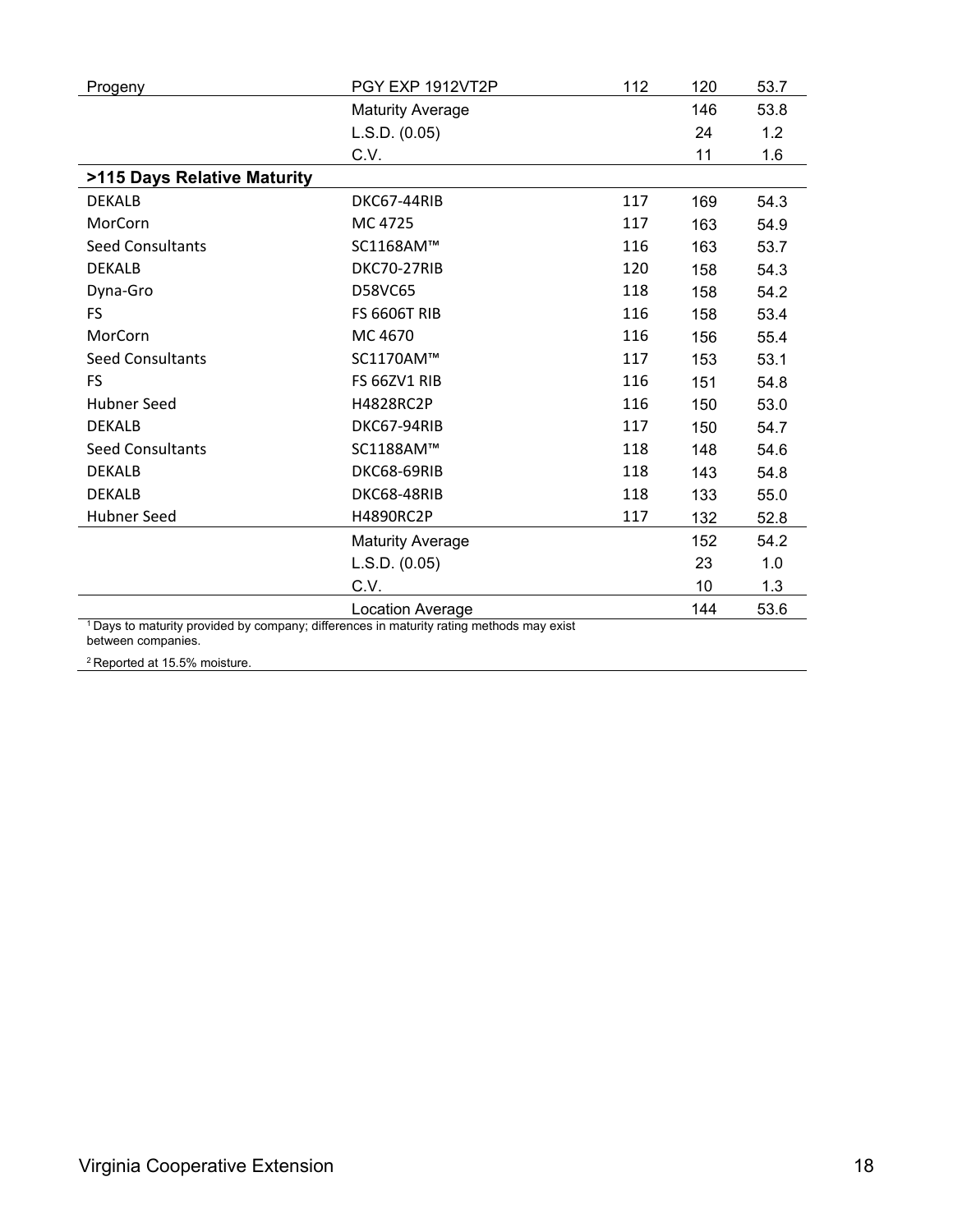| Progeny                                                                                             | PGY EXP 1912VT2P        | 112 | 120 | 53.7 |
|-----------------------------------------------------------------------------------------------------|-------------------------|-----|-----|------|
|                                                                                                     | <b>Maturity Average</b> |     | 146 | 53.8 |
|                                                                                                     | L.S.D. (0.05)           |     | 24  | 1.2  |
|                                                                                                     | C.V.                    |     | 11  | 1.6  |
| >115 Days Relative Maturity                                                                         |                         |     |     |      |
| <b>DEKALB</b>                                                                                       | DKC67-44RIB             | 117 | 169 | 54.3 |
| MorCorn                                                                                             | MC 4725                 | 117 | 163 | 54.9 |
| <b>Seed Consultants</b>                                                                             | SC1168AM™               | 116 | 163 | 53.7 |
| <b>DEKALB</b>                                                                                       | DKC70-27RIB             | 120 | 158 | 54.3 |
| Dyna-Gro                                                                                            | D58VC65                 | 118 | 158 | 54.2 |
| FS.                                                                                                 | <b>FS 6606T RIB</b>     | 116 | 158 | 53.4 |
| MorCorn                                                                                             | MC 4670                 | 116 | 156 | 55.4 |
| <b>Seed Consultants</b>                                                                             | SC1170AM™               | 117 | 153 | 53.1 |
| <b>FS</b>                                                                                           | FS 66ZV1 RIB            | 116 | 151 | 54.8 |
| Hubner Seed                                                                                         | H4828RC2P               | 116 | 150 | 53.0 |
| <b>DEKALB</b>                                                                                       | DKC67-94RIB             | 117 | 150 | 54.7 |
| <b>Seed Consultants</b>                                                                             | SC1188AM™               | 118 | 148 | 54.6 |
| <b>DEKALB</b>                                                                                       | DKC68-69RIB             | 118 | 143 | 54.8 |
| <b>DEKALB</b>                                                                                       | DKC68-48RIB             | 118 | 133 | 55.0 |
| <b>Hubner Seed</b>                                                                                  | H4890RC2P               | 117 | 132 | 52.8 |
|                                                                                                     | <b>Maturity Average</b> |     | 152 | 54.2 |
|                                                                                                     | L.S.D. (0.05)           |     | 23  | 1.0  |
|                                                                                                     | C.V.                    |     | 10  | 1.3  |
|                                                                                                     | Location Average        |     | 144 | 53.6 |
| <sup>1</sup> Days to maturity provided by company; differences in maturity rating methods may exist |                         |     |     |      |

1 Days to maturity provided by company; differences in maturity rating methods may exist between companies.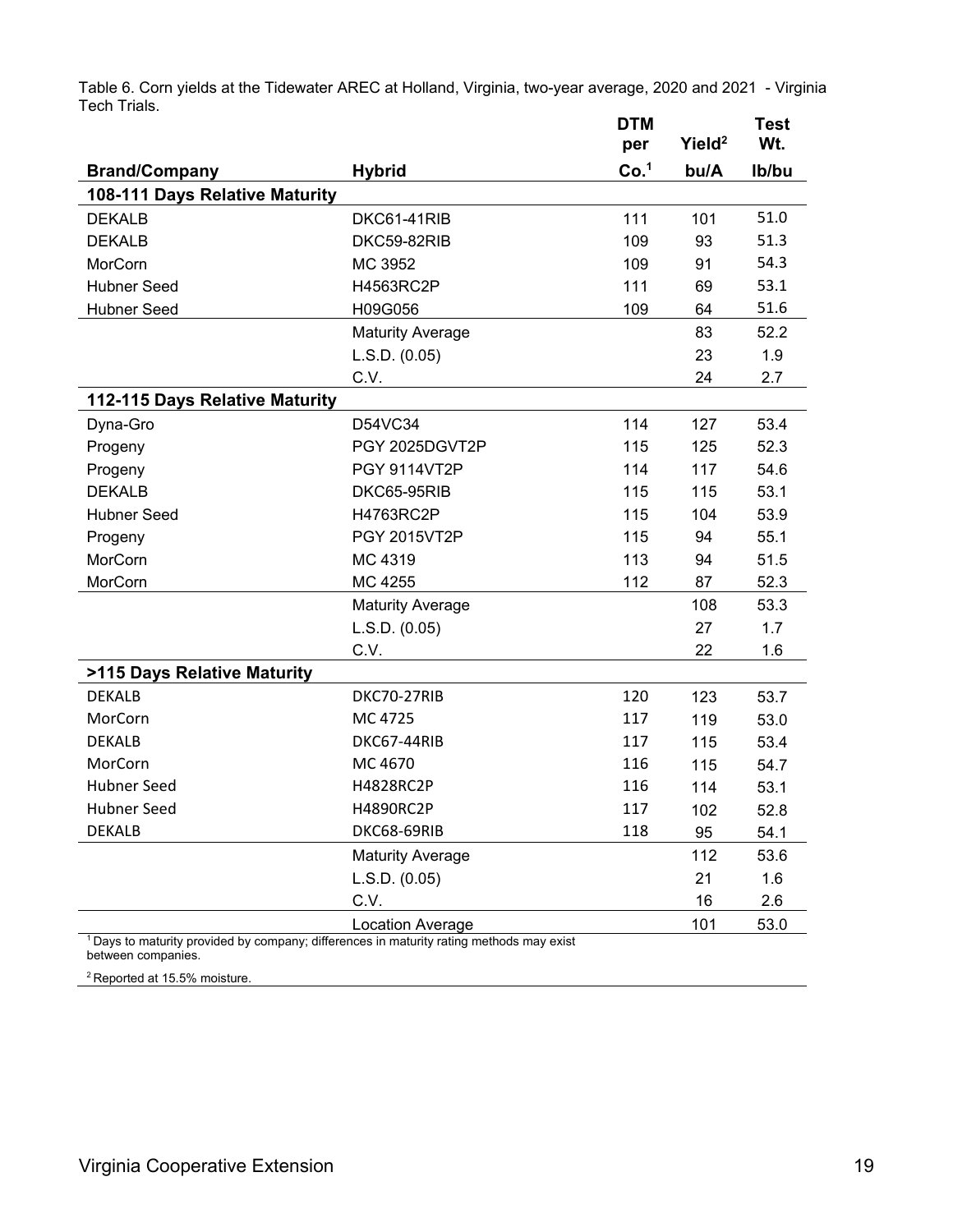|                                |                         | <b>DTM</b><br>per | Yield <sup>2</sup> | <b>Test</b><br>Wt. |
|--------------------------------|-------------------------|-------------------|--------------------|--------------------|
| <b>Brand/Company</b>           | <b>Hybrid</b>           | Co. <sup>1</sup>  | bu/A               | Ib/bu              |
| 108-111 Days Relative Maturity |                         |                   |                    |                    |
| <b>DEKALB</b>                  | DKC61-41RIB             | 111               | 101                | 51.0               |
| <b>DEKALB</b>                  | DKC59-82RIB             | 109               | 93                 | 51.3               |
| MorCorn                        | MC 3952                 | 109               | 91                 | 54.3               |
| <b>Hubner Seed</b>             | H4563RC2P               | 111               | 69                 | 53.1               |
| Hubner Seed                    | H09G056                 | 109               | 64                 | 51.6               |
|                                | <b>Maturity Average</b> |                   | 83                 | 52.2               |
|                                | L.S.D. (0.05)           |                   | 23                 | 1.9                |
|                                | C.V.                    |                   | 24                 | 2.7                |
| 112-115 Days Relative Maturity |                         |                   |                    |                    |
| Dyna-Gro                       | D54VC34                 | 114               | 127                | 53.4               |
| Progeny                        | PGY 2025DGVT2P          | 115               | 125                | 52.3               |
| Progeny                        | <b>PGY 9114VT2P</b>     | 114               | 117                | 54.6               |
| <b>DEKALB</b>                  | DKC65-95RIB             | 115               | 115                | 53.1               |
| <b>Hubner Seed</b>             | H4763RC2P               | 115               | 104                | 53.9               |
| Progeny                        | PGY 2015VT2P            | 115               | 94                 | 55.1               |
| MorCorn                        | MC 4319                 | 113               | 94                 | 51.5               |
| MorCorn                        | MC 4255                 | 112               | 87                 | 52.3               |
|                                | <b>Maturity Average</b> |                   | 108                | 53.3               |
|                                | L.S.D. (0.05)           |                   | 27                 | 1.7                |
|                                | C.V.                    |                   | 22                 | 1.6                |
| >115 Days Relative Maturity    |                         |                   |                    |                    |
| <b>DEKALB</b>                  | DKC70-27RIB             | 120               | 123                | 53.7               |
| MorCorn                        | MC 4725                 | 117               | 119                | 53.0               |
| <b>DEKALB</b>                  | DKC67-44RIB             | 117               | 115                | 53.4               |
| MorCorn                        | MC 4670                 | 116               | 115                | 54.7               |
| <b>Hubner Seed</b>             | H4828RC2P               | 116               | 114                | 53.1               |
| <b>Hubner Seed</b>             | H4890RC2P               | 117               | 102                | 52.8               |
| <b>DEKALB</b>                  | DKC68-69RIB             | 118               | 95                 | 54.1               |
|                                | <b>Maturity Average</b> |                   | 112                | 53.6               |
|                                | L.S.D. (0.05)           |                   | 21                 | 1.6                |

C.V. 2.6

Table 6. Corn yields at the Tidewater AREC at Holland, Virginia, two-year average, 2020 and 2021 - Virginia Tech Trials.

Location Average 101 53.0 1 Days to maturity provided by company; differences in maturity rating methods may exist between companies.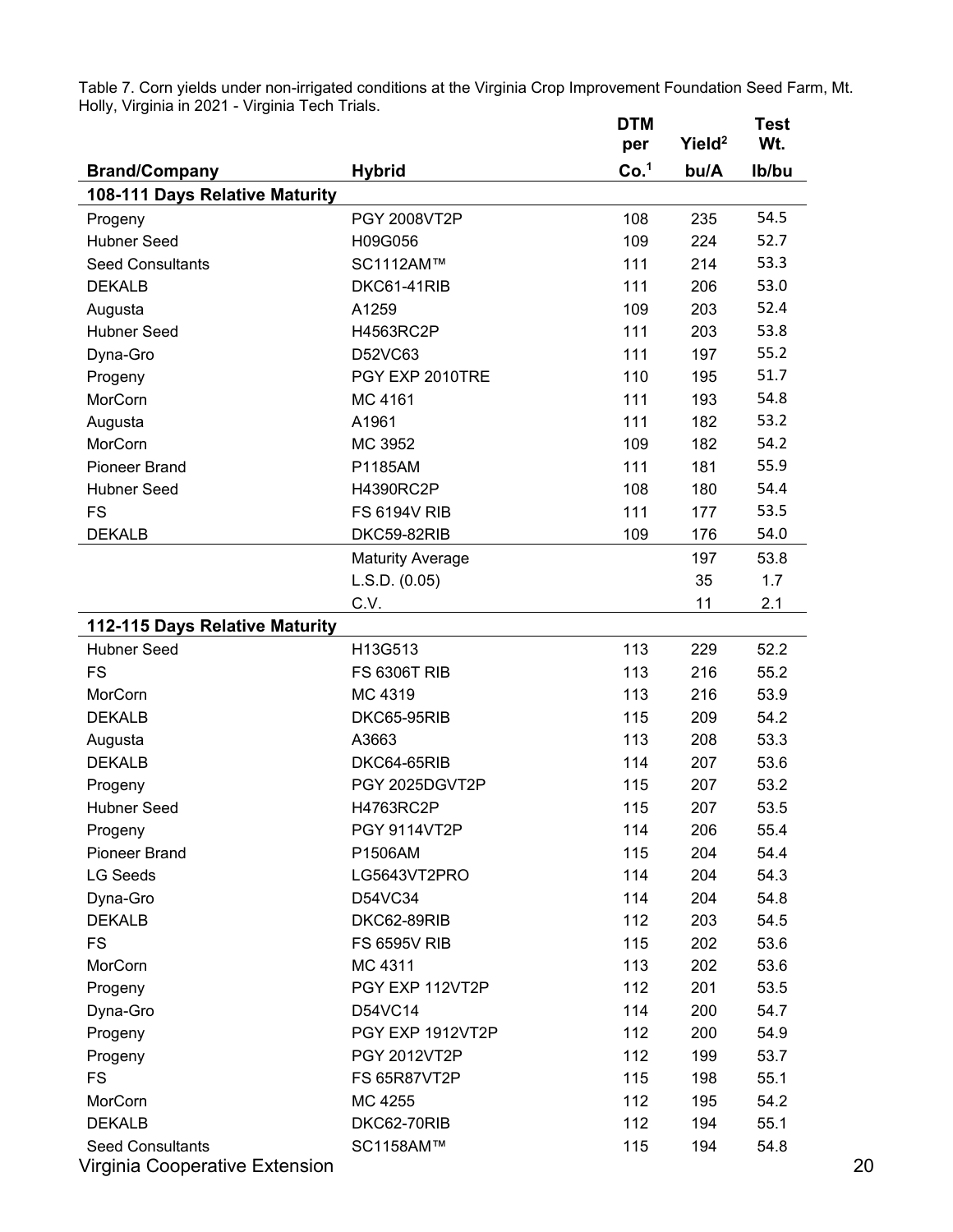Table 7. Corn yields under non-irrigated conditions at the Virginia Crop Improvement Foundation Seed Farm, Mt. Holly, Virginia in 2021 - Virginia Tech Trials. **DTM Test** 

|                                |                         | per              | Yield <sup>2</sup> | Wt.   |
|--------------------------------|-------------------------|------------------|--------------------|-------|
| <b>Brand/Company</b>           | <b>Hybrid</b>           | Co. <sup>1</sup> | bu/A               | Ib/bu |
| 108-111 Days Relative Maturity |                         |                  |                    |       |
| Progeny                        | PGY 2008VT2P            | 108              | 235                | 54.5  |
| <b>Hubner Seed</b>             | H09G056                 | 109              | 224                | 52.7  |
| <b>Seed Consultants</b>        | SC1112AM™               | 111              | 214                | 53.3  |
| <b>DEKALB</b>                  | DKC61-41RIB             | 111              | 206                | 53.0  |
| Augusta                        | A1259                   | 109              | 203                | 52.4  |
| <b>Hubner Seed</b>             | H4563RC2P               | 111              | 203                | 53.8  |
| Dyna-Gro                       | D52VC63                 | 111              | 197                | 55.2  |
| Progeny                        | PGY EXP 2010TRE         | 110              | 195                | 51.7  |
| MorCorn                        | MC 4161                 | 111              | 193                | 54.8  |
| Augusta                        | A1961                   | 111              | 182                | 53.2  |
| MorCorn                        | MC 3952                 | 109              | 182                | 54.2  |
| <b>Pioneer Brand</b>           | P1185AM                 | 111              | 181                | 55.9  |
| <b>Hubner Seed</b>             | H4390RC2P               | 108              | 180                | 54.4  |
| <b>FS</b>                      | <b>FS 6194V RIB</b>     | 111              | 177                | 53.5  |
| <b>DEKALB</b>                  | DKC59-82RIB             | 109              | 176                | 54.0  |
|                                | <b>Maturity Average</b> |                  | 197                | 53.8  |
|                                | L.S.D. (0.05)           |                  | 35                 | 1.7   |
|                                | C.V.                    |                  | 11                 | 2.1   |
| 112-115 Days Relative Maturity |                         |                  |                    |       |
| <b>Hubner Seed</b>             | H13G513                 | 113              | 229                | 52.2  |
| <b>FS</b>                      | <b>FS 6306T RIB</b>     | 113              | 216                | 55.2  |
| MorCorn                        | MC 4319                 | 113              | 216                | 53.9  |
| <b>DEKALB</b>                  | DKC65-95RIB             | 115              | 209                | 54.2  |
| Augusta                        | A3663                   | 113              | 208                | 53.3  |
| <b>DEKALB</b>                  | DKC64-65RIB             | 114              | 207                | 53.6  |
| Progeny                        | PGY 2025DGVT2P          | 115              | 207                | 53.2  |
| <b>Hubner Seed</b>             | H4763RC2P               | 115              | 207                | 53.5  |
| Progeny                        | PGY 9114VT2P            | 114              | 206                | 55.4  |
| <b>Pioneer Brand</b>           | P1506AM                 | 115              | 204                | 54.4  |
| <b>LG Seeds</b>                | LG5643VT2PRO            | 114              | 204                | 54.3  |
| Dyna-Gro                       | D54VC34                 | 114              | 204                | 54.8  |
| <b>DEKALB</b>                  | DKC62-89RIB             | 112              | 203                | 54.5  |
| <b>FS</b>                      | <b>FS 6595V RIB</b>     | 115              | 202                | 53.6  |
| MorCorn                        | MC 4311                 | 113              | 202                | 53.6  |
| Progeny                        | PGY EXP 112VT2P         | 112              | 201                | 53.5  |
| Dyna-Gro                       | D54VC14                 | 114              | 200                | 54.7  |
| Progeny                        | PGY EXP 1912VT2P        | 112              | 200                | 54.9  |
| Progeny                        | PGY 2012VT2P            | 112              | 199                | 53.7  |
| <b>FS</b>                      | <b>FS 65R87VT2P</b>     | 115              | 198                | 55.1  |
| MorCorn                        | MC 4255                 | 112              | 195                | 54.2  |
| <b>DEKALB</b>                  | DKC62-70RIB             | 112              | 194                | 55.1  |
| <b>Seed Consultants</b>        | SC1158AM™               | 115              | 194                | 54.8  |
| Virginia Cooperative Extension |                         |                  |                    |       |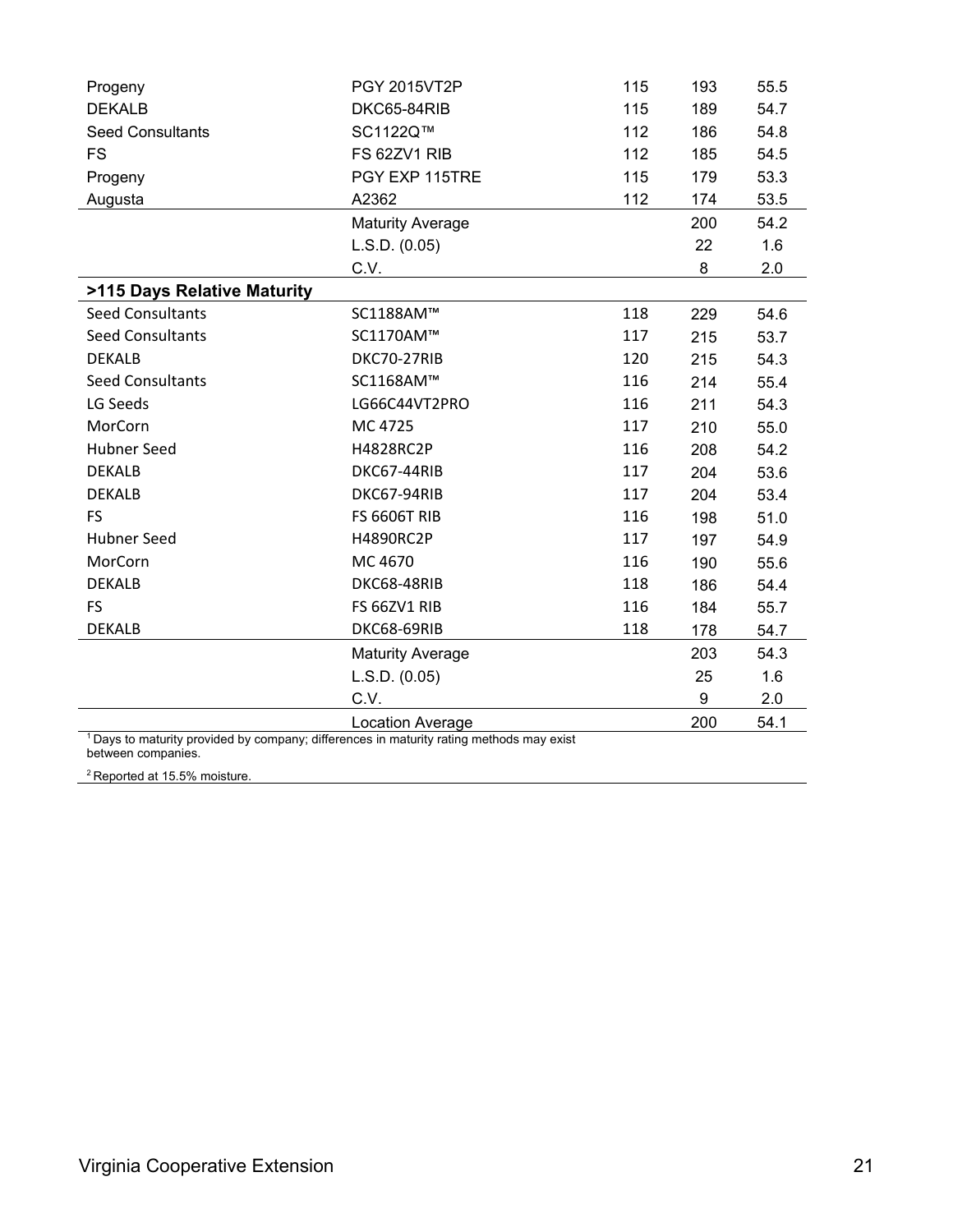| Progeny                                                                                             | <b>PGY 2015VT2P</b>     | 115 | 193 | 55.5 |
|-----------------------------------------------------------------------------------------------------|-------------------------|-----|-----|------|
| <b>DEKALB</b>                                                                                       | DKC65-84RIB             | 115 | 189 | 54.7 |
| <b>Seed Consultants</b>                                                                             | SC1122Q™                | 112 | 186 | 54.8 |
| <b>FS</b>                                                                                           | FS 62ZV1 RIB            | 112 | 185 | 54.5 |
| Progeny                                                                                             | PGY EXP 115TRE          | 115 | 179 | 53.3 |
| Augusta                                                                                             | A2362                   | 112 | 174 | 53.5 |
|                                                                                                     | <b>Maturity Average</b> |     | 200 | 54.2 |
|                                                                                                     | L.S.D. (0.05)           |     | 22  | 1.6  |
|                                                                                                     | C.V.                    |     | 8   | 2.0  |
| >115 Days Relative Maturity                                                                         |                         |     |     |      |
| <b>Seed Consultants</b>                                                                             | SC1188AM™               | 118 | 229 | 54.6 |
| <b>Seed Consultants</b>                                                                             | SC1170AM™               | 117 | 215 | 53.7 |
| <b>DEKALB</b>                                                                                       | DKC70-27RIB             | 120 | 215 | 54.3 |
| <b>Seed Consultants</b>                                                                             | SC1168AM™               | 116 | 214 | 55.4 |
| LG Seeds                                                                                            | LG66C44VT2PRO           | 116 | 211 | 54.3 |
| MorCorn                                                                                             | MC 4725                 | 117 | 210 | 55.0 |
| <b>Hubner Seed</b>                                                                                  | H4828RC2P               | 116 | 208 | 54.2 |
| <b>DEKALB</b>                                                                                       | DKC67-44RIB             | 117 | 204 | 53.6 |
| <b>DEKALB</b>                                                                                       | DKC67-94RIB             | 117 | 204 | 53.4 |
| <b>FS</b>                                                                                           | <b>FS 6606T RIB</b>     | 116 | 198 | 51.0 |
| <b>Hubner Seed</b>                                                                                  | H4890RC2P               | 117 | 197 | 54.9 |
| MorCorn                                                                                             | MC 4670                 | 116 | 190 | 55.6 |
| <b>DEKALB</b>                                                                                       | DKC68-48RIB             | 118 | 186 | 54.4 |
| <b>FS</b>                                                                                           | FS 66ZV1 RIB            | 116 | 184 | 55.7 |
| <b>DEKALB</b>                                                                                       | DKC68-69RIB             | 118 | 178 | 54.7 |
|                                                                                                     | <b>Maturity Average</b> |     | 203 | 54.3 |
|                                                                                                     | L.S.D. (0.05)           |     | 25  | 1.6  |
|                                                                                                     | C.V.                    |     | 9   | 2.0  |
|                                                                                                     | Location Average        |     | 200 | 54.1 |
| <sup>1</sup> Days to maturity provided by company; differences in maturity rating methods may exist |                         |     |     |      |

between companies.

<sup>2</sup> Reported at 15.5% moisture.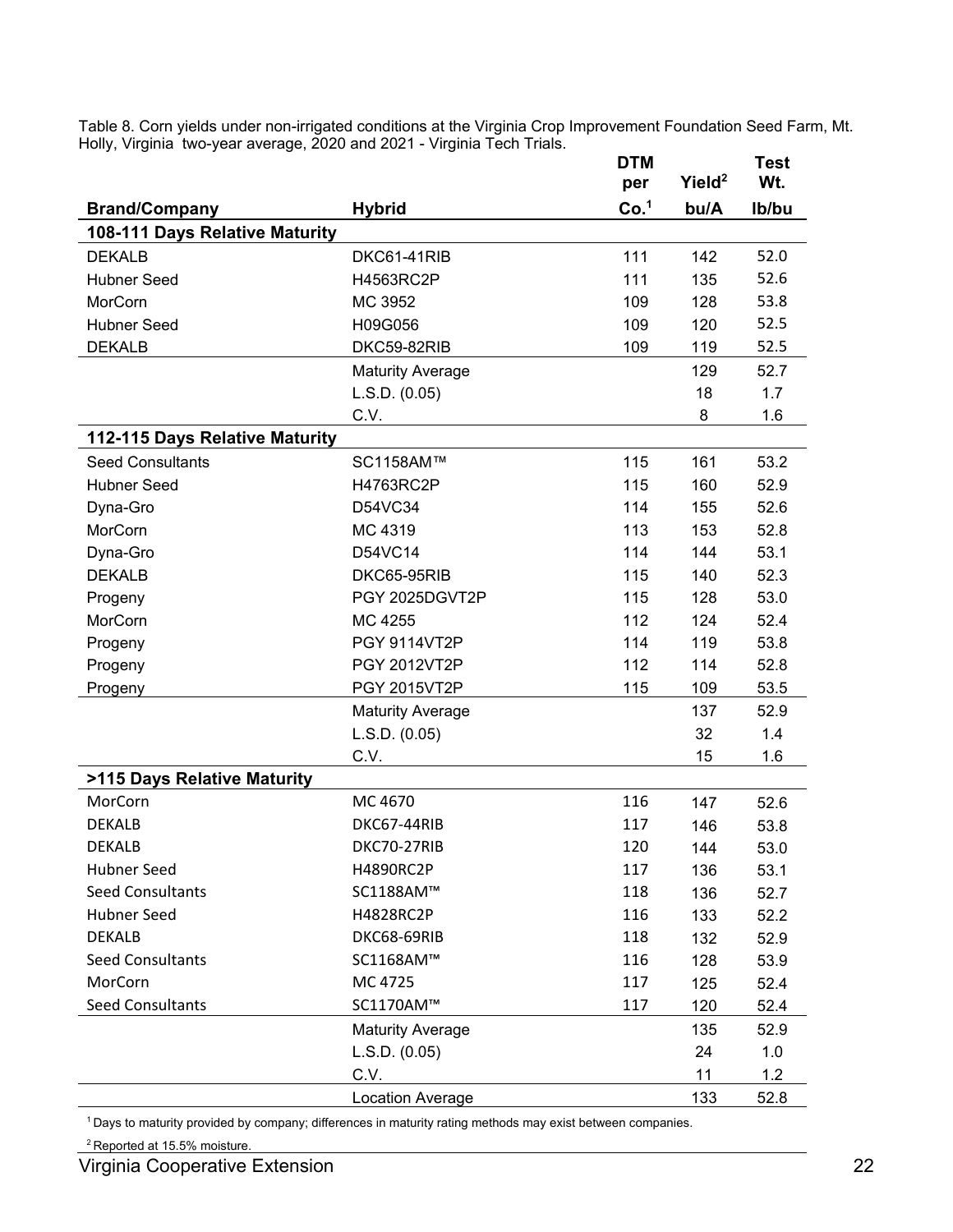Table 8. Corn yields under non-irrigated conditions at the Virginia Crop Improvement Foundation Seed Farm, Mt. Holly, Virginia two-year average, 2020 and 2021 - Virginia Tech Trials. **DTM Test** 

|                                |                         | DIM              |                    | l est |
|--------------------------------|-------------------------|------------------|--------------------|-------|
|                                |                         | per              | Yield <sup>2</sup> | Wt.   |
| <b>Brand/Company</b>           | <b>Hybrid</b>           | Co. <sup>1</sup> | bu/A               | Ib/bu |
| 108-111 Days Relative Maturity |                         |                  |                    |       |
| <b>DEKALB</b>                  | DKC61-41RIB             | 111              | 142                | 52.0  |
| <b>Hubner Seed</b>             | H4563RC2P               | 111              | 135                | 52.6  |
| MorCorn                        | MC 3952                 | 109              | 128                | 53.8  |
| <b>Hubner Seed</b>             | H09G056                 | 109              | 120                | 52.5  |
| <b>DEKALB</b>                  | DKC59-82RIB             | 109              | 119                | 52.5  |
|                                | <b>Maturity Average</b> |                  | 129                | 52.7  |
|                                | L.S.D. (0.05)           |                  | 18                 | 1.7   |
|                                | C.V.                    |                  | 8                  | 1.6   |
| 112-115 Days Relative Maturity |                         |                  |                    |       |
| <b>Seed Consultants</b>        | SC1158AM™               | 115              | 161                | 53.2  |
| <b>Hubner Seed</b>             | H4763RC2P               | 115              | 160                | 52.9  |
| Dyna-Gro                       | D54VC34                 | 114              | 155                | 52.6  |
| MorCorn                        | MC 4319                 | 113              | 153                | 52.8  |
| Dyna-Gro                       | D54VC14                 | 114              | 144                | 53.1  |
| <b>DEKALB</b>                  | DKC65-95RIB             | 115              | 140                | 52.3  |
| Progeny                        | PGY 2025DGVT2P          | 115              | 128                | 53.0  |
| MorCorn                        | MC 4255                 | 112              | 124                | 52.4  |
| Progeny                        | <b>PGY 9114VT2P</b>     | 114              | 119                | 53.8  |
| Progeny                        | PGY 2012VT2P            | 112              | 114                | 52.8  |
| Progeny                        | PGY 2015VT2P            | 115              | 109                | 53.5  |
|                                | <b>Maturity Average</b> |                  | 137                | 52.9  |
|                                | L.S.D. (0.05)           |                  | 32                 | 1.4   |
|                                | C.V.                    |                  | 15                 | 1.6   |
| >115 Days Relative Maturity    |                         |                  |                    |       |
| MorCorn                        | MC 4670                 | 116              | 147                | 52.6  |
| <b>DEKALB</b>                  | DKC67-44RIB             | 117              | 146                | 53.8  |
| <b>DEKALB</b>                  | DKC70-27RIB             | 120              | 144                | 53.0  |
| <b>Hubner Seed</b>             | H4890RC2P               | 117              | 136                | 53.1  |
| <b>Seed Consultants</b>        | SC1188AM™               | 118              | 136                | 52.7  |
| <b>Hubner Seed</b>             | H4828RC2P               | 116              | 133                | 52.2  |
| <b>DEKALB</b>                  | DKC68-69RIB             | 118              | 132                | 52.9  |
| <b>Seed Consultants</b>        | SC1168AM™               | 116              | 128                | 53.9  |
| MorCorn                        | MC 4725                 | 117              | 125                | 52.4  |
| <b>Seed Consultants</b>        | SC1170AM™               | 117              | 120                | 52.4  |
|                                | <b>Maturity Average</b> |                  | 135                | 52.9  |
|                                | L.S.D. (0.05)           |                  | 24                 | 1.0   |
|                                | C.V.                    |                  | 11                 | 1.2   |
|                                | Location Average        |                  | 133                | 52.8  |

<sup>1</sup> Days to maturity provided by company; differences in maturity rating methods may exist between companies.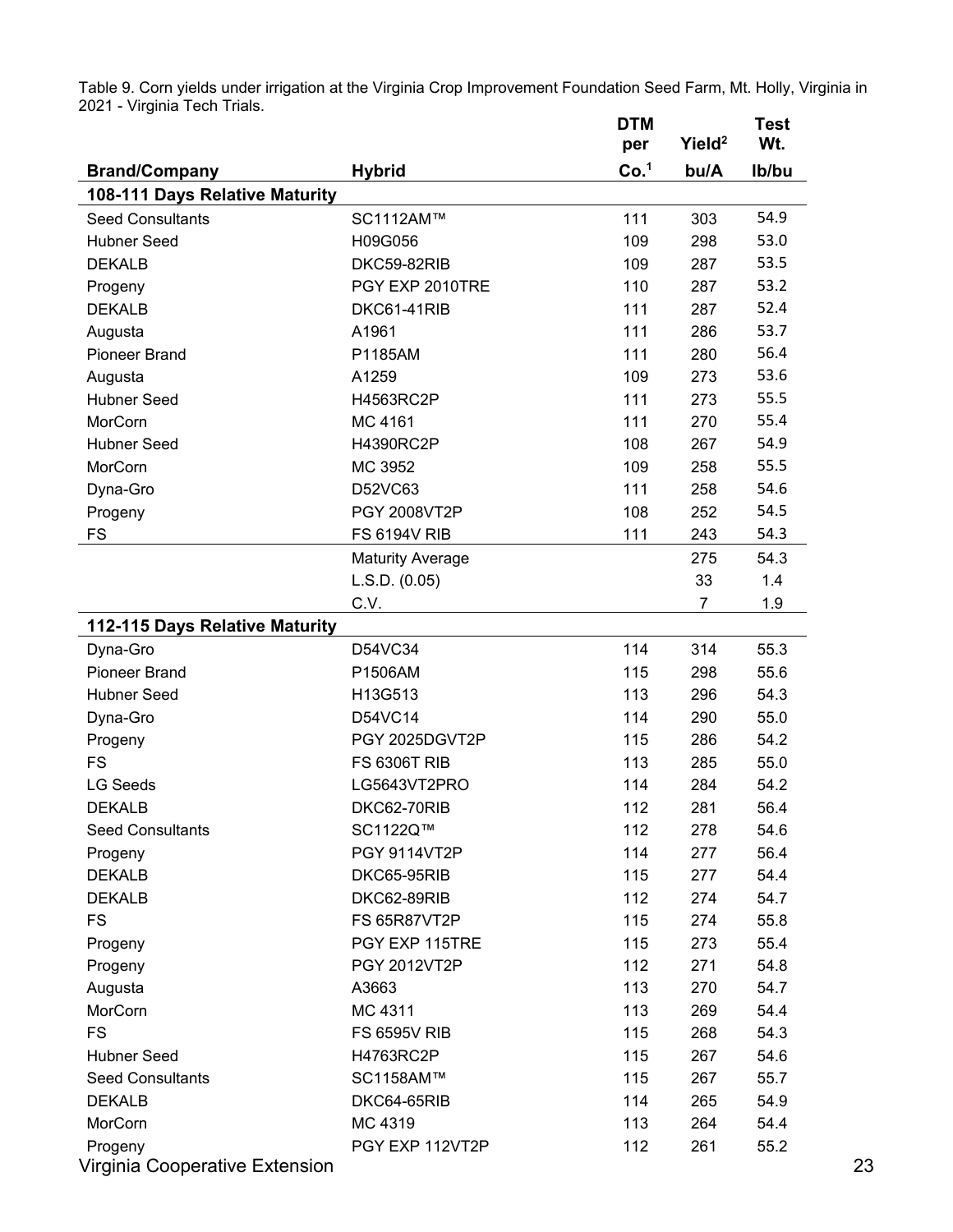Table 9. Corn yields under irrigation at the Virginia Crop Improvement Foundation Seed Farm, Mt. Holly, Virginia in 2021 - Virginia Tech Trials. **DTM Test** 

|                                                        |                         | ויו ש<br>per     | Yield <sup>2</sup> | 1 GSL<br>Wt. |
|--------------------------------------------------------|-------------------------|------------------|--------------------|--------------|
|                                                        |                         | Co. <sup>1</sup> | bu/A               | Ib/bu        |
| <b>Brand/Company</b><br>108-111 Days Relative Maturity | <b>Hybrid</b>           |                  |                    |              |
| <b>Seed Consultants</b>                                | SC1112AM™               | 111              | 303                | 54.9         |
| <b>Hubner Seed</b>                                     | H09G056                 | 109              | 298                | 53.0         |
| <b>DEKALB</b>                                          | DKC59-82RIB             | 109              | 287                | 53.5         |
|                                                        |                         |                  |                    | 53.2         |
| Progeny                                                | PGY EXP 2010TRE         | 110              | 287                |              |
| <b>DEKALB</b>                                          | DKC61-41RIB             | 111              | 287                | 52.4         |
| Augusta                                                | A1961                   | 111              | 286                | 53.7         |
| <b>Pioneer Brand</b>                                   | P1185AM                 | 111              | 280                | 56.4         |
| Augusta                                                | A1259                   | 109              | 273                | 53.6         |
| <b>Hubner Seed</b>                                     | H4563RC2P               | 111              | 273                | 55.5         |
| MorCorn                                                | MC 4161                 | 111              | 270                | 55.4         |
| <b>Hubner Seed</b>                                     | H4390RC2P               | 108              | 267                | 54.9         |
| MorCorn                                                | MC 3952                 | 109              | 258                | 55.5         |
| Dyna-Gro                                               | D52VC63                 | 111              | 258                | 54.6         |
| Progeny                                                | PGY 2008VT2P            | 108              | 252                | 54.5         |
| <b>FS</b>                                              | <b>FS 6194V RIB</b>     | 111              | 243                | 54.3         |
|                                                        | <b>Maturity Average</b> |                  | 275                | 54.3         |
|                                                        | L.S.D. (0.05)           |                  | 33                 | 1.4          |
|                                                        | C.V.                    |                  | 7                  | 1.9          |
| 112-115 Days Relative Maturity                         |                         |                  |                    |              |
| Dyna-Gro                                               | D54VC34                 | 114              | 314                | 55.3         |
| <b>Pioneer Brand</b>                                   | P1506AM                 | 115              | 298                | 55.6         |
| <b>Hubner Seed</b>                                     | H13G513                 | 113              | 296                | 54.3         |
| Dyna-Gro                                               | D54VC14                 | 114              | 290                | 55.0         |
| Progeny                                                | PGY 2025DGVT2P          | 115              | 286                | 54.2         |
| <b>FS</b>                                              | <b>FS 6306T RIB</b>     | 113              | 285                | 55.0         |
| <b>LG Seeds</b>                                        | LG5643VT2PRO            | 114              | 284                | 54.2         |
| <b>DEKALB</b>                                          | DKC62-70RIB             | 112              | 281                | 56.4         |
| <b>Seed Consultants</b>                                | SC1122Q™                | 112              | 278                | 54.6         |
| Progeny                                                | PGY 9114VT2P            | 114              | 277                | 56.4         |
| <b>DEKALB</b>                                          | DKC65-95RIB             | 115              | 277                | 54.4         |
| <b>DEKALB</b>                                          | DKC62-89RIB             | 112              | 274                | 54.7         |
| <b>FS</b>                                              | <b>FS 65R87VT2P</b>     | 115              | 274                | 55.8         |
|                                                        | PGY EXP 115TRE          |                  |                    |              |
| Progeny                                                |                         | 115              | 273                | 55.4         |
| Progeny                                                | PGY 2012VT2P            | 112              | 271                | 54.8         |
| Augusta                                                | A3663                   | 113              | 270                | 54.7         |
| MorCorn                                                | MC 4311                 | 113              | 269                | 54.4         |
| <b>FS</b>                                              | <b>FS 6595V RIB</b>     | 115              | 268                | 54.3         |
| <b>Hubner Seed</b>                                     | H4763RC2P               | 115              | 267                | 54.6         |
| <b>Seed Consultants</b>                                | SC1158AM™               | 115              | 267                | 55.7         |
| <b>DEKALB</b>                                          | DKC64-65RIB             | 114              | 265                | 54.9         |
| MorCorn                                                | MC 4319                 | 113              | 264                | 54.4         |
| Progeny                                                | PGY EXP 112VT2P         | 112              | 261                | 55.2         |
| Virginia Cooperative Extension                         |                         |                  |                    |              |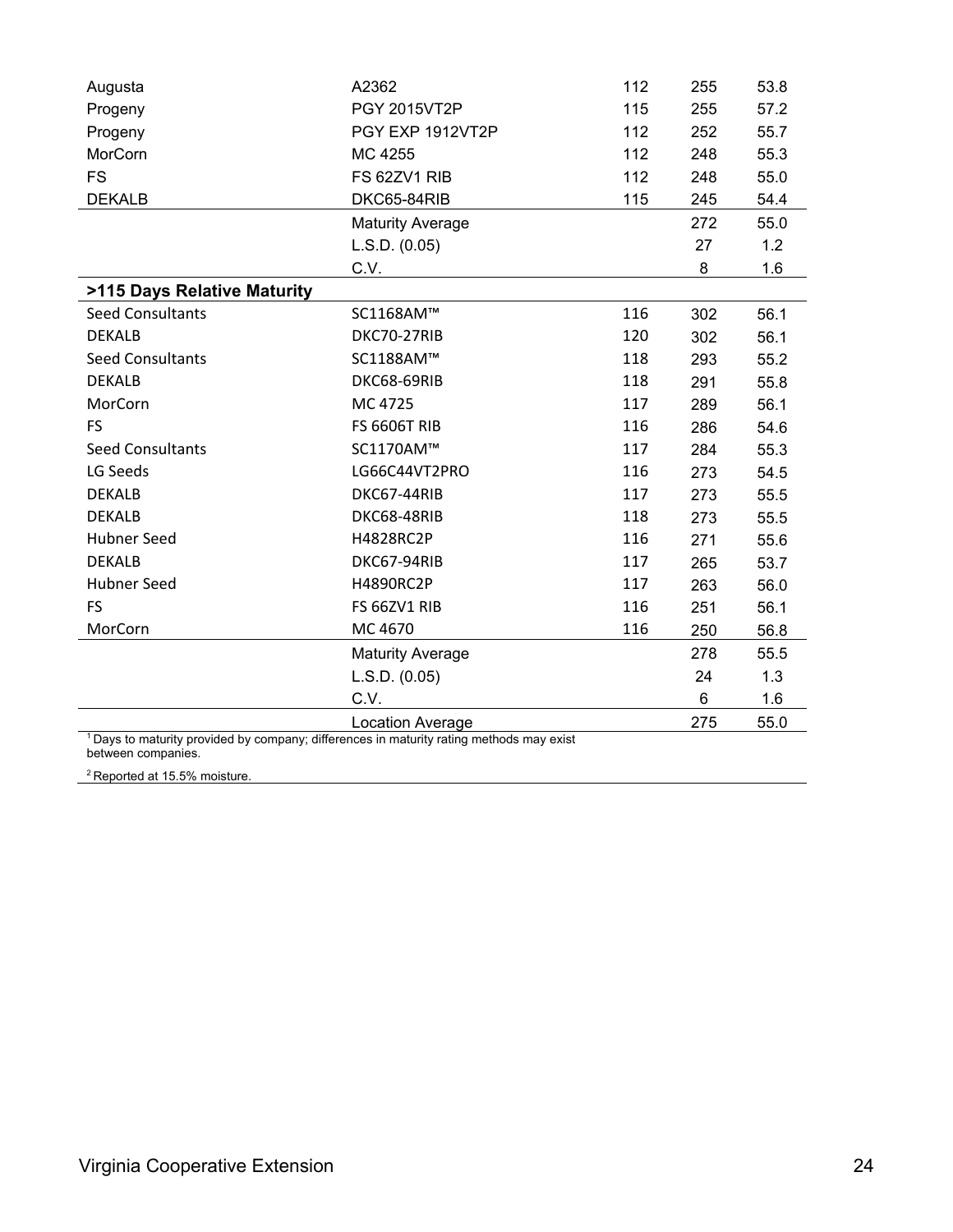| Augusta                                                                                             | A2362                   | 112 | 255   | 53.8 |
|-----------------------------------------------------------------------------------------------------|-------------------------|-----|-------|------|
| Progeny                                                                                             | PGY 2015VT2P<br>115     |     | 255   | 57.2 |
| Progeny                                                                                             | PGY EXP 1912VT2P        | 112 | 252   | 55.7 |
| MorCorn                                                                                             | MC 4255                 | 112 | 248   | 55.3 |
| <b>FS</b>                                                                                           | FS 62ZV1 RIB            | 112 | 248   | 55.0 |
| <b>DEKALB</b>                                                                                       | DKC65-84RIB             | 115 | 245   | 54.4 |
|                                                                                                     | <b>Maturity Average</b> |     | 272   | 55.0 |
|                                                                                                     | L.S.D. (0.05)           |     | 27    | 1.2  |
|                                                                                                     | C.V.                    |     | 8     | 1.6  |
| >115 Days Relative Maturity                                                                         |                         |     |       |      |
| <b>Seed Consultants</b>                                                                             | SC1168AM™               | 116 | 302   | 56.1 |
| <b>DEKALB</b>                                                                                       | DKC70-27RIB             | 120 | 302   | 56.1 |
| <b>Seed Consultants</b>                                                                             | SC1188AM™               | 118 | 293   | 55.2 |
| <b>DEKALB</b>                                                                                       | DKC68-69RIB             | 118 | 291   | 55.8 |
| MorCorn                                                                                             | MC 4725                 | 117 | 289   | 56.1 |
| <b>FS</b>                                                                                           | <b>FS 6606T RIB</b>     | 116 | 286   | 54.6 |
| <b>Seed Consultants</b>                                                                             | SC1170AM™               | 117 | 284   | 55.3 |
| LG Seeds                                                                                            | LG66C44VT2PRO           | 116 | 273   | 54.5 |
| <b>DEKALB</b>                                                                                       | DKC67-44RIB             | 117 | 273   | 55.5 |
| <b>DEKALB</b>                                                                                       | DKC68-48RIB             | 118 | 273   | 55.5 |
| <b>Hubner Seed</b>                                                                                  | H4828RC2P               | 116 | 271   | 55.6 |
| <b>DEKALB</b>                                                                                       | DKC67-94RIB             | 117 | 265   | 53.7 |
| <b>Hubner Seed</b>                                                                                  | H4890RC2P               | 117 | 263   | 56.0 |
| <b>FS</b>                                                                                           | FS 66ZV1 RIB            | 116 | 251   | 56.1 |
| MorCorn                                                                                             | MC 4670                 | 116 | 250   | 56.8 |
|                                                                                                     | <b>Maturity Average</b> |     | 278   | 55.5 |
|                                                                                                     | L.S.D. (0.05)           |     | 24    | 1.3  |
|                                                                                                     | C.V.                    |     | $\,6$ | 1.6  |
|                                                                                                     | <b>Location Average</b> |     | 275   | 55.0 |
| <sup>1</sup> Days to maturity provided by company; differences in maturity rating methods may exist |                         |     |       |      |

between companies.

<sup>2</sup> Reported at 15.5% moisture.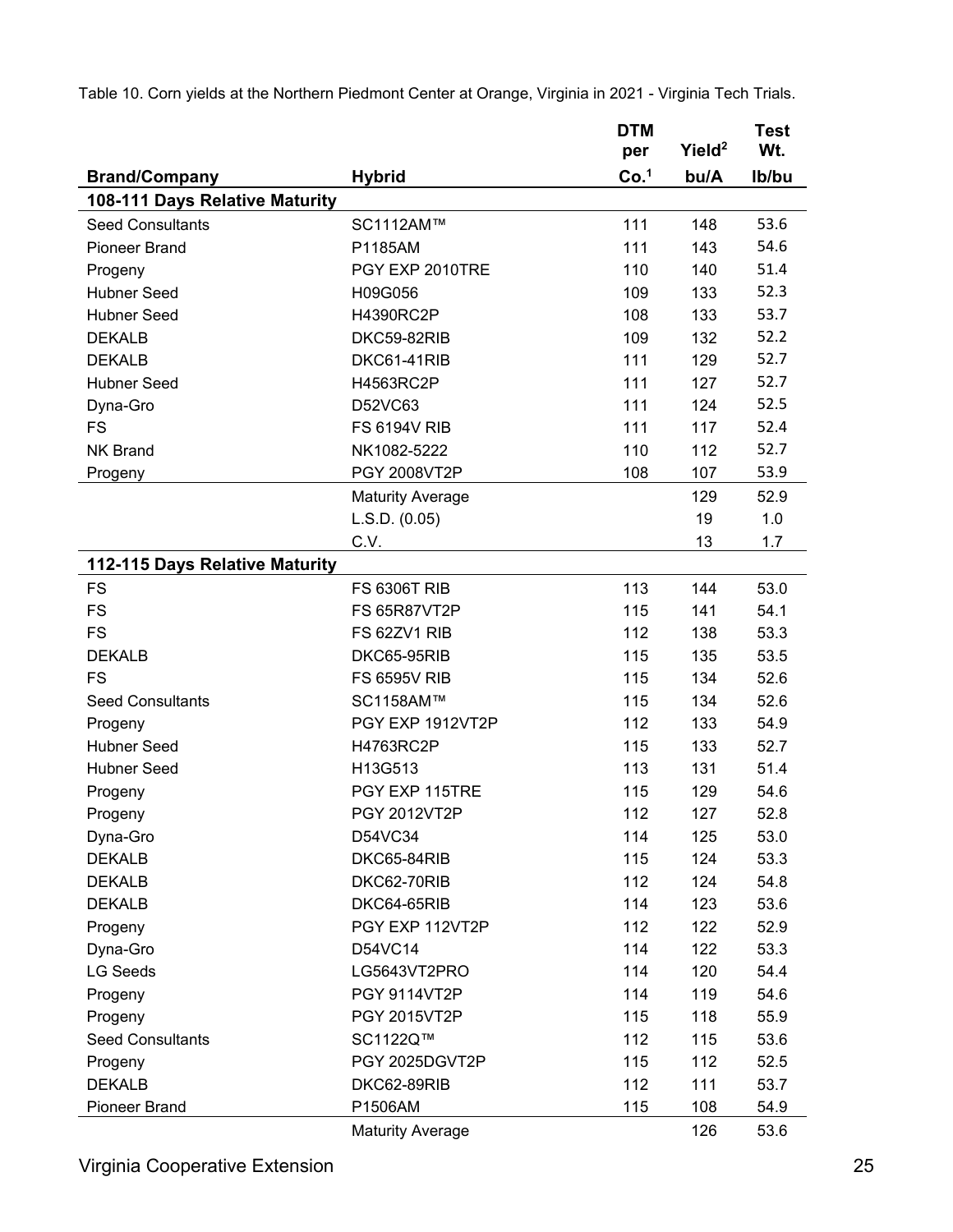|                                |                         | <b>DTM</b><br>per | Yield <sup>2</sup> | <b>Test</b><br>Wt. |
|--------------------------------|-------------------------|-------------------|--------------------|--------------------|
| <b>Brand/Company</b>           | <b>Hybrid</b>           | Co. <sup>1</sup>  | bu/A               | Ib/bu              |
| 108-111 Days Relative Maturity |                         |                   |                    |                    |
| <b>Seed Consultants</b>        | SC1112AM™               | 111               | 148                | 53.6               |
| <b>Pioneer Brand</b>           | P1185AM                 | 111               | 143                | 54.6               |
| Progeny                        | PGY EXP 2010TRE         | 110               | 140                | 51.4               |
| <b>Hubner Seed</b>             | H09G056                 | 109               | 133                | 52.3               |
| <b>Hubner Seed</b>             | H4390RC2P               | 108               | 133                | 53.7               |
| <b>DEKALB</b>                  | DKC59-82RIB             | 109               | 132                | 52.2               |
| <b>DEKALB</b>                  | DKC61-41RIB             | 111               | 129                | 52.7               |
| <b>Hubner Seed</b>             | H4563RC2P               | 111               | 127                | 52.7               |
| Dyna-Gro                       | D52VC63                 | 111               | 124                | 52.5               |
| <b>FS</b>                      | <b>FS 6194V RIB</b>     | 111               | 117                | 52.4               |
| <b>NK Brand</b>                | NK1082-5222             | 110               | 112                | 52.7               |
| Progeny                        | PGY 2008VT2P            | 108               | 107                | 53.9               |
|                                | <b>Maturity Average</b> |                   | 129                | 52.9               |
|                                | L.S.D. (0.05)           |                   | 19                 | 1.0                |
|                                | C.V.                    |                   | 13                 | 1.7                |
| 112-115 Days Relative Maturity |                         |                   |                    |                    |
| <b>FS</b>                      | <b>FS 6306T RIB</b>     | 113               | 144                | 53.0               |
| <b>FS</b>                      | <b>FS 65R87VT2P</b>     | 115               | 141                | 54.1               |
| <b>FS</b>                      | FS 62ZV1 RIB            | 112               | 138                | 53.3               |
| <b>DEKALB</b>                  | DKC65-95RIB             | 115               | 135                | 53.5               |
| <b>FS</b>                      | <b>FS 6595V RIB</b>     | 115               | 134                | 52.6               |
| <b>Seed Consultants</b>        | SC1158AM™               | 115               | 134                | 52.6               |
| Progeny                        | PGY EXP 1912VT2P        | 112               | 133                | 54.9               |
| <b>Hubner Seed</b>             | H4763RC2P               | 115               | 133                | 52.7               |
| <b>Hubner Seed</b>             | H13G513                 | 113               | 131                | 51.4               |
| Progeny                        | PGY EXP 115TRE          | 115               | 129                | 54.6               |
| Progeny                        | <b>PGY 2012VT2P</b>     | 112               | 127                | 52.8               |
| Dyna-Gro                       | D54VC34                 | 114               | 125                | 53.0               |
| <b>DEKALB</b>                  | DKC65-84RIB             | 115               | 124                | 53.3               |
| <b>DEKALB</b>                  | DKC62-70RIB             | 112               | 124                | 54.8               |
| <b>DEKALB</b>                  | DKC64-65RIB             | 114               | 123                | 53.6               |
| Progeny                        | PGY EXP 112VT2P         | 112               | 122                | 52.9               |
| Dyna-Gro                       | D54VC14                 | 114               | 122                | 53.3               |
| <b>LG Seeds</b>                | LG5643VT2PRO            | 114               | 120                | 54.4               |
| Progeny                        | <b>PGY 9114VT2P</b>     | 114               | 119                | 54.6               |
| Progeny                        | <b>PGY 2015VT2P</b>     | 115               | 118                | 55.9               |
| <b>Seed Consultants</b>        | SC1122Q™                | 112               | 115                | 53.6               |
| Progeny                        | PGY 2025DGVT2P          | 115               | 112                | 52.5               |
| <b>DEKALB</b>                  | DKC62-89RIB             | 112               | 111                | 53.7               |
| Pioneer Brand                  | P1506AM                 | 115               | 108                | 54.9               |
|                                | <b>Maturity Average</b> |                   | 126                | 53.6               |

Table 10. Corn yields at the Northern Piedmont Center at Orange, Virginia in 2021 - Virginia Tech Trials.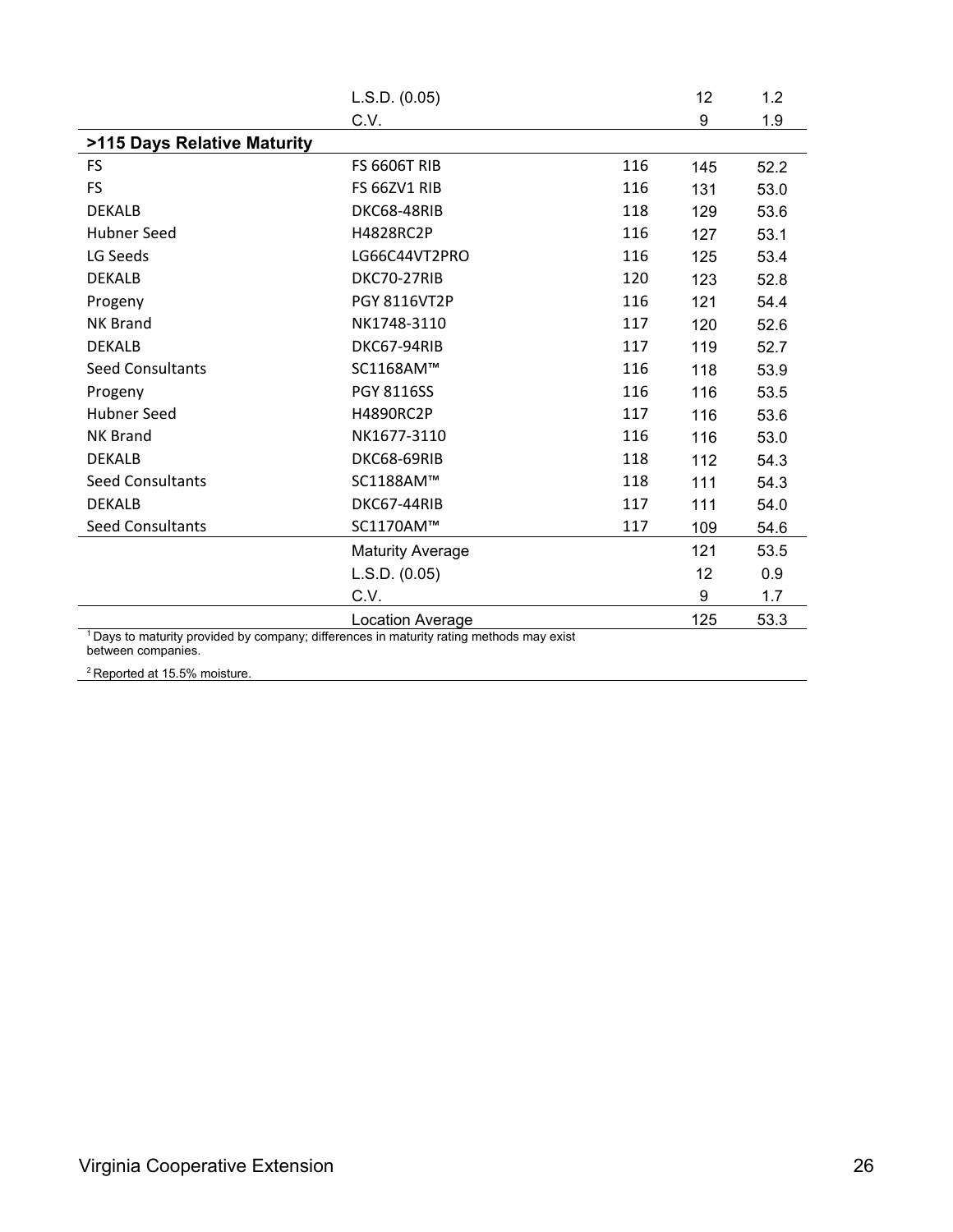|                             | L.S.D. (0.05)                                                                                       |     | 12  | 1.2  |
|-----------------------------|-----------------------------------------------------------------------------------------------------|-----|-----|------|
|                             | C.V.                                                                                                |     | 9   | 1.9  |
| >115 Days Relative Maturity |                                                                                                     |     |     |      |
| <b>FS</b>                   | <b>FS 6606T RIB</b>                                                                                 | 116 | 145 | 52.2 |
| <b>FS</b>                   | FS 66ZV1 RIB                                                                                        | 116 | 131 | 53.0 |
| <b>DEKALB</b>               | DKC68-48RIB                                                                                         | 118 | 129 | 53.6 |
| <b>Hubner Seed</b>          | H4828RC2P                                                                                           | 116 | 127 | 53.1 |
| LG Seeds                    | LG66C44VT2PRO                                                                                       | 116 | 125 | 53.4 |
| <b>DEKALB</b>               | DKC70-27RIB                                                                                         | 120 | 123 | 52.8 |
| Progeny                     | PGY 8116VT2P                                                                                        | 116 | 121 | 54.4 |
| <b>NK Brand</b>             | NK1748-3110                                                                                         | 117 | 120 | 52.6 |
| <b>DEKALB</b>               | DKC67-94RIB                                                                                         | 117 | 119 | 52.7 |
| <b>Seed Consultants</b>     | SC1168AM™                                                                                           | 116 | 118 | 53.9 |
| Progeny                     | <b>PGY 8116SS</b>                                                                                   | 116 | 116 | 53.5 |
| Hubner Seed                 | H4890RC2P                                                                                           | 117 | 116 | 53.6 |
| <b>NK Brand</b>             | NK1677-3110                                                                                         | 116 | 116 | 53.0 |
| <b>DEKALB</b>               | DKC68-69RIB                                                                                         | 118 | 112 | 54.3 |
| <b>Seed Consultants</b>     | SC1188AM™                                                                                           | 118 | 111 | 54.3 |
| <b>DEKALB</b>               | DKC67-44RIB                                                                                         | 117 | 111 | 54.0 |
| <b>Seed Consultants</b>     | SC1170AM™                                                                                           | 117 | 109 | 54.6 |
|                             | <b>Maturity Average</b>                                                                             |     | 121 | 53.5 |
|                             | L.S.D. (0.05)                                                                                       |     | 12  | 0.9  |
|                             | C.V.                                                                                                |     | 9   | 1.7  |
|                             | Location Average                                                                                    |     | 125 | 53.3 |
|                             | <sup>1</sup> Days to maturity provided by company; differences in maturity rating methods may exist |     |     |      |

between companies.

<sup>2</sup> Reported at 15.5% moisture.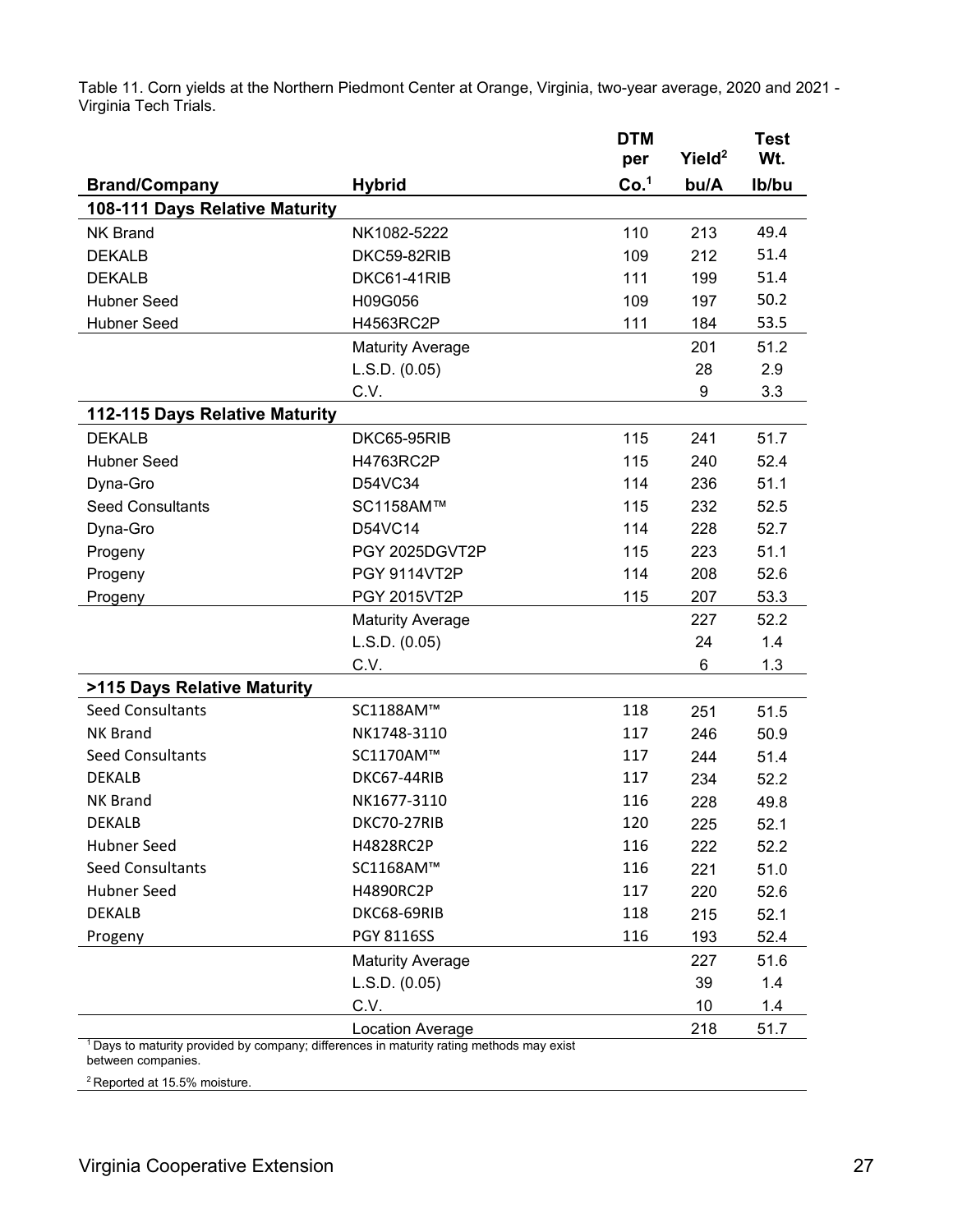Table 11. Corn yields at the Northern Piedmont Center at Orange, Virginia, two-year average, 2020 and 2021 - Virginia Tech Trials.

|                                                                                            |                         | <b>DTM</b><br>per | Yield <sup>2</sup> | <b>Test</b><br>Wt. |
|--------------------------------------------------------------------------------------------|-------------------------|-------------------|--------------------|--------------------|
|                                                                                            |                         | Co. <sup>1</sup>  | bu/A               |                    |
| <b>Brand/Company</b><br>108-111 Days Relative Maturity                                     | <b>Hybrid</b>           |                   |                    | Ib/bu              |
| <b>NK Brand</b>                                                                            | NK1082-5222             | 110               | 213                | 49.4               |
| <b>DEKALB</b>                                                                              | DKC59-82RIB             | 109               | 212                | 51.4               |
| <b>DEKALB</b>                                                                              | DKC61-41RIB             | 111               | 199                | 51.4               |
| <b>Hubner Seed</b>                                                                         | H09G056                 | 109               | 197                | 50.2               |
| <b>Hubner Seed</b>                                                                         | H4563RC2P               | 111               | 184                | 53.5               |
|                                                                                            | <b>Maturity Average</b> |                   | 201                | 51.2               |
|                                                                                            | L.S.D. (0.05)           |                   | 28                 | 2.9                |
|                                                                                            | C.V.                    |                   | 9                  | 3.3                |
| 112-115 Days Relative Maturity                                                             |                         |                   |                    |                    |
| <b>DEKALB</b>                                                                              | DKC65-95RIB             | 115               | 241                | 51.7               |
| <b>Hubner Seed</b>                                                                         | H4763RC2P               | 115               | 240                | 52.4               |
| Dyna-Gro                                                                                   | D54VC34                 | 114               | 236                | 51.1               |
| <b>Seed Consultants</b>                                                                    | SC1158AM™               | 115               | 232                | 52.5               |
| Dyna-Gro                                                                                   | D54VC14                 | 114               | 228                | 52.7               |
| Progeny                                                                                    | PGY 2025DGVT2P          | 115               | 223                | 51.1               |
| Progeny                                                                                    | <b>PGY 9114VT2P</b>     | 114               | 208                | 52.6               |
| Progeny                                                                                    | PGY 2015VT2P            | 115               | 207                | 53.3               |
|                                                                                            | <b>Maturity Average</b> |                   | 227                | 52.2               |
|                                                                                            | L.S.D. (0.05)           |                   | 24                 | 1.4                |
|                                                                                            | C.V.                    |                   | 6                  | 1.3                |
| >115 Days Relative Maturity                                                                |                         |                   |                    |                    |
| <b>Seed Consultants</b>                                                                    | SC1188AM™               | 118               | 251                | 51.5               |
| <b>NK Brand</b>                                                                            | NK1748-3110             | 117               | 246                | 50.9               |
| <b>Seed Consultants</b>                                                                    | SC1170AM™               | 117               | 244                | 51.4               |
| <b>DEKALB</b>                                                                              | DKC67-44RIB             | 117               | 234                | 52.2               |
| <b>NK Brand</b>                                                                            | NK1677-3110             | 116               | 228                | 49.8               |
| <b>DEKALB</b>                                                                              | DKC70-27RIB             | 120               | 225                | 52.1               |
| <b>Hubner Seed</b>                                                                         | H4828RC2P               | 116               | 222                | 52.2               |
| <b>Seed Consultants</b>                                                                    | SC1168AM™               | 116               | 221                | 51.0               |
| <b>Hubner Seed</b>                                                                         | H4890RC2P               | 117               | 220                | 52.6               |
| <b>DEKALB</b>                                                                              | DKC68-69RIB             | 118               | 215                | 52.1               |
| Progeny                                                                                    | <b>PGY 8116SS</b>       | 116               | 193                | 52.4               |
|                                                                                            | <b>Maturity Average</b> |                   | 227                | 51.6               |
|                                                                                            | L.S.D. (0.05)           |                   | 39                 | 1.4                |
|                                                                                            | C.V.                    |                   | 10                 | 1.4                |
| $1$ Days to maturity provided by company; differences in maturity rating methods may exist | Location Average        |                   | 218                | 51.7               |

1 Days to maturity provided by company; differences in maturity rating methods may exist between companies.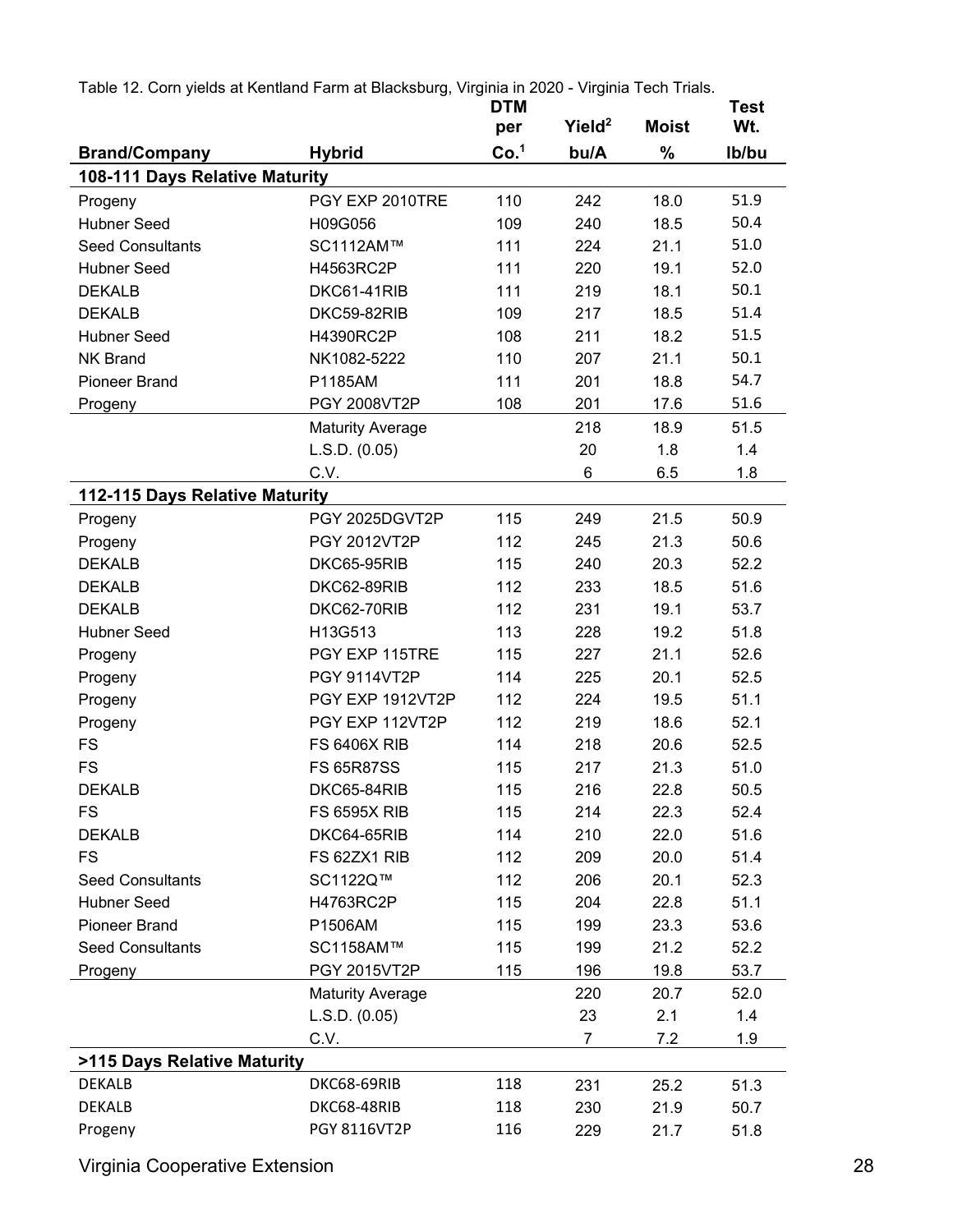|  |  |  | Table 12. Corn yields at Kentland Farm at Blacksburg, Virginia in 2020 - Virginia Tech Trials. |  |  |  |  |
|--|--|--|------------------------------------------------------------------------------------------------|--|--|--|--|
|--|--|--|------------------------------------------------------------------------------------------------|--|--|--|--|

|                                |                         | <b>DTM</b>       |                    |              | Test  |
|--------------------------------|-------------------------|------------------|--------------------|--------------|-------|
|                                |                         | per              | Yield <sup>2</sup> | <b>Moist</b> | Wt.   |
| <b>Brand/Company</b>           | <b>Hybrid</b>           | Co. <sup>1</sup> | bu/A               | $\%$         | Ib/bu |
| 108-111 Days Relative Maturity |                         |                  |                    |              |       |
| Progeny                        | PGY EXP 2010TRE         | 110              | 242                | 18.0         | 51.9  |
| <b>Hubner Seed</b>             | H09G056                 | 109              | 240                | 18.5         | 50.4  |
| <b>Seed Consultants</b>        | SC1112AM™               | 111              | 224                | 21.1         | 51.0  |
| <b>Hubner Seed</b>             | H4563RC2P               | 111              | 220                | 19.1         | 52.0  |
| <b>DEKALB</b>                  | DKC61-41RIB             | 111              | 219                | 18.1         | 50.1  |
| <b>DEKALB</b>                  | DKC59-82RIB             | 109              | 217                | 18.5         | 51.4  |
| <b>Hubner Seed</b>             | H4390RC2P               | 108              | 211                | 18.2         | 51.5  |
| <b>NK Brand</b>                | NK1082-5222             | 110              | 207                | 21.1         | 50.1  |
| <b>Pioneer Brand</b>           | P1185AM                 | 111              | 201                | 18.8         | 54.7  |
| Progeny                        | PGY 2008VT2P            | 108              | 201                | 17.6         | 51.6  |
|                                | <b>Maturity Average</b> |                  | 218                | 18.9         | 51.5  |
|                                | L.S.D. (0.05)           |                  | 20                 | 1.8          | 1.4   |
|                                | C.V.                    |                  | 6                  | 6.5          | 1.8   |
| 112-115 Days Relative Maturity |                         |                  |                    |              |       |
| Progeny                        | PGY 2025DGVT2P          | 115              | 249                | 21.5         | 50.9  |
| Progeny                        | PGY 2012VT2P            | 112              | 245                | 21.3         | 50.6  |
| <b>DEKALB</b>                  | DKC65-95RIB             | 115              | 240                | 20.3         | 52.2  |
| <b>DEKALB</b>                  | DKC62-89RIB             | 112              | 233                | 18.5         | 51.6  |
| <b>DEKALB</b>                  | DKC62-70RIB             | 112              | 231                | 19.1         | 53.7  |
| <b>Hubner Seed</b>             | H13G513                 | 113              | 228                | 19.2         | 51.8  |
| Progeny                        | PGY EXP 115TRE          | 115              | 227                | 21.1         | 52.6  |
| Progeny                        | <b>PGY 9114VT2P</b>     | 114              | 225                | 20.1         | 52.5  |
| Progeny                        | PGY EXP 1912VT2P        | 112              | 224                | 19.5         | 51.1  |
| Progeny                        | PGY EXP 112VT2P         | 112              | 219                | 18.6         | 52.1  |
| <b>FS</b>                      | <b>FS 6406X RIB</b>     | 114              | 218                | 20.6         | 52.5  |
| <b>FS</b>                      | <b>FS 65R87SS</b>       | 115              | 217                | 21.3         | 51.0  |
| <b>DEKALB</b>                  | DKC65-84RIB             | 115              | 216                | 22.8         | 50.5  |
| <b>FS</b>                      | <b>FS 6595X RIB</b>     | 115              | 214                | 22.3         | 52.4  |
| <b>DEKALB</b>                  | DKC64-65RIB             | 114              | 210                | 22.0         | 51.6  |
| <b>FS</b>                      | FS 62ZX1 RIB            | 112              | 209                | 20.0         | 51.4  |
| <b>Seed Consultants</b>        | SC1122Q™                | 112              | 206                | 20.1         | 52.3  |
| <b>Hubner Seed</b>             | H4763RC2P               | 115              | 204                | 22.8         | 51.1  |
| Pioneer Brand                  | P1506AM                 | 115              | 199                | 23.3         | 53.6  |
| <b>Seed Consultants</b>        | SC1158AM™               | 115              | 199                | 21.2         | 52.2  |
| Progeny                        | PGY 2015VT2P            | 115              | 196                | 19.8         | 53.7  |
|                                | <b>Maturity Average</b> |                  | 220                | 20.7         | 52.0  |
|                                | L.S.D. (0.05)           |                  | 23                 | 2.1          | 1.4   |
|                                | C.V.                    |                  | 7                  | 7.2          | 1.9   |
| >115 Days Relative Maturity    |                         |                  |                    |              |       |
| <b>DEKALB</b>                  | DKC68-69RIB             | 118              | 231                | 25.2         | 51.3  |
| <b>DEKALB</b>                  | DKC68-48RIB             | 118              | 230                | 21.9         | 50.7  |
| Progeny                        | <b>PGY 8116VT2P</b>     | 116              | 229                | 21.7         | 51.8  |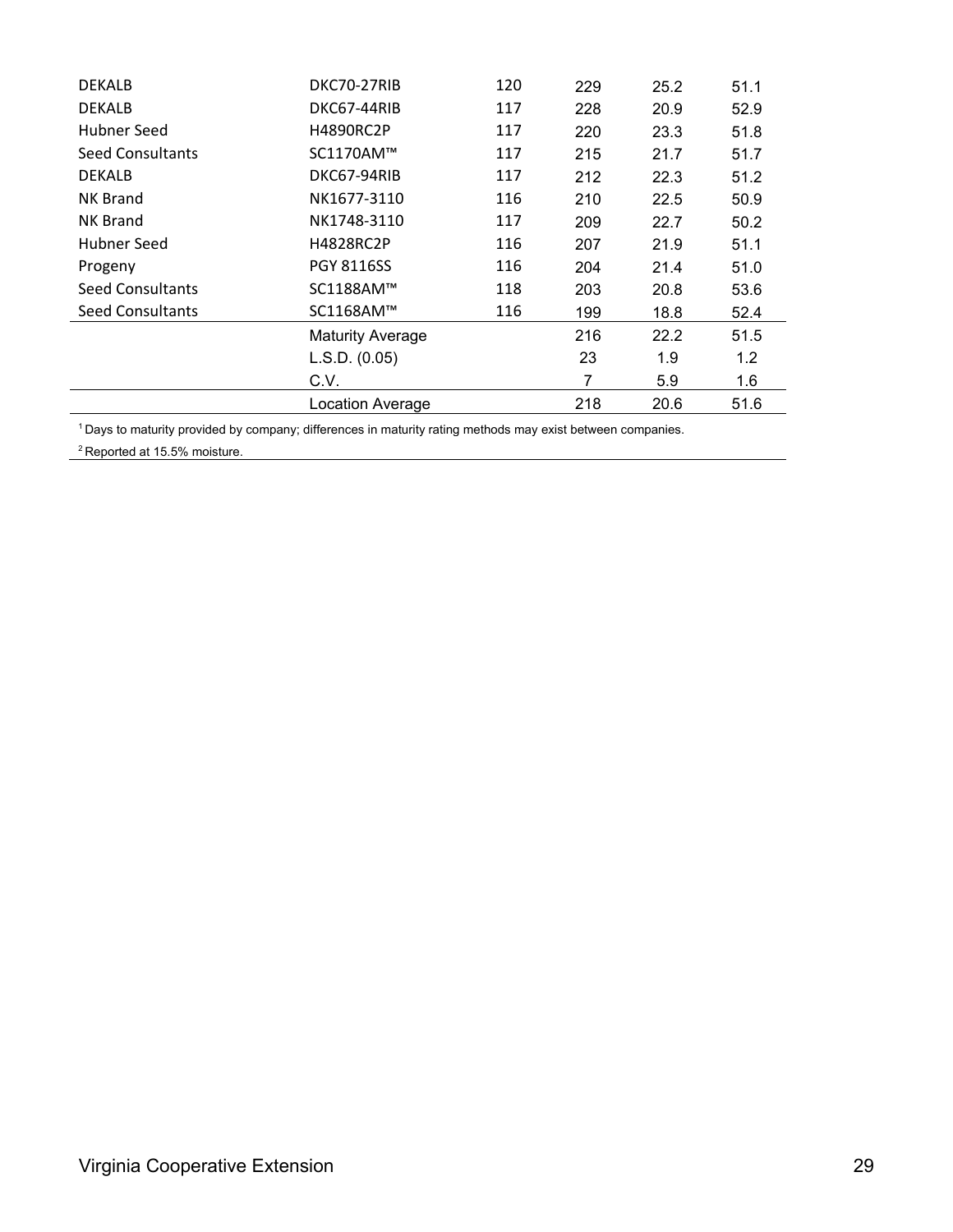| <b>DEKALB</b>           | DKC70-27RIB             | 120 | 229 | 25.2 | 51.1 |
|-------------------------|-------------------------|-----|-----|------|------|
| <b>DEKALB</b>           | DKC67-44RIB             | 117 | 228 | 20.9 | 52.9 |
| Hubner Seed             | <b>H4890RC2P</b>        | 117 | 220 | 23.3 | 51.8 |
| <b>Seed Consultants</b> | SC1170AM™               | 117 | 215 | 21.7 | 51.7 |
| <b>DEKALB</b>           | DKC67-94RIB             | 117 | 212 | 22.3 | 51.2 |
| <b>NK Brand</b>         | NK1677-3110             | 116 | 210 | 22.5 | 50.9 |
| <b>NK Brand</b>         | NK1748-3110             | 117 | 209 | 22.7 | 50.2 |
| Hubner Seed             | H4828RC2P               | 116 | 207 | 21.9 | 51.1 |
| Progeny                 | <b>PGY 8116SS</b>       | 116 | 204 | 21.4 | 51.0 |
| <b>Seed Consultants</b> | SC1188AM™               | 118 | 203 | 20.8 | 53.6 |
| <b>Seed Consultants</b> | SC1168AM™               | 116 | 199 | 18.8 | 52.4 |
|                         | <b>Maturity Average</b> |     | 216 | 22.2 | 51.5 |
|                         | L.S.D. (0.05)           |     | 23  | 1.9  | 1.2  |
|                         | C.V.                    |     | 7   | 5.9  | 1.6  |
|                         | Location Average        |     | 218 | 20.6 | 51.6 |

1 Days to maturity provided by company; differences in maturity rating methods may exist between companies.

<sup>2</sup> Reported at 15.5% moisture.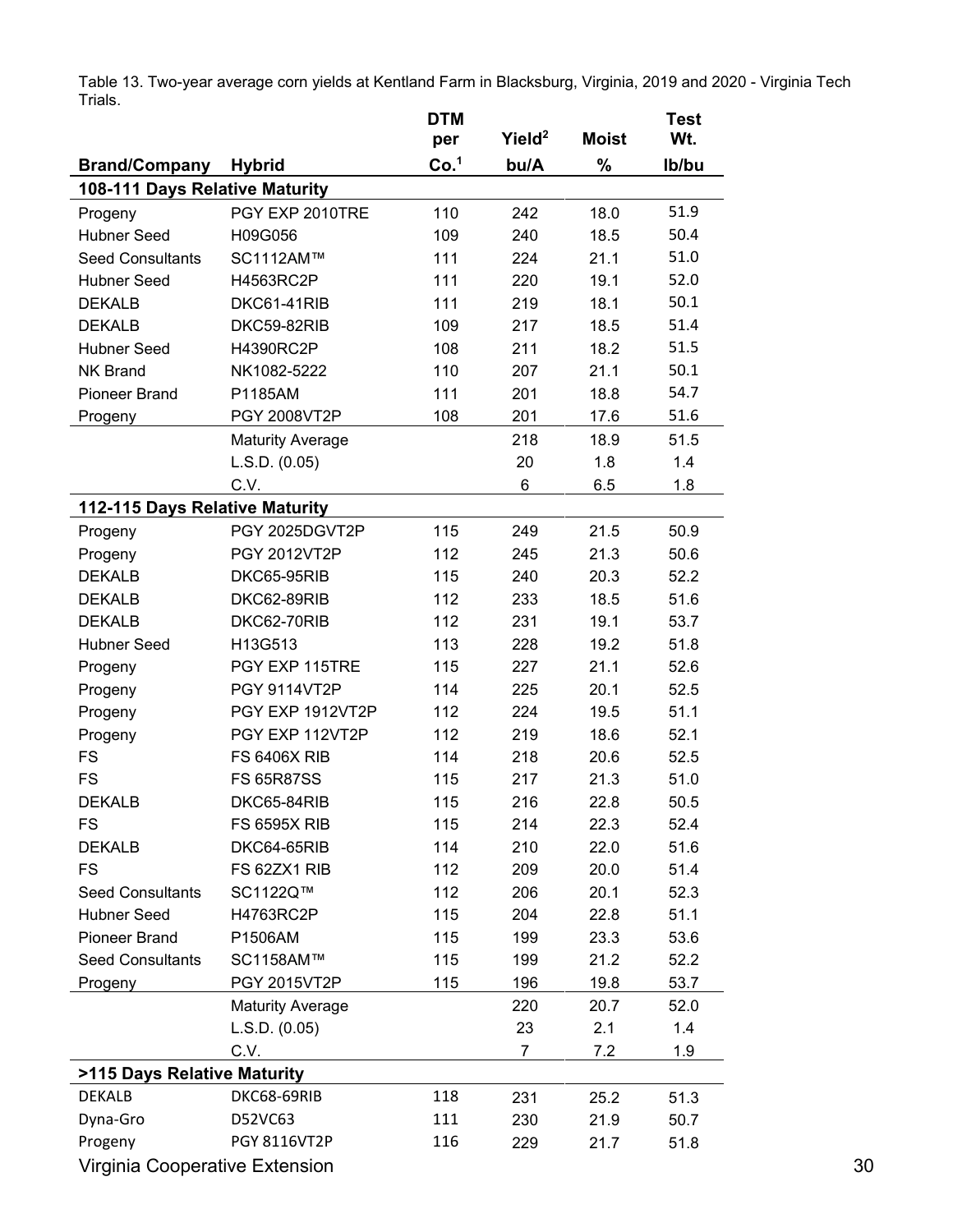|                                |                         | <b>DTM</b>       |                    |              | <b>Test</b> |
|--------------------------------|-------------------------|------------------|--------------------|--------------|-------------|
|                                |                         | per              | Yield <sup>2</sup> | <b>Moist</b> | Wt.         |
| <b>Brand/Company</b>           | <b>Hybrid</b>           | Co. <sup>1</sup> | bu/A               | $\%$         | Ib/bu       |
| 108-111 Days Relative Maturity |                         |                  |                    |              |             |
| Progeny                        | PGY EXP 2010TRE         | 110              | 242                | 18.0         | 51.9        |
| <b>Hubner Seed</b>             | H09G056                 | 109              | 240                | 18.5         | 50.4        |
| <b>Seed Consultants</b>        | SC1112AM™               | 111              | 224                | 21.1         | 51.0        |
| <b>Hubner Seed</b>             | H4563RC2P               | 111              | 220                | 19.1         | 52.0        |
| <b>DEKALB</b>                  | DKC61-41RIB             | 111              | 219                | 18.1         | 50.1        |
| <b>DEKALB</b>                  | DKC59-82RIB             | 109              | 217                | 18.5         | 51.4        |
| <b>Hubner Seed</b>             | H4390RC2P               | 108              | 211                | 18.2         | 51.5        |
| <b>NK Brand</b>                | NK1082-5222             | 110              | 207                | 21.1         | 50.1        |
| <b>Pioneer Brand</b>           | P1185AM                 | 111              | 201                | 18.8         | 54.7        |
| Progeny                        | PGY 2008VT2P            | 108              | 201                | 17.6         | 51.6        |
|                                | <b>Maturity Average</b> |                  | 218                | 18.9         | 51.5        |
|                                | L.S.D. (0.05)           |                  | 20                 | 1.8          | 1.4         |
|                                | C.V.                    |                  | 6                  | 6.5          | 1.8         |
| 112-115 Days Relative Maturity |                         |                  |                    |              |             |
| Progeny                        | PGY 2025DGVT2P          | 115              | 249                | 21.5         | 50.9        |
| Progeny                        | PGY 2012VT2P            | 112              | 245                | 21.3         | 50.6        |
| <b>DEKALB</b>                  | DKC65-95RIB             | 115              | 240                | 20.3         | 52.2        |
| <b>DEKALB</b>                  | DKC62-89RIB             | 112              | 233                | 18.5         | 51.6        |
| <b>DEKALB</b>                  | DKC62-70RIB             | 112              | 231                | 19.1         | 53.7        |
| <b>Hubner Seed</b>             | H13G513                 | 113              | 228                | 19.2         | 51.8        |
| Progeny                        | PGY EXP 115TRE          | 115              | 227                | 21.1         | 52.6        |
| Progeny                        | <b>PGY 9114VT2P</b>     | 114              | 225                | 20.1         | 52.5        |
| Progeny                        | PGY EXP 1912VT2P        | 112              | 224                | 19.5         | 51.1        |
| Progeny                        | PGY EXP 112VT2P         | 112              | 219                | 18.6         | 52.1        |
| <b>FS</b>                      | <b>FS 6406X RIB</b>     | 114              | 218                | 20.6         | 52.5        |
| <b>FS</b>                      | <b>FS 65R87SS</b>       | 115              | 217                | 21.3         | 51.0        |
| <b>DEKALB</b>                  | DKC65-84RIB             | 115              | 216                | 22.8         | 50.5        |
| <b>FS</b>                      | <b>FS 6595X RIB</b>     | 115              | 214                | 22.3         | 52.4        |
| <b>DEKALB</b>                  | DKC64-65RIB             | 114              | 210                | 22.0         | 51.6        |
| <b>FS</b>                      | FS 62ZX1 RIB            | 112              | 209                | 20.0         | 51.4        |
| <b>Seed Consultants</b>        | SC1122Q™                | 112              | 206                | 20.1         | 52.3        |
| <b>Hubner Seed</b>             | H4763RC2P               | 115              | 204                | 22.8         | 51.1        |
| <b>Pioneer Brand</b>           | P1506AM                 | 115              | 199                | 23.3         | 53.6        |
| <b>Seed Consultants</b>        | SC1158AM™               | 115              | 199                | 21.2         | 52.2        |
| Progeny                        | PGY 2015VT2P            | 115              | 196                | 19.8         | 53.7        |
|                                | <b>Maturity Average</b> |                  | 220                | 20.7         | 52.0        |
|                                | L.S.D. (0.05)           |                  | 23                 | 2.1          | 1.4         |
|                                | C.V.                    |                  | $\overline{7}$     | 7.2          | 1.9         |
| >115 Days Relative Maturity    |                         |                  |                    |              |             |
| DEKALB                         | DKC68-69RIB             | 118              | 231                | 25.2         | 51.3        |
| Dyna-Gro                       | D52VC63                 | 111              | 230                | 21.9         | 50.7        |
| Progeny                        | PGY 8116VT2P            | 116              | 229                | 21.7         | 51.8        |
| Virginia Cooperative Extension |                         |                  |                    |              |             |

Table 13. Two-year average corn yields at Kentland Farm in Blacksburg, Virginia, 2019 and 2020 - Virginia Tech Trials.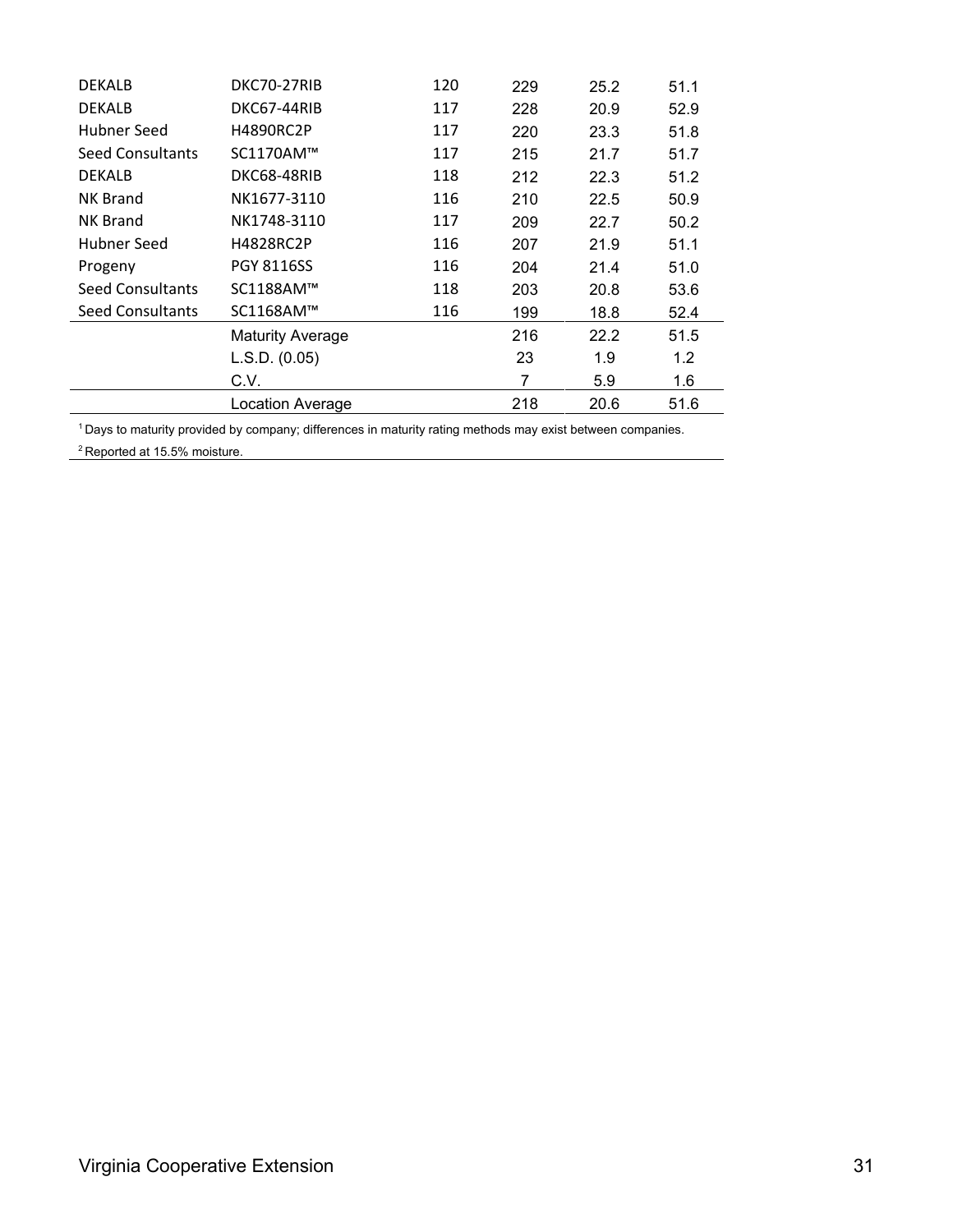| <b>DEKALB</b>           | DKC70-27RIB             | 120 | 229 | 25.2 | 51.1 |
|-------------------------|-------------------------|-----|-----|------|------|
| <b>DEKALB</b>           | DKC67-44RIB             | 117 | 228 | 20.9 | 52.9 |
| Hubner Seed             | <b>H4890RC2P</b>        | 117 | 220 | 23.3 | 51.8 |
| <b>Seed Consultants</b> | SC1170AM™               | 117 | 215 | 21.7 | 51.7 |
| <b>DEKALB</b>           | DKC68-48RIB             | 118 | 212 | 22.3 | 51.2 |
| <b>NK Brand</b>         | NK1677-3110             | 116 | 210 | 22.5 | 50.9 |
| <b>NK Brand</b>         | NK1748-3110             | 117 | 209 | 22.7 | 50.2 |
| Hubner Seed             | <b>H4828RC2P</b>        | 116 | 207 | 21.9 | 51.1 |
| Progeny                 | <b>PGY 8116SS</b>       | 116 | 204 | 21.4 | 51.0 |
| Seed Consultants        | SC1188AM™               | 118 | 203 | 20.8 | 53.6 |
| <b>Seed Consultants</b> | SC1168AM™               | 116 | 199 | 18.8 | 52.4 |
|                         | <b>Maturity Average</b> |     | 216 | 22.2 | 51.5 |
|                         | L.S.D. (0.05)           |     | 23  | 1.9  | 1.2  |
|                         | C.V.                    |     | 7   | 5.9  | 1.6  |
|                         | Location Average        |     | 218 | 20.6 | 51.6 |

1 Days to maturity provided by company; differences in maturity rating methods may exist between companies.

<sup>2</sup> Reported at 15.5% moisture.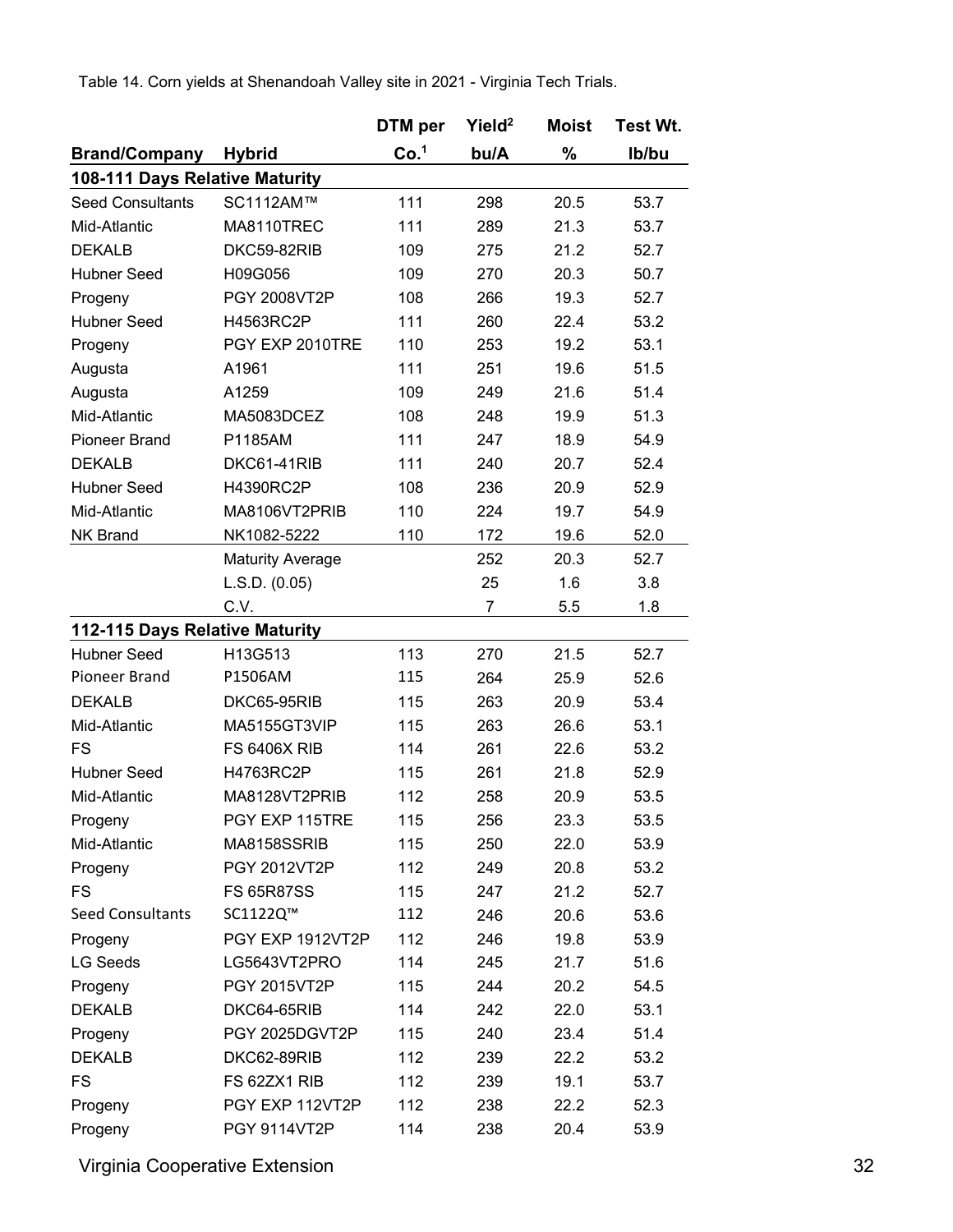Table 14. Corn yields at Shenandoah Valley site in 2021 - Virginia Tech Trials.

|                                |                         | DTM per          | Yield <sup>2</sup> | Moist | <b>Test Wt.</b> |
|--------------------------------|-------------------------|------------------|--------------------|-------|-----------------|
| <b>Brand/Company</b>           | <b>Hybrid</b>           | Co. <sup>1</sup> | bu/A               | %     | Ib/bu           |
| 108-111 Days Relative Maturity |                         |                  |                    |       |                 |
| <b>Seed Consultants</b>        | SC1112AM™               | 111              | 298                | 20.5  | 53.7            |
| Mid-Atlantic                   | MA8110TREC              | 111              | 289                | 21.3  | 53.7            |
| <b>DEKALB</b>                  | DKC59-82RIB             | 109              | 275                | 21.2  | 52.7            |
| <b>Hubner Seed</b>             | H09G056                 | 109              | 270                | 20.3  | 50.7            |
| Progeny                        | PGY 2008VT2P            | 108              | 266                | 19.3  | 52.7            |
| <b>Hubner Seed</b>             | H4563RC2P               | 111              | 260                | 22.4  | 53.2            |
| Progeny                        | PGY EXP 2010TRE         | 110              | 253                | 19.2  | 53.1            |
| Augusta                        | A1961                   | 111              | 251                | 19.6  | 51.5            |
| Augusta                        | A1259                   | 109              | 249                | 21.6  | 51.4            |
| Mid-Atlantic                   | MA5083DCEZ              | 108              | 248                | 19.9  | 51.3            |
| <b>Pioneer Brand</b>           | P1185AM                 | 111              | 247                | 18.9  | 54.9            |
| <b>DEKALB</b>                  | DKC61-41RIB             | 111              | 240                | 20.7  | 52.4            |
| <b>Hubner Seed</b>             | H4390RC2P               | 108              | 236                | 20.9  | 52.9            |
| Mid-Atlantic                   | MA8106VT2PRIB           | 110              | 224                | 19.7  | 54.9            |
| <b>NK Brand</b>                | NK1082-5222             | 110              | 172                | 19.6  | 52.0            |
|                                | <b>Maturity Average</b> |                  | 252                | 20.3  | 52.7            |
|                                | L.S.D. (0.05)           |                  | 25                 | 1.6   | 3.8             |
|                                | C.V.                    |                  | $\overline{7}$     | 5.5   | 1.8             |
| 112-115 Days Relative Maturity |                         |                  |                    |       |                 |
| <b>Hubner Seed</b>             | H13G513                 | 113              | 270                | 21.5  | 52.7            |
| Pioneer Brand                  | P1506AM                 | 115              | 264                | 25.9  | 52.6            |
| <b>DEKALB</b>                  | DKC65-95RIB             | 115              | 263                | 20.9  | 53.4            |
| Mid-Atlantic                   | MA5155GT3VIP            | 115              | 263                | 26.6  | 53.1            |
| <b>FS</b>                      | <b>FS 6406X RIB</b>     | 114              | 261                | 22.6  | 53.2            |
| <b>Hubner Seed</b>             | H4763RC2P               | 115              | 261                | 21.8  | 52.9            |
| Mid-Atlantic                   | MA8128VT2PRIB           | 112              | 258                | 20.9  | 53.5            |
| Progeny                        | PGY EXP 115TRE          | 115              | 256                | 23.3  | 53.5            |
| Mid-Atlantic                   | MA8158SSRIB             | 115              | 250                | 22.0  | 53.9            |
| Progeny                        | PGY 2012VT2P            | 112              | 249                | 20.8  | 53.2            |
| <b>FS</b>                      | <b>FS 65R87SS</b>       | 115              | 247                | 21.2  | 52.7            |
| Seed Consultants               | SC1122Q™                | 112              | 246                | 20.6  | 53.6            |
| Progeny                        | PGY EXP 1912VT2P        | 112              | 246                | 19.8  | 53.9            |
| <b>LG Seeds</b>                | LG5643VT2PRO            | 114              | 245                | 21.7  | 51.6            |
| Progeny                        | PGY 2015VT2P            | 115              | 244                | 20.2  | 54.5            |
| <b>DEKALB</b>                  | DKC64-65RIB             | 114              | 242                | 22.0  | 53.1            |
| Progeny                        | PGY 2025DGVT2P          | 115              | 240                | 23.4  | 51.4            |
| <b>DEKALB</b>                  | DKC62-89RIB             | 112              | 239                | 22.2  | 53.2            |
| <b>FS</b>                      | FS 62ZX1 RIB            | 112              | 239                | 19.1  | 53.7            |
| Progeny                        | PGY EXP 112VT2P         | 112              | 238                | 22.2  | 52.3            |
| Progeny                        | PGY 9114VT2P            | 114              | 238                | 20.4  | 53.9            |

Virginia Cooperative Extension 32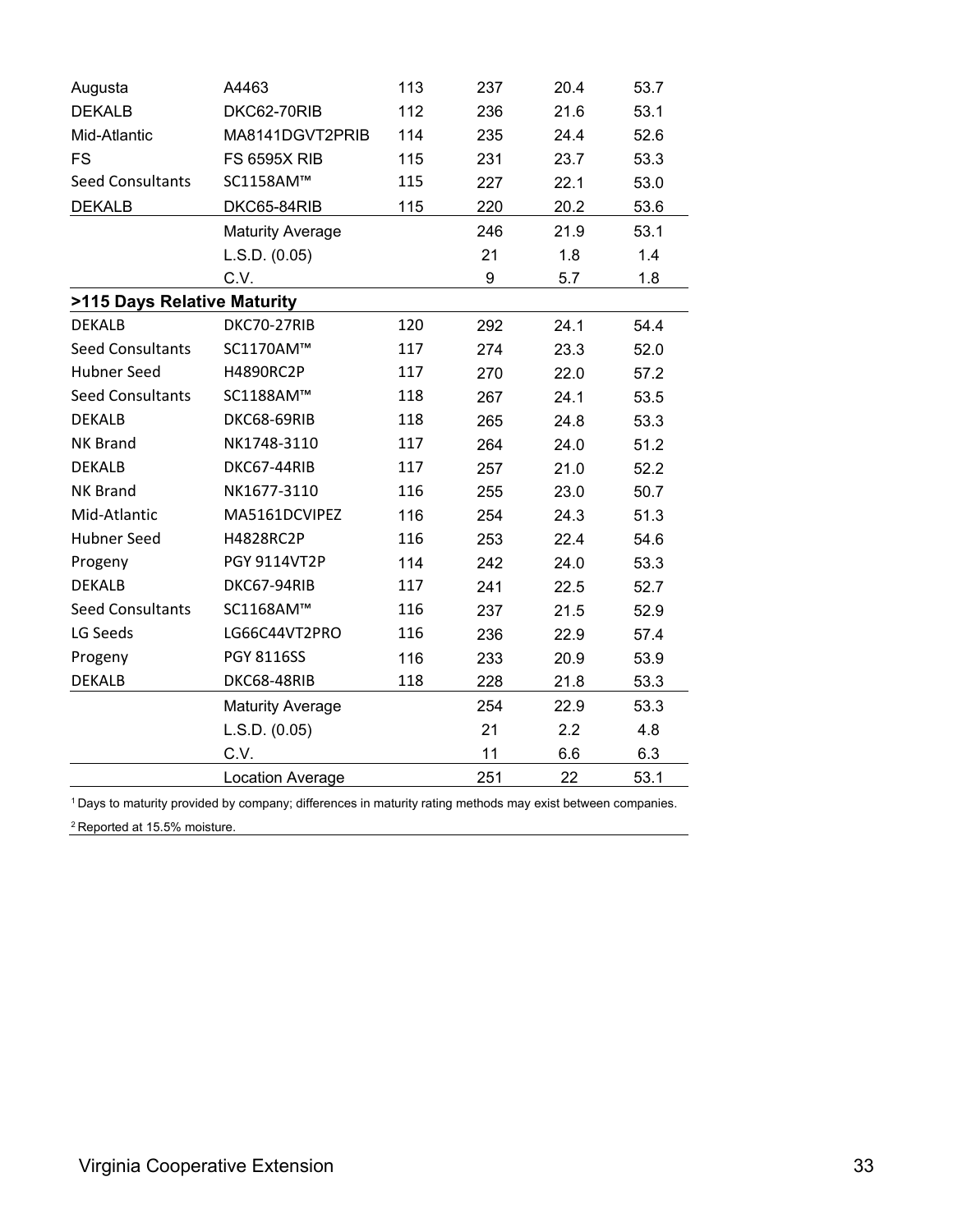| Augusta                     | A4463                   | 113 | 237 | 20.4 | 53.7 |
|-----------------------------|-------------------------|-----|-----|------|------|
| <b>DEKALB</b>               | DKC62-70RIB             | 112 | 236 | 21.6 | 53.1 |
| Mid-Atlantic                | MA8141DGVT2PRIB         | 114 | 235 | 24.4 | 52.6 |
| <b>FS</b>                   | <b>FS 6595X RIB</b>     | 115 | 231 | 23.7 | 53.3 |
| <b>Seed Consultants</b>     | SC1158AM™               | 115 | 227 | 22.1 | 53.0 |
| <b>DEKALB</b>               | DKC65-84RIB             | 115 | 220 | 20.2 | 53.6 |
|                             | <b>Maturity Average</b> |     | 246 | 21.9 | 53.1 |
|                             | L.S.D. (0.05)           |     | 21  | 1.8  | 1.4  |
|                             | C.V.                    |     | 9   | 5.7  | 1.8  |
| >115 Days Relative Maturity |                         |     |     |      |      |
| <b>DEKALB</b>               | DKC70-27RIB             | 120 | 292 | 24.1 | 54.4 |
| <b>Seed Consultants</b>     | SC1170AM™               | 117 | 274 | 23.3 | 52.0 |
| <b>Hubner Seed</b>          | H4890RC2P               | 117 | 270 | 22.0 | 57.2 |
| <b>Seed Consultants</b>     | SC1188AM™               | 118 | 267 | 24.1 | 53.5 |
| <b>DEKALB</b>               | DKC68-69RIB             | 118 | 265 | 24.8 | 53.3 |
| <b>NK Brand</b>             | NK1748-3110             | 117 | 264 | 24.0 | 51.2 |
| <b>DEKALB</b>               | DKC67-44RIB             | 117 | 257 | 21.0 | 52.2 |
| <b>NK Brand</b>             | NK1677-3110             | 116 | 255 | 23.0 | 50.7 |
| Mid-Atlantic                | MA5161DCVIPEZ           | 116 | 254 | 24.3 | 51.3 |
| <b>Hubner Seed</b>          | H4828RC2P               | 116 | 253 | 22.4 | 54.6 |
| Progeny                     | PGY 9114VT2P            | 114 | 242 | 24.0 | 53.3 |
| <b>DEKALB</b>               | DKC67-94RIB             | 117 | 241 | 22.5 | 52.7 |
| <b>Seed Consultants</b>     | SC1168AM™               | 116 | 237 | 21.5 | 52.9 |
| LG Seeds                    | LG66C44VT2PRO           | 116 | 236 | 22.9 | 57.4 |
| Progeny                     | <b>PGY 8116SS</b>       | 116 | 233 | 20.9 | 53.9 |
| <b>DEKALB</b>               | DKC68-48RIB             | 118 | 228 | 21.8 | 53.3 |
|                             | <b>Maturity Average</b> |     | 254 | 22.9 | 53.3 |
|                             | L.S.D. (0.05)           |     | 21  | 2.2  | 4.8  |
|                             | C.V.                    |     | 11  | 6.6  | 6.3  |
|                             | <b>Location Average</b> |     | 251 | 22   | 53.1 |

1 Days to maturity provided by company; differences in maturity rating methods may exist between companies.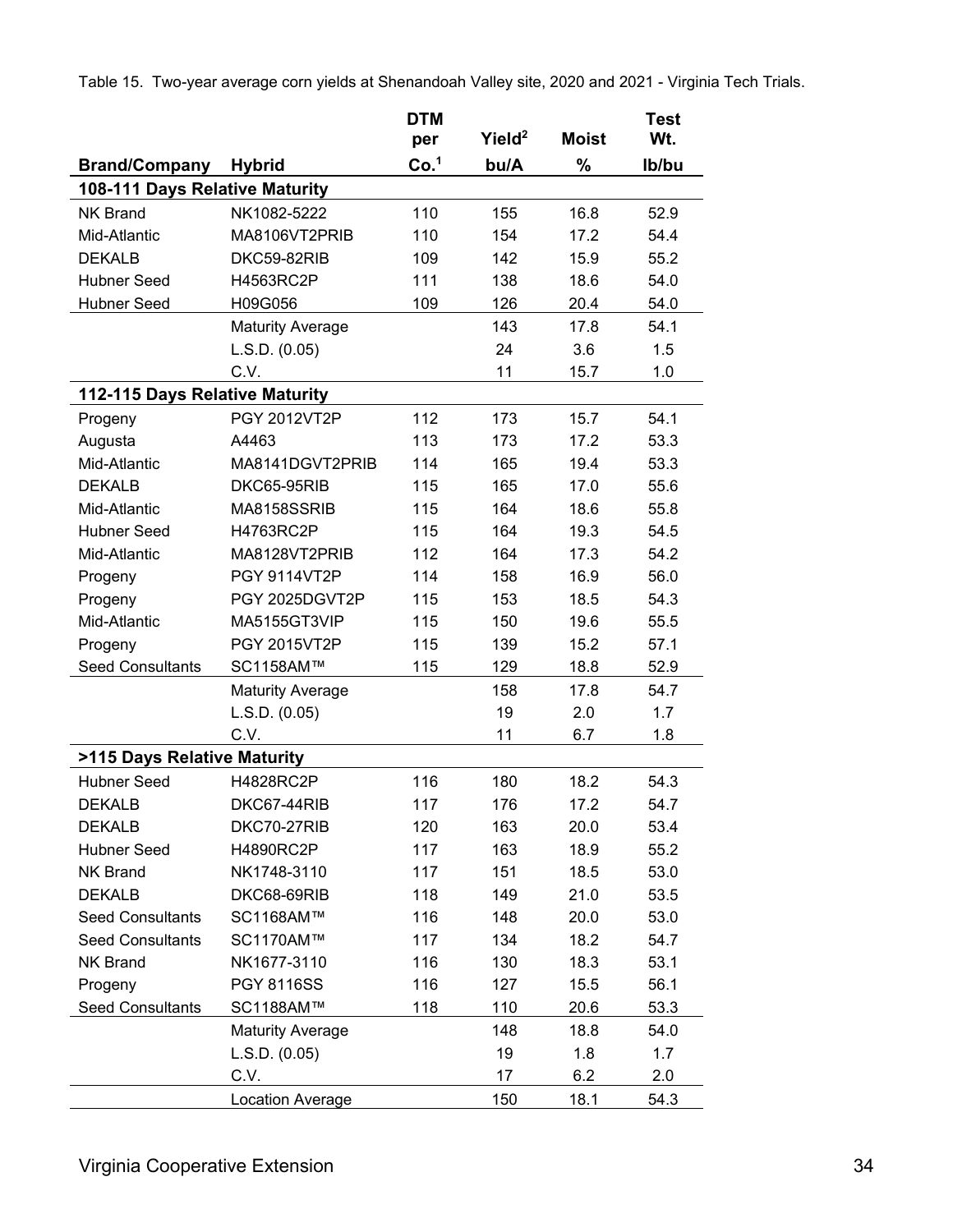|                                |                         | <b>DTM</b><br>per | Yield <sup>2</sup> | <b>Moist</b> | <b>Test</b><br>Wt. |
|--------------------------------|-------------------------|-------------------|--------------------|--------------|--------------------|
| <b>Brand/Company</b>           | <b>Hybrid</b>           | Co. <sup>1</sup>  | bu/A               | $\%$         | Ib/bu              |
| 108-111 Days Relative Maturity |                         |                   |                    |              |                    |
| <b>NK Brand</b>                | NK1082-5222             | 110               | 155                | 16.8         | 52.9               |
| Mid-Atlantic                   | MA8106VT2PRIB           | 110               | 154                | 17.2         | 54.4               |
| <b>DEKALB</b>                  | DKC59-82RIB             | 109               | 142                | 15.9         | 55.2               |
| <b>Hubner Seed</b>             | H4563RC2P               | 111               | 138                | 18.6         | 54.0               |
| <b>Hubner Seed</b>             | H09G056                 | 109               | 126                | 20.4         | 54.0               |
|                                | <b>Maturity Average</b> |                   | 143                | 17.8         | 54.1               |
|                                | L.S.D. (0.05)           |                   | 24                 | 3.6          | 1.5                |
|                                | C.V.                    |                   | 11                 | 15.7         | 1.0                |
| 112-115 Days Relative Maturity |                         |                   |                    |              |                    |
| Progeny                        | <b>PGY 2012VT2P</b>     | 112               | 173                | 15.7         | 54.1               |
| Augusta                        | A4463                   | 113               | 173                | 17.2         | 53.3               |
| Mid-Atlantic                   | MA8141DGVT2PRIB         | 114               | 165                | 19.4         | 53.3               |
| <b>DEKALB</b>                  | DKC65-95RIB             | 115               | 165                | 17.0         | 55.6               |
| Mid-Atlantic                   | MA8158SSRIB             | 115               | 164                | 18.6         | 55.8               |
| <b>Hubner Seed</b>             | H4763RC2P               | 115               | 164                | 19.3         | 54.5               |
| Mid-Atlantic                   | MA8128VT2PRIB           | 112               | 164                | 17.3         | 54.2               |
| Progeny                        | <b>PGY 9114VT2P</b>     | 114               | 158                | 16.9         | 56.0               |
| Progeny                        | PGY 2025DGVT2P          | 115               | 153                | 18.5         | 54.3               |
| Mid-Atlantic                   | MA5155GT3VIP            | 115               | 150                | 19.6         | 55.5               |
| Progeny                        | PGY 2015VT2P            | 115               | 139                | 15.2         | 57.1               |
| <b>Seed Consultants</b>        | SC1158AM™               | 115               | 129                | 18.8         | 52.9               |
|                                | <b>Maturity Average</b> |                   | 158                | 17.8         | 54.7               |
|                                | L.S.D. (0.05)           |                   | 19                 | 2.0          | 1.7                |
|                                | C.V.                    |                   | 11                 | 6.7          | 1.8                |
| >115 Days Relative Maturity    |                         |                   |                    |              |                    |
| <b>Hubner Seed</b>             | H4828RC2P               | 116               | 180                | 18.2         | 54.3               |
| <b>DEKALB</b>                  | DKC67-44RIB             | 117               | 176                | 17.2         | 54.7               |
| <b>DEKALB</b>                  | DKC70-27RIB             | 120               | 163                | 20.0         | 53.4               |
| <b>Hubner Seed</b>             | H4890RC2P               | 117               | 163                | 18.9         | 55.2               |
| <b>NK Brand</b>                | NK1748-3110             | 117               | 151                | 18.5         | 53.0               |
| <b>DEKALB</b>                  | DKC68-69RIB             | 118               | 149                | 21.0         | 53.5               |
| <b>Seed Consultants</b>        | SC1168AM™               | 116               | 148                | 20.0         | 53.0               |
| <b>Seed Consultants</b>        | SC1170AM™               | 117               | 134                | 18.2         | 54.7               |
| NK Brand                       | NK1677-3110             | 116               | 130                | 18.3         | 53.1               |
| Progeny                        | <b>PGY 8116SS</b>       | 116               | 127                | 15.5         | 56.1               |
| <b>Seed Consultants</b>        | SC1188AM™               | 118               | 110                | 20.6         | 53.3               |
|                                | <b>Maturity Average</b> |                   | 148                | 18.8         | 54.0               |
|                                | L.S.D. (0.05)           |                   | 19                 | 1.8          | 1.7                |
|                                | C.V.                    |                   | 17                 | 6.2          | 2.0                |
|                                | Location Average        |                   | 150                | 18.1         | 54.3               |

Table 15. Two-year average corn yields at Shenandoah Valley site, 2020 and 2021 - Virginia Tech Trials.